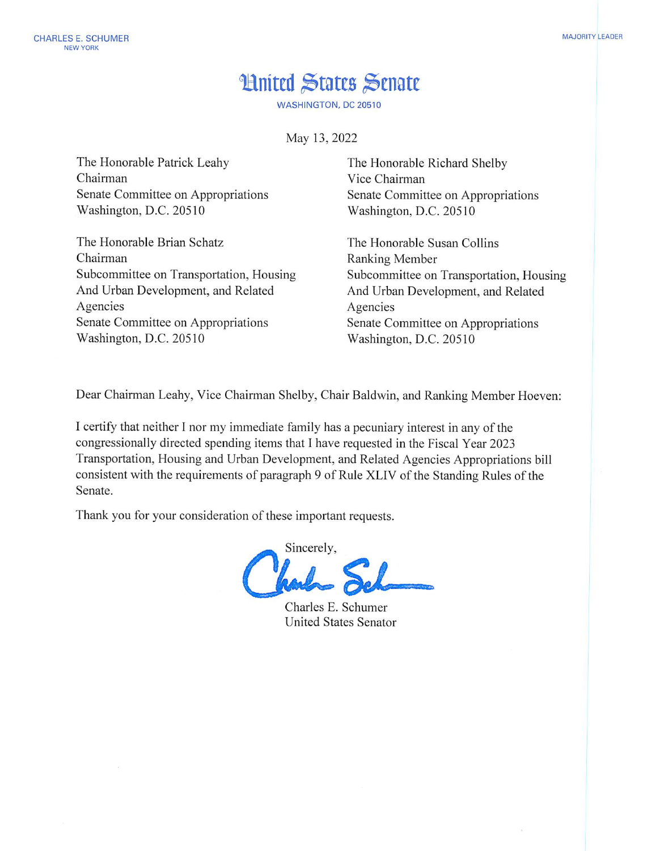## **Hnited States Senate**

**WASHINGTON, DC 20510** 

May 13, 2022

The Honorable Patrick Leahy Chairman Senate Committee on Appropriations Washington, D.C. 20510

The Honorable Brian Schatz Chairman Subcommittee on Transportation, Housing And Urban Development, and Related Agencies Senate Committee on Appropriations Washington, D.C. 20510

The Honorable Richard Shelby Vice Chairman Senate Committee on Appropriations Washington, D.C. 20510

The Honorable Susan Collins Ranking Member Subcommittee on Transportation, Housing And Urban Development, and Related Agencies Senate Committee on Appropriations Washington, D.C. 20510

Dear Chairman Leahy, Vice Chairman Shelby, Chair Baldwin, and Ranking Member Hoeven:

I certify that neither I nor my immediate family has a pecuniary interest in any of the congressionally directed spending items that I have requested in the Fiscal Year 2023 Transportation, Housing and Urban Development, and Related Agencies Appropriations bill consistent with the requirements of paragraph 9 of Rule XLIV of the Standing Rules of the Senate.

Thank you for your consideration of these important requests.

Sincerely,

Charles E. Schumer **United States Senator**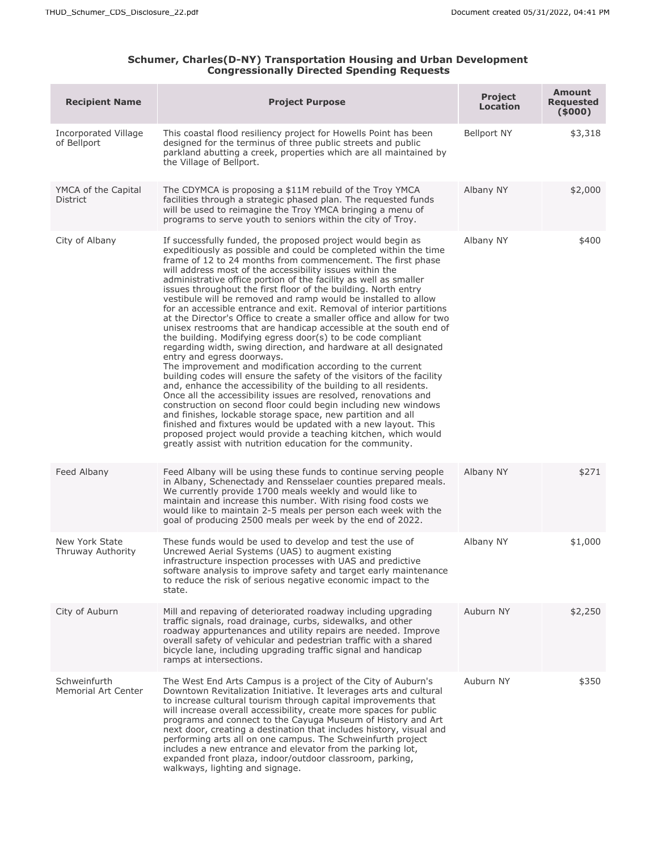## **Schumer, Charles(D-NY) Transportation Housing and Urban Development Congressionally Directed Spending Requests**

| <b>Recipient Name</b>                      | <b>Project Purpose</b>                                                                                                                                                                                                                                                                                                                                                                                                                                                                                                                                                                                                                                                                                                                                                                                                                                                                                                                                                                                                                                                                                                                                                                                                                                                                                                                                                                                                                                                   | <b>Project</b><br><b>Location</b> | <b>Amount</b><br><b>Requested</b><br>(5000) |
|--------------------------------------------|--------------------------------------------------------------------------------------------------------------------------------------------------------------------------------------------------------------------------------------------------------------------------------------------------------------------------------------------------------------------------------------------------------------------------------------------------------------------------------------------------------------------------------------------------------------------------------------------------------------------------------------------------------------------------------------------------------------------------------------------------------------------------------------------------------------------------------------------------------------------------------------------------------------------------------------------------------------------------------------------------------------------------------------------------------------------------------------------------------------------------------------------------------------------------------------------------------------------------------------------------------------------------------------------------------------------------------------------------------------------------------------------------------------------------------------------------------------------------|-----------------------------------|---------------------------------------------|
| Incorporated Village<br>of Bellport        | This coastal flood resiliency project for Howells Point has been<br>designed for the terminus of three public streets and public<br>parkland abutting a creek, properties which are all maintained by<br>the Village of Bellport.                                                                                                                                                                                                                                                                                                                                                                                                                                                                                                                                                                                                                                                                                                                                                                                                                                                                                                                                                                                                                                                                                                                                                                                                                                        | <b>Bellport NY</b>                | \$3,318                                     |
| YMCA of the Capital<br>District            | The CDYMCA is proposing a \$11M rebuild of the Troy YMCA<br>facilities through a strategic phased plan. The requested funds<br>will be used to reimagine the Troy YMCA bringing a menu of<br>programs to serve youth to seniors within the city of Troy.                                                                                                                                                                                                                                                                                                                                                                                                                                                                                                                                                                                                                                                                                                                                                                                                                                                                                                                                                                                                                                                                                                                                                                                                                 | Albany NY                         | \$2,000                                     |
| City of Albany                             | If successfully funded, the proposed project would begin as<br>expeditiously as possible and could be completed within the time<br>frame of 12 to 24 months from commencement. The first phase<br>will address most of the accessibility issues within the<br>administrative office portion of the facility as well as smaller<br>issues throughout the first floor of the building. North entry<br>vestibule will be removed and ramp would be installed to allow<br>for an accessible entrance and exit. Removal of interior partitions<br>at the Director's Office to create a smaller office and allow for two<br>unisex restrooms that are handicap accessible at the south end of<br>the building. Modifying egress door(s) to be code compliant<br>regarding width, swing direction, and hardware at all designated<br>entry and egress doorways.<br>The improvement and modification according to the current<br>building codes will ensure the safety of the visitors of the facility<br>and, enhance the accessibility of the building to all residents.<br>Once all the accessibility issues are resolved, renovations and<br>construction on second floor could begin including new windows<br>and finishes, lockable storage space, new partition and all<br>finished and fixtures would be updated with a new layout. This<br>proposed project would provide a teaching kitchen, which would<br>greatly assist with nutrition education for the community. | Albany NY                         | \$400                                       |
| Feed Albany                                | Feed Albany will be using these funds to continue serving people<br>in Albany, Schenectady and Rensselaer counties prepared meals.<br>We currently provide 1700 meals weekly and would like to<br>maintain and increase this number. With rising food costs we<br>would like to maintain 2-5 meals per person each week with the<br>goal of producing 2500 meals per week by the end of 2022.                                                                                                                                                                                                                                                                                                                                                                                                                                                                                                                                                                                                                                                                                                                                                                                                                                                                                                                                                                                                                                                                            | Albany NY                         | \$271                                       |
| New York State<br>Thruway Authority        | These funds would be used to develop and test the use of<br>Uncrewed Aerial Systems (UAS) to augment existing<br>infrastructure inspection processes with UAS and predictive<br>software analysis to improve safety and target early maintenance<br>to reduce the risk of serious negative economic impact to the<br>state.                                                                                                                                                                                                                                                                                                                                                                                                                                                                                                                                                                                                                                                                                                                                                                                                                                                                                                                                                                                                                                                                                                                                              | Albany NY                         | \$1,000                                     |
| City of Auburn                             | Mill and repaving of deteriorated roadway including upgrading<br>traffic signals, road drainage, curbs, sidewalks, and other<br>roadway appurtenances and utility repairs are needed. Improve<br>overall safety of vehicular and pedestrian traffic with a shared<br>bicycle lane, including upgrading traffic signal and handicap<br>ramps at intersections.                                                                                                                                                                                                                                                                                                                                                                                                                                                                                                                                                                                                                                                                                                                                                                                                                                                                                                                                                                                                                                                                                                            | Auburn NY                         | \$2,250                                     |
| Schweinfurth<br><b>Memorial Art Center</b> | The West End Arts Campus is a project of the City of Auburn's<br>Downtown Revitalization Initiative. It leverages arts and cultural<br>to increase cultural tourism through capital improvements that<br>will increase overall accessibility, create more spaces for public<br>programs and connect to the Cayuga Museum of History and Art<br>next door, creating a destination that includes history, visual and<br>performing arts all on one campus. The Schweinfurth project<br>includes a new entrance and elevator from the parking lot,<br>expanded front plaza, indoor/outdoor classroom, parking,<br>walkways, lighting and signage.                                                                                                                                                                                                                                                                                                                                                                                                                                                                                                                                                                                                                                                                                                                                                                                                                           | Auburn NY                         | \$350                                       |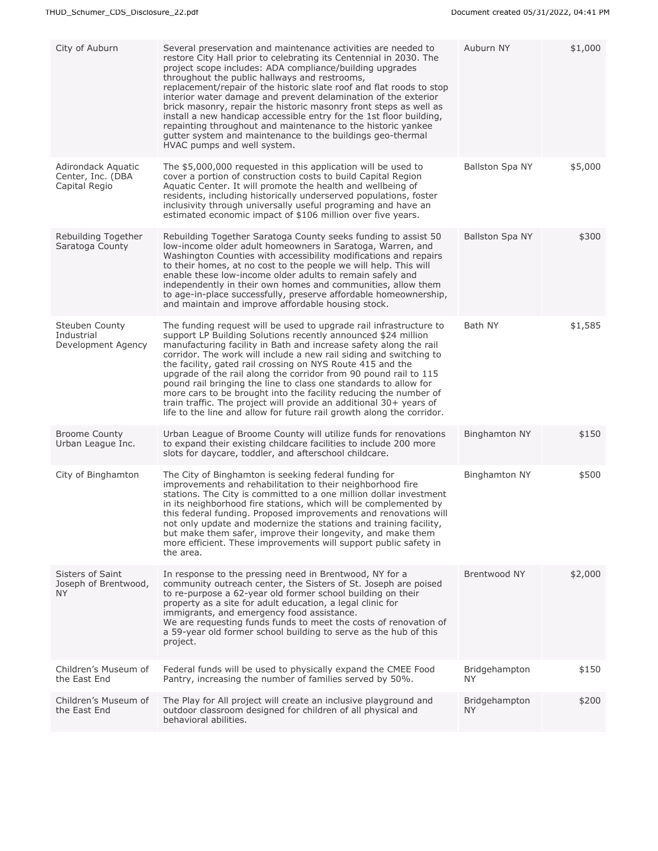| City of Auburn                                           | Several preservation and maintenance activities are needed to<br>restore City Hall prior to celebrating its Centennial in 2030. The<br>project scope includes: ADA compliance/building upgrades<br>throughout the public hallways and restrooms,<br>replacement/repair of the historic slate roof and flat roods to stop<br>interior water damage and prevent delamination of the exterior<br>brick masonry, repair the historic masonry front steps as well as<br>install a new handicap accessible entry for the 1st floor building,<br>repainting throughout and maintenance to the historic yankee<br>gutter system and maintenance to the buildings geo-thermal<br>HVAC pumps and well system.     | Auburn NY            | \$1,000 |
|----------------------------------------------------------|---------------------------------------------------------------------------------------------------------------------------------------------------------------------------------------------------------------------------------------------------------------------------------------------------------------------------------------------------------------------------------------------------------------------------------------------------------------------------------------------------------------------------------------------------------------------------------------------------------------------------------------------------------------------------------------------------------|----------------------|---------|
| Adirondack Aquatic<br>Center, Inc. (DBA<br>Capital Regio | The \$5,000,000 requested in this application will be used to<br>cover a portion of construction costs to build Capital Region<br>Aquatic Center. It will promote the health and wellbeing of<br>residents, including historically underserved populations, foster<br>inclusivity through universally useful programing and have an<br>estimated economic impact of \$106 million over five years.                                                                                                                                                                                                                                                                                                      | Ballston Spa NY      | \$5,000 |
| Rebuilding Together<br>Saratoga County                   | Rebuilding Together Saratoga County seeks funding to assist 50<br>low-income older adult homeowners in Saratoga, Warren, and<br>Washington Counties with accessibility modifications and repairs<br>to their homes, at no cost to the people we will help. This will<br>enable these low-income older adults to remain safely and<br>independently in their own homes and communities, allow them<br>to age-in-place successfully, preserve affordable homeownership,<br>and maintain and improve affordable housing stock.                                                                                                                                                                             | Ballston Spa NY      | \$300   |
| Steuben County<br>Industrial<br>Development Agency       | The funding request will be used to upgrade rail infrastructure to<br>support LP Building Solutions recently announced \$24 million<br>manufacturing facility in Bath and increase safety along the rail<br>corridor. The work will include a new rail siding and switching to<br>the facility, gated rail crossing on NYS Route 415 and the<br>upgrade of the rail along the corridor from 90 pound rail to 115<br>pound rail bringing the line to class one standards to allow for<br>more cars to be brought into the facility reducing the number of<br>train traffic. The project will provide an additional 30+ years of<br>life to the line and allow for future rail growth along the corridor. | Bath NY              | \$1,585 |
| <b>Broome County</b><br>Urban League Inc.                | Urban League of Broome County will utilize funds for renovations<br>to expand their existing childcare facilities to include 200 more<br>slots for daycare, toddler, and afterschool childcare.                                                                                                                                                                                                                                                                                                                                                                                                                                                                                                         | <b>Binghamton NY</b> | \$150   |
| City of Binghamton                                       | The City of Binghamton is seeking federal funding for<br>improvements and rehabilitation to their neighborhood fire<br>stations. The City is committed to a one million dollar investment<br>in its neighborhood fire stations, which will be complemented by<br>this federal funding. Proposed improvements and renovations will<br>not only update and modernize the stations and training facility,<br>but make them safer, improve their longevity, and make them<br>more efficient. These improvements will support public safety in<br>the area.                                                                                                                                                  | <b>Binghamton NY</b> | \$500   |
| Sisters of Saint<br>Joseph of Brentwood,<br>NY.          | In response to the pressing need in Brentwood, NY for a<br>community outreach center, the Sisters of St. Joseph are poised<br>to re-purpose a 62-year old former school building on their<br>property as a site for adult education, a legal clinic for<br>immigrants, and emergency food assistance.<br>We are requesting funds funds to meet the costs of renovation of<br>a 59-year old former school building to serve as the hub of this<br>project.                                                                                                                                                                                                                                               | Brentwood NY         | \$2,000 |
| Children's Museum of<br>the East End                     | Federal funds will be used to physically expand the CMEE Food<br>Pantry, increasing the number of families served by 50%.                                                                                                                                                                                                                                                                                                                                                                                                                                                                                                                                                                               | Bridgehampton<br>NY. | \$150   |
| Children's Museum of<br>the East End                     | The Play for All project will create an inclusive playground and<br>outdoor classroom designed for children of all physical and<br>behavioral abilities.                                                                                                                                                                                                                                                                                                                                                                                                                                                                                                                                                | Bridgehampton<br>NY. | \$200   |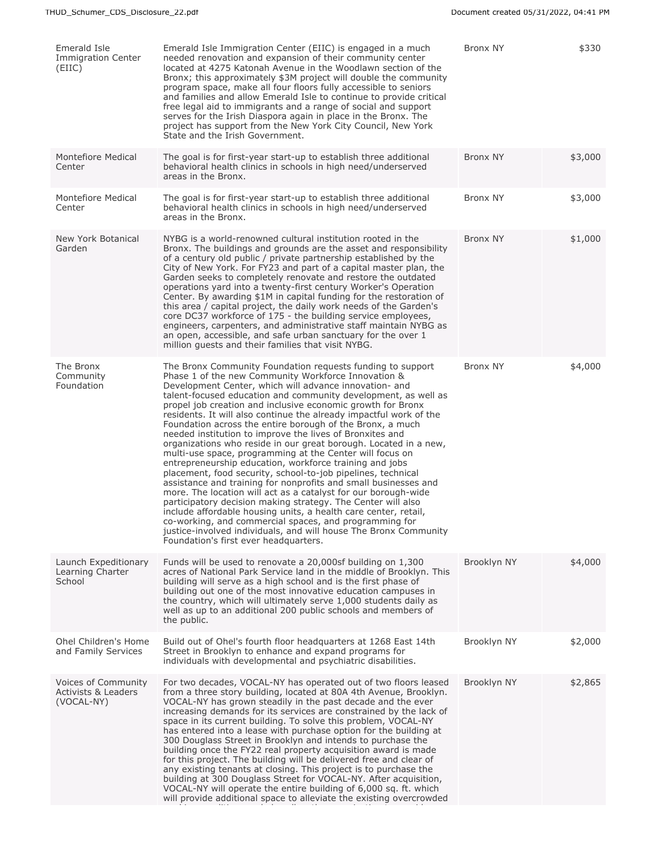| Emerald Isle<br><b>Immigration Center</b><br>(EIIC)                 | Emerald Isle Immigration Center (EIIC) is engaged in a much<br>needed renovation and expansion of their community center<br>located at 4275 Katonah Avenue in the Woodlawn section of the<br>Bronx; this approximately \$3M project will double the community<br>program space, make all four floors fully accessible to seniors<br>and families and allow Emerald Isle to continue to provide critical<br>free legal aid to immigrants and a range of social and support<br>serves for the Irish Diaspora again in place in the Bronx. The<br>project has support from the New York City Council, New York<br>State and the Irish Government.                                                                                                                                                                                                                                                                                                                                                                                                                                                                                                                                                                        | <b>Bronx NY</b> | \$330   |
|---------------------------------------------------------------------|-----------------------------------------------------------------------------------------------------------------------------------------------------------------------------------------------------------------------------------------------------------------------------------------------------------------------------------------------------------------------------------------------------------------------------------------------------------------------------------------------------------------------------------------------------------------------------------------------------------------------------------------------------------------------------------------------------------------------------------------------------------------------------------------------------------------------------------------------------------------------------------------------------------------------------------------------------------------------------------------------------------------------------------------------------------------------------------------------------------------------------------------------------------------------------------------------------------------------|-----------------|---------|
| Montefiore Medical<br>Center                                        | The goal is for first-year start-up to establish three additional<br>behavioral health clinics in schools in high need/underserved<br>areas in the Bronx.                                                                                                                                                                                                                                                                                                                                                                                                                                                                                                                                                                                                                                                                                                                                                                                                                                                                                                                                                                                                                                                             | <b>Bronx NY</b> | \$3,000 |
| Montefiore Medical<br>Center                                        | The goal is for first-year start-up to establish three additional<br>behavioral health clinics in schools in high need/underserved<br>areas in the Bronx.                                                                                                                                                                                                                                                                                                                                                                                                                                                                                                                                                                                                                                                                                                                                                                                                                                                                                                                                                                                                                                                             | <b>Bronx NY</b> | \$3,000 |
| New York Botanical<br>Garden                                        | NYBG is a world-renowned cultural institution rooted in the<br>Bronx. The buildings and grounds are the asset and responsibility<br>of a century old public / private partnership established by the<br>City of New York. For FY23 and part of a capital master plan, the<br>Garden seeks to completely renovate and restore the outdated<br>operations yard into a twenty-first century Worker's Operation<br>Center. By awarding \$1M in capital funding for the restoration of<br>this area / capital project, the daily work needs of the Garden's<br>core DC37 workforce of 175 - the building service employees,<br>engineers, carpenters, and administrative staff maintain NYBG as<br>an open, accessible, and safe urban sanctuary for the over 1<br>million quests and their families that visit NYBG.                                                                                                                                                                                                                                                                                                                                                                                                      | <b>Bronx NY</b> | \$1,000 |
| The Bronx<br>Community<br>Foundation                                | The Bronx Community Foundation requests funding to support<br>Phase 1 of the new Community Workforce Innovation &<br>Development Center, which will advance innovation- and<br>talent-focused education and community development, as well as<br>propel job creation and inclusive economic growth for Bronx<br>residents. It will also continue the already impactful work of the<br>Foundation across the entire borough of the Bronx, a much<br>needed institution to improve the lives of Bronxites and<br>organizations who reside in our great borough. Located in a new,<br>multi-use space, programming at the Center will focus on<br>entrepreneurship education, workforce training and jobs<br>placement, food security, school-to-job pipelines, technical<br>assistance and training for nonprofits and small businesses and<br>more. The location will act as a catalyst for our borough-wide<br>participatory decision making strategy. The Center will also<br>include affordable housing units, a health care center, retail,<br>co-working, and commercial spaces, and programming for<br>justice-involved individuals, and will house The Bronx Community<br>Foundation's first ever headquarters. | <b>Bronx NY</b> | \$4,000 |
| Launch Expeditionary<br>Learning Charter<br>School                  | Funds will be used to renovate a 20,000sf building on 1,300<br>acres of National Park Service land in the middle of Brooklyn. This<br>building will serve as a high school and is the first phase of<br>building out one of the most innovative education campuses in<br>the country, which will ultimately serve 1,000 students daily as<br>well as up to an additional 200 public schools and members of<br>the public.                                                                                                                                                                                                                                                                                                                                                                                                                                                                                                                                                                                                                                                                                                                                                                                             | Brooklyn NY     | \$4,000 |
| Ohel Children's Home<br>and Family Services                         | Build out of Ohel's fourth floor headquarters at 1268 East 14th<br>Street in Brooklyn to enhance and expand programs for<br>individuals with developmental and psychiatric disabilities.                                                                                                                                                                                                                                                                                                                                                                                                                                                                                                                                                                                                                                                                                                                                                                                                                                                                                                                                                                                                                              | Brooklyn NY     | \$2,000 |
| Voices of Community<br><b>Activists &amp; Leaders</b><br>(VOCAL-NY) | For two decades, VOCAL-NY has operated out of two floors leased<br>from a three story building, located at 80A 4th Avenue, Brooklyn.<br>VOCAL-NY has grown steadily in the past decade and the ever<br>increasing demands for its services are constrained by the lack of<br>space in its current building. To solve this problem, VOCAL-NY<br>has entered into a lease with purchase option for the building at<br>300 Douglass Street in Brooklyn and intends to purchase the<br>building once the FY22 real property acquisition award is made<br>for this project. The building will be delivered free and clear of<br>any existing tenants at closing. This project is to purchase the<br>building at 300 Douglass Street for VOCAL-NY. After acquisition,<br>VOCAL-NY will operate the entire building of 6,000 sq. ft. which<br>will provide additional space to alleviate the existing overcrowded                                                                                                                                                                                                                                                                                                            | Brooklyn NY     | \$2,865 |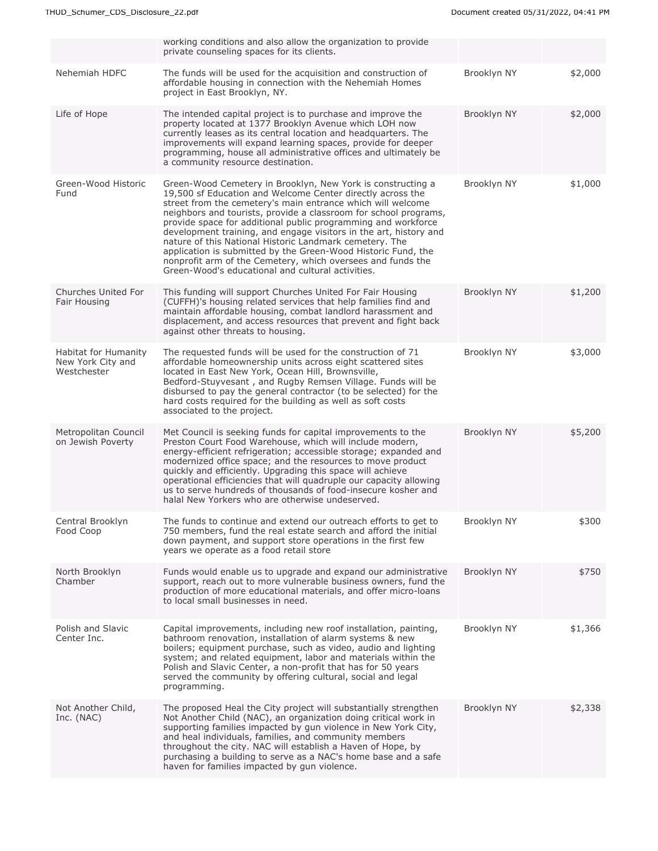|                                                          | working conditions and also allow the organization to provide<br>private counseling spaces for its clients.                                                                                                                                                                                                                                                                                                                                                                                                                                                                                                                                        |             |         |
|----------------------------------------------------------|----------------------------------------------------------------------------------------------------------------------------------------------------------------------------------------------------------------------------------------------------------------------------------------------------------------------------------------------------------------------------------------------------------------------------------------------------------------------------------------------------------------------------------------------------------------------------------------------------------------------------------------------------|-------------|---------|
| Nehemiah HDFC                                            | The funds will be used for the acquisition and construction of<br>affordable housing in connection with the Nehemiah Homes<br>project in East Brooklyn, NY.                                                                                                                                                                                                                                                                                                                                                                                                                                                                                        | Brooklyn NY | \$2,000 |
| Life of Hope                                             | The intended capital project is to purchase and improve the<br>property located at 1377 Brooklyn Avenue which LOH now<br>currently leases as its central location and headquarters. The<br>improvements will expand learning spaces, provide for deeper<br>programming, house all administrative offices and ultimately be<br>a community resource destination.                                                                                                                                                                                                                                                                                    | Brooklyn NY | \$2,000 |
| Green-Wood Historic<br>Fund                              | Green-Wood Cemetery in Brooklyn, New York is constructing a<br>19,500 sf Education and Welcome Center directly across the<br>street from the cemetery's main entrance which will welcome<br>neighbors and tourists, provide a classroom for school programs,<br>provide space for additional public programming and workforce<br>development training, and engage visitors in the art, history and<br>nature of this National Historic Landmark cemetery. The<br>application is submitted by the Green-Wood Historic Fund, the<br>nonprofit arm of the Cemetery, which oversees and funds the<br>Green-Wood's educational and cultural activities. | Brooklyn NY | \$1,000 |
| Churches United For<br>Fair Housing                      | This funding will support Churches United For Fair Housing<br>(CUFFH)'s housing related services that help families find and<br>maintain affordable housing, combat landlord harassment and<br>displacement, and access resources that prevent and fight back<br>against other threats to housing.                                                                                                                                                                                                                                                                                                                                                 | Brooklyn NY | \$1,200 |
| Habitat for Humanity<br>New York City and<br>Westchester | The requested funds will be used for the construction of 71<br>affordable homeownership units across eight scattered sites<br>located in East New York, Ocean Hill, Brownsville,<br>Bedford-Stuyvesant, and Rugby Remsen Village. Funds will be<br>disbursed to pay the general contractor (to be selected) for the<br>hard costs required for the building as well as soft costs<br>associated to the project.                                                                                                                                                                                                                                    | Brooklyn NY | \$3,000 |
| Metropolitan Council<br>on Jewish Poverty                | Met Council is seeking funds for capital improvements to the<br>Preston Court Food Warehouse, which will include modern,<br>energy-efficient refrigeration; accessible storage; expanded and<br>modernized office space; and the resources to move product<br>quickly and efficiently. Upgrading this space will achieve<br>operational efficiencies that will quadruple our capacity allowing<br>us to serve hundreds of thousands of food-insecure kosher and<br>halal New Yorkers who are otherwise undeserved.                                                                                                                                 | Brooklyn NY | \$5,200 |
| Central Brooklyn<br>Food Coop                            | The funds to continue and extend our outreach efforts to get to<br>750 members, fund the real estate search and afford the initial<br>down payment, and support store operations in the first few<br>years we operate as a food retail store                                                                                                                                                                                                                                                                                                                                                                                                       | Brooklyn NY | \$300   |
| North Brooklyn<br>Chamber                                | Funds would enable us to upgrade and expand our administrative<br>support, reach out to more vulnerable business owners, fund the<br>production of more educational materials, and offer micro-loans<br>to local small businesses in need.                                                                                                                                                                                                                                                                                                                                                                                                         | Brooklyn NY | \$750   |
| Polish and Slavic<br>Center Inc.                         | Capital improvements, including new roof installation, painting,<br>bathroom renovation, installation of alarm systems & new<br>boilers; equipment purchase, such as video, audio and lighting<br>system; and related equipment, labor and materials within the<br>Polish and Slavic Center, a non-profit that has for 50 years<br>served the community by offering cultural, social and legal<br>programming.                                                                                                                                                                                                                                     | Brooklyn NY | \$1,366 |
| Not Another Child,<br>Inc. (NAC)                         | The proposed Heal the City project will substantially strengthen<br>Not Another Child (NAC), an organization doing critical work in<br>supporting families impacted by gun violence in New York City,<br>and heal individuals, families, and community members<br>throughout the city. NAC will establish a Haven of Hope, by<br>purchasing a building to serve as a NAC's home base and a safe<br>haven for families impacted by gun violence.                                                                                                                                                                                                    | Brooklyn NY | \$2,338 |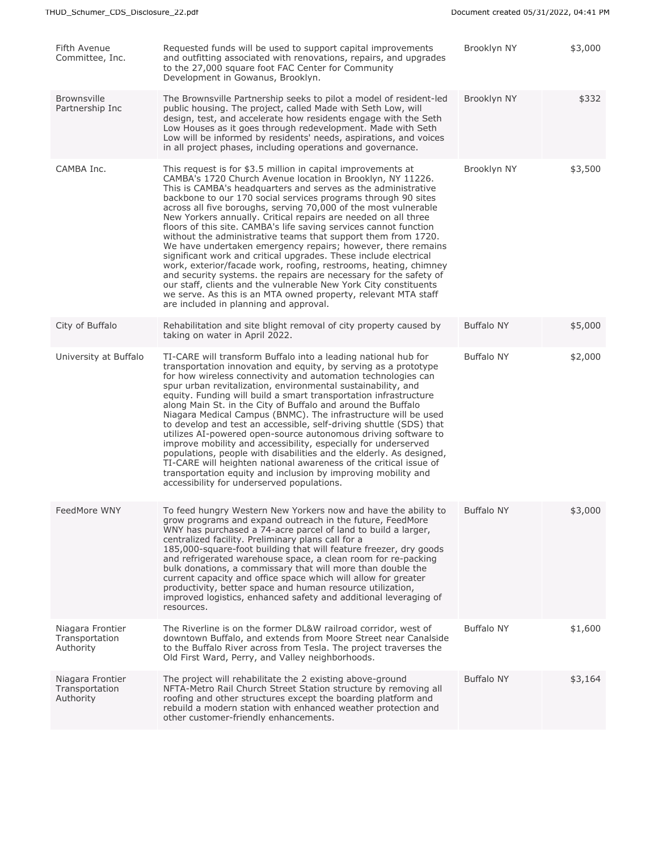| Fifth Avenue<br>Committee, Inc.                 | Requested funds will be used to support capital improvements<br>and outfitting associated with renovations, repairs, and upgrades<br>to the 27,000 square foot FAC Center for Community<br>Development in Gowanus, Brooklyn.                                                                                                                                                                                                                                                                                                                                                                                                                                                                                                                                                                                                                                                                                                                                                                         | Brooklyn NY       | \$3,000 |
|-------------------------------------------------|------------------------------------------------------------------------------------------------------------------------------------------------------------------------------------------------------------------------------------------------------------------------------------------------------------------------------------------------------------------------------------------------------------------------------------------------------------------------------------------------------------------------------------------------------------------------------------------------------------------------------------------------------------------------------------------------------------------------------------------------------------------------------------------------------------------------------------------------------------------------------------------------------------------------------------------------------------------------------------------------------|-------------------|---------|
| <b>Brownsville</b><br>Partnership Inc           | The Brownsville Partnership seeks to pilot a model of resident-led<br>public housing. The project, called Made with Seth Low, will<br>design, test, and accelerate how residents engage with the Seth<br>Low Houses as it goes through redevelopment. Made with Seth<br>Low will be informed by residents' needs, aspirations, and voices<br>in all project phases, including operations and governance.                                                                                                                                                                                                                                                                                                                                                                                                                                                                                                                                                                                             | Brooklyn NY       | \$332   |
| CAMBA Inc.                                      | This request is for \$3.5 million in capital improvements at<br>CAMBA's 1720 Church Avenue location in Brooklyn, NY 11226.<br>This is CAMBA's headquarters and serves as the administrative<br>backbone to our 170 social services programs through 90 sites<br>across all five boroughs, serving 70,000 of the most vulnerable<br>New Yorkers annually. Critical repairs are needed on all three<br>floors of this site. CAMBA's life saving services cannot function<br>without the administrative teams that support them from 1720.<br>We have undertaken emergency repairs; however, there remains<br>significant work and critical upgrades. These include electrical<br>work, exterior/facade work, roofing, restrooms, heating, chimney<br>and security systems. the repairs are necessary for the safety of<br>our staff, clients and the vulnerable New York City constituents<br>we serve. As this is an MTA owned property, relevant MTA staff<br>are included in planning and approval. | Brooklyn NY       | \$3,500 |
| City of Buffalo                                 | Rehabilitation and site blight removal of city property caused by<br>taking on water in April 2022.                                                                                                                                                                                                                                                                                                                                                                                                                                                                                                                                                                                                                                                                                                                                                                                                                                                                                                  | <b>Buffalo NY</b> | \$5,000 |
| University at Buffalo                           | TI-CARE will transform Buffalo into a leading national hub for<br>transportation innovation and equity, by serving as a prototype<br>for how wireless connectivity and automation technologies can<br>spur urban revitalization, environmental sustainability, and<br>equity. Funding will build a smart transportation infrastructure<br>along Main St. in the City of Buffalo and around the Buffalo<br>Niagara Medical Campus (BNMC). The infrastructure will be used<br>to develop and test an accessible, self-driving shuttle (SDS) that<br>utilizes AI-powered open-source autonomous driving software to<br>improve mobility and accessibility, especially for underserved<br>populations, people with disabilities and the elderly. As designed,<br>TI-CARE will heighten national awareness of the critical issue of<br>transportation equity and inclusion by improving mobility and<br>accessibility for underserved populations.                                                        | <b>Buffalo NY</b> | \$2,000 |
| FeedMore WNY                                    | To feed hungry Western New Yorkers now and have the ability to<br>grow programs and expand outreach in the future, FeedMore<br>WNY has purchased a 74-acre parcel of land to build a larger,<br>centralized facility. Preliminary plans call for a<br>185,000-square-foot building that will feature freezer, dry goods<br>and refrigerated warehouse space, a clean room for re-packing<br>bulk donations, a commissary that will more than double the<br>current capacity and office space which will allow for greater<br>productivity, better space and human resource utilization,<br>improved logistics, enhanced safety and additional leveraging of<br>resources.                                                                                                                                                                                                                                                                                                                            | <b>Buffalo NY</b> | \$3,000 |
| Niagara Frontier<br>Transportation<br>Authority | The Riverline is on the former DL&W railroad corridor, west of<br>downtown Buffalo, and extends from Moore Street near Canalside<br>to the Buffalo River across from Tesla. The project traverses the<br>Old First Ward, Perry, and Valley neighborhoods.                                                                                                                                                                                                                                                                                                                                                                                                                                                                                                                                                                                                                                                                                                                                            | <b>Buffalo NY</b> | \$1,600 |
| Niagara Frontier<br>Transportation<br>Authority | The project will rehabilitate the 2 existing above-ground<br>NFTA-Metro Rail Church Street Station structure by removing all<br>roofing and other structures except the boarding platform and<br>rebuild a modern station with enhanced weather protection and<br>other customer-friendly enhancements.                                                                                                                                                                                                                                                                                                                                                                                                                                                                                                                                                                                                                                                                                              | <b>Buffalo NY</b> | \$3,164 |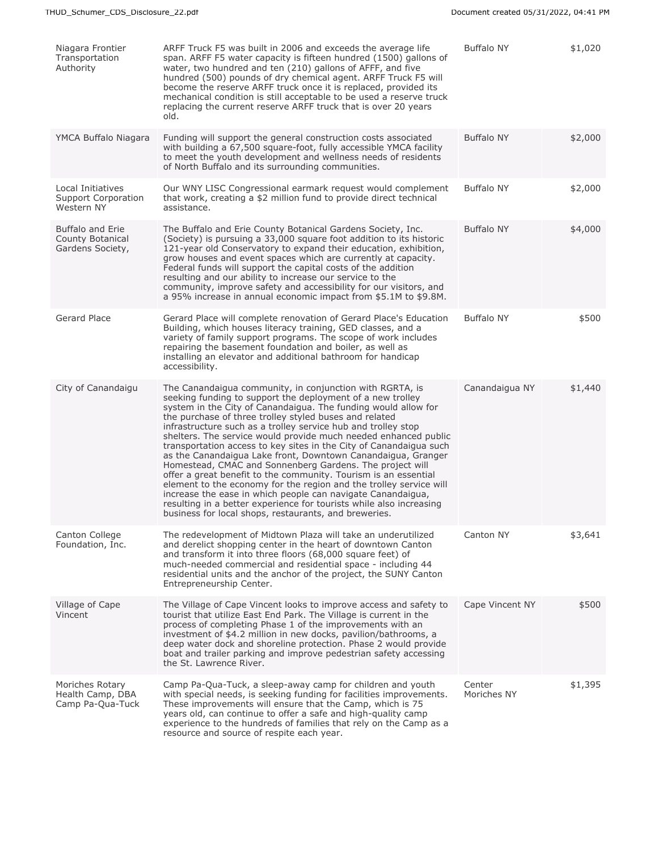| Niagara Frontier<br>Transportation<br>Authority               | ARFF Truck F5 was built in 2006 and exceeds the average life<br>span. ARFF F5 water capacity is fifteen hundred (1500) gallons of<br>water, two hundred and ten (210) gallons of AFFF, and five<br>hundred (500) pounds of dry chemical agent. ARFF Truck F5 will<br>become the reserve ARFF truck once it is replaced, provided its<br>mechanical condition is still acceptable to be used a reserve truck<br>replacing the current reserve ARFF truck that is over 20 years<br>old.                                                                                                                                                                                                                                                                                                                                                                                                                                            | <b>Buffalo NY</b>     | \$1,020 |
|---------------------------------------------------------------|----------------------------------------------------------------------------------------------------------------------------------------------------------------------------------------------------------------------------------------------------------------------------------------------------------------------------------------------------------------------------------------------------------------------------------------------------------------------------------------------------------------------------------------------------------------------------------------------------------------------------------------------------------------------------------------------------------------------------------------------------------------------------------------------------------------------------------------------------------------------------------------------------------------------------------|-----------------------|---------|
| YMCA Buffalo Niagara                                          | Funding will support the general construction costs associated<br>with building a 67,500 square-foot, fully accessible YMCA facility<br>to meet the youth development and wellness needs of residents<br>of North Buffalo and its surrounding communities.                                                                                                                                                                                                                                                                                                                                                                                                                                                                                                                                                                                                                                                                       | <b>Buffalo NY</b>     | \$2,000 |
| Local Initiatives<br><b>Support Corporation</b><br>Western NY | Our WNY LISC Congressional earmark request would complement<br>that work, creating a \$2 million fund to provide direct technical<br>assistance.                                                                                                                                                                                                                                                                                                                                                                                                                                                                                                                                                                                                                                                                                                                                                                                 | <b>Buffalo NY</b>     | \$2,000 |
| Buffalo and Erie<br>County Botanical<br>Gardens Society,      | The Buffalo and Erie County Botanical Gardens Society, Inc.<br>(Society) is pursuing a 33,000 square foot addition to its historic<br>121-year old Conservatory to expand their education, exhibition,<br>grow houses and event spaces which are currently at capacity.<br>Federal funds will support the capital costs of the addition<br>resulting and our ability to increase our service to the<br>community, improve safety and accessibility for our visitors, and<br>a 95% increase in annual economic impact from \$5.1M to \$9.8M.                                                                                                                                                                                                                                                                                                                                                                                      | <b>Buffalo NY</b>     | \$4,000 |
| Gerard Place                                                  | Gerard Place will complete renovation of Gerard Place's Education<br>Building, which houses literacy training, GED classes, and a<br>variety of family support programs. The scope of work includes<br>repairing the basement foundation and boiler, as well as<br>installing an elevator and additional bathroom for handicap<br>accessibility.                                                                                                                                                                                                                                                                                                                                                                                                                                                                                                                                                                                 | <b>Buffalo NY</b>     | \$500   |
| City of Canandaigu                                            | The Canandaigua community, in conjunction with RGRTA, is<br>seeking funding to support the deployment of a new trolley<br>system in the City of Canandaigua. The funding would allow for<br>the purchase of three trolley styled buses and related<br>infrastructure such as a trolley service hub and trolley stop<br>shelters. The service would provide much needed enhanced public<br>transportation access to key sites in the City of Canandaigua such<br>as the Canandaigua Lake front, Downtown Canandaigua, Granger<br>Homestead, CMAC and Sonnenberg Gardens. The project will<br>offer a great benefit to the community. Tourism is an essential<br>element to the economy for the region and the trolley service will<br>increase the ease in which people can navigate Canandaigua,<br>resulting in a better experience for tourists while also increasing<br>business for local shops, restaurants, and breweries. | Canandaigua NY        | \$1,440 |
| Canton College<br>Foundation, Inc.                            | The redevelopment of Midtown Plaza will take an underutilized<br>and derelict shopping center in the heart of downtown Canton<br>and transform it into three floors (68,000 square feet) of<br>much-needed commercial and residential space - including 44<br>residential units and the anchor of the project, the SUNY Canton<br>Entrepreneurship Center.                                                                                                                                                                                                                                                                                                                                                                                                                                                                                                                                                                       | Canton NY             | \$3,641 |
| Village of Cape<br>Vincent                                    | The Village of Cape Vincent looks to improve access and safety to<br>tourist that utilize East End Park. The Village is current in the<br>process of completing Phase 1 of the improvements with an<br>investment of \$4.2 million in new docks, pavilion/bathrooms, a<br>deep water dock and shoreline protection. Phase 2 would provide<br>boat and trailer parking and improve pedestrian safety accessing<br>the St. Lawrence River.                                                                                                                                                                                                                                                                                                                                                                                                                                                                                         | Cape Vincent NY       | \$500   |
| Moriches Rotary<br>Health Camp, DBA<br>Camp Pa-Qua-Tuck       | Camp Pa-Qua-Tuck, a sleep-away camp for children and youth<br>with special needs, is seeking funding for facilities improvements.<br>These improvements will ensure that the Camp, which is 75<br>years old, can continue to offer a safe and high-quality camp<br>experience to the hundreds of families that rely on the Camp as a<br>resource and source of respite each year.                                                                                                                                                                                                                                                                                                                                                                                                                                                                                                                                                | Center<br>Moriches NY | \$1,395 |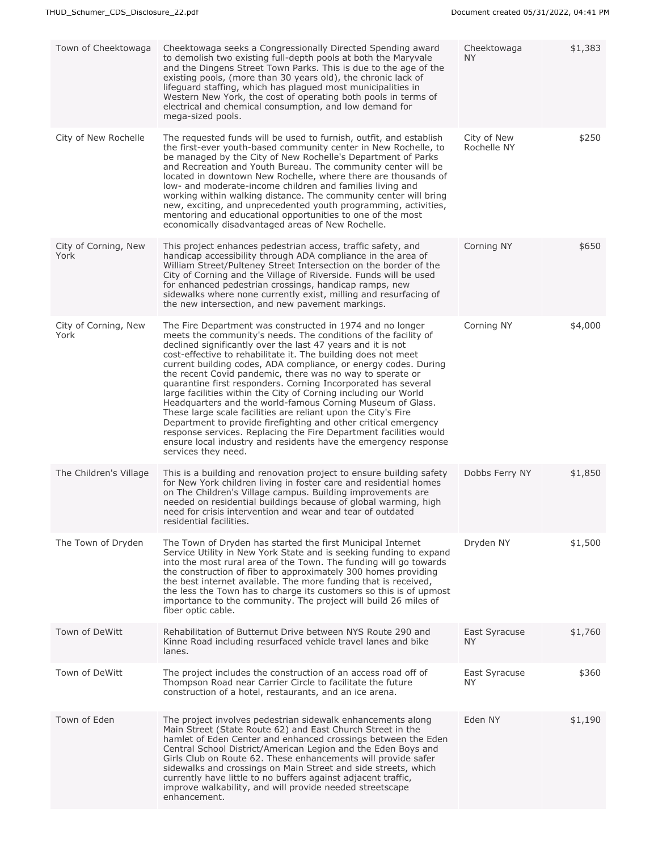| Town of Cheektowaga          | Cheektowaga seeks a Congressionally Directed Spending award<br>to demolish two existing full-depth pools at both the Maryvale<br>and the Dingens Street Town Parks. This is due to the age of the<br>existing pools, (more than 30 years old), the chronic lack of<br>lifeguard staffing, which has plagued most municipalities in<br>Western New York, the cost of operating both pools in terms of<br>electrical and chemical consumption, and low demand for<br>mega-sized pools.                                                                                                                                                                                                                                                                                                                                                                                                             | Cheektowaga<br>NY.         | \$1,383 |
|------------------------------|--------------------------------------------------------------------------------------------------------------------------------------------------------------------------------------------------------------------------------------------------------------------------------------------------------------------------------------------------------------------------------------------------------------------------------------------------------------------------------------------------------------------------------------------------------------------------------------------------------------------------------------------------------------------------------------------------------------------------------------------------------------------------------------------------------------------------------------------------------------------------------------------------|----------------------------|---------|
| City of New Rochelle         | The requested funds will be used to furnish, outfit, and establish<br>the first-ever youth-based community center in New Rochelle, to<br>be managed by the City of New Rochelle's Department of Parks<br>and Recreation and Youth Bureau. The community center will be<br>located in downtown New Rochelle, where there are thousands of<br>low- and moderate-income children and families living and<br>working within walking distance. The community center will bring<br>new, exciting, and unprecedented youth programming, activities,<br>mentoring and educational opportunities to one of the most<br>economically disadvantaged areas of New Rochelle.                                                                                                                                                                                                                                  | City of New<br>Rochelle NY | \$250   |
| City of Corning, New<br>York | This project enhances pedestrian access, traffic safety, and<br>handicap accessibility through ADA compliance in the area of<br>William Street/Pulteney Street Intersection on the border of the<br>City of Corning and the Village of Riverside. Funds will be used<br>for enhanced pedestrian crossings, handicap ramps, new<br>sidewalks where none currently exist, milling and resurfacing of<br>the new intersection, and new pavement markings.                                                                                                                                                                                                                                                                                                                                                                                                                                           | Corning NY                 | \$650   |
| City of Corning, New<br>York | The Fire Department was constructed in 1974 and no longer<br>meets the community's needs. The conditions of the facility of<br>declined significantly over the last 47 years and it is not<br>cost-effective to rehabilitate it. The building does not meet<br>current building codes, ADA compliance, or energy codes. During<br>the recent Covid pandemic, there was no way to sperate or<br>quarantine first responders. Corning Incorporated has several<br>large facilities within the City of Corning including our World<br>Headquarters and the world-famous Corning Museum of Glass.<br>These large scale facilities are reliant upon the City's Fire<br>Department to provide firefighting and other critical emergency<br>response services. Replacing the Fire Department facilities would<br>ensure local industry and residents have the emergency response<br>services they need. | Corning NY                 | \$4,000 |
| The Children's Village       | This is a building and renovation project to ensure building safety<br>for New York children living in foster care and residential homes<br>on The Children's Village campus. Building improvements are<br>needed on residential buildings because of global warming, high<br>need for crisis intervention and wear and tear of outdated<br>residential facilities.                                                                                                                                                                                                                                                                                                                                                                                                                                                                                                                              | Dobbs Ferry NY             | \$1,850 |
| The Town of Dryden           | The Town of Dryden has started the first Municipal Internet<br>Service Utility in New York State and is seeking funding to expand<br>into the most rural area of the Town. The funding will go towards<br>the construction of fiber to approximately 300 homes providing<br>the best internet available. The more funding that is received,<br>the less the Town has to charge its customers so this is of upmost<br>importance to the community. The project will build 26 miles of<br>fiber optic cable.                                                                                                                                                                                                                                                                                                                                                                                       | Dryden NY                  | \$1,500 |
| Town of DeWitt               | Rehabilitation of Butternut Drive between NYS Route 290 and<br>Kinne Road including resurfaced vehicle travel lanes and bike<br>lanes.                                                                                                                                                                                                                                                                                                                                                                                                                                                                                                                                                                                                                                                                                                                                                           | East Syracuse<br>NY.       | \$1,760 |
| Town of DeWitt               | The project includes the construction of an access road off of<br>Thompson Road near Carrier Circle to facilitate the future<br>construction of a hotel, restaurants, and an ice arena.                                                                                                                                                                                                                                                                                                                                                                                                                                                                                                                                                                                                                                                                                                          | East Syracuse<br>NY.       | \$360   |
| Town of Eden                 | The project involves pedestrian sidewalk enhancements along<br>Main Street (State Route 62) and East Church Street in the<br>hamlet of Eden Center and enhanced crossings between the Eden<br>Central School District/American Legion and the Eden Boys and<br>Girls Club on Route 62. These enhancements will provide safer<br>sidewalks and crossings on Main Street and side streets, which<br>currently have little to no buffers against adjacent traffic,<br>improve walkability, and will provide needed streetscape<br>enhancement.                                                                                                                                                                                                                                                                                                                                                      | Eden NY                    | \$1,190 |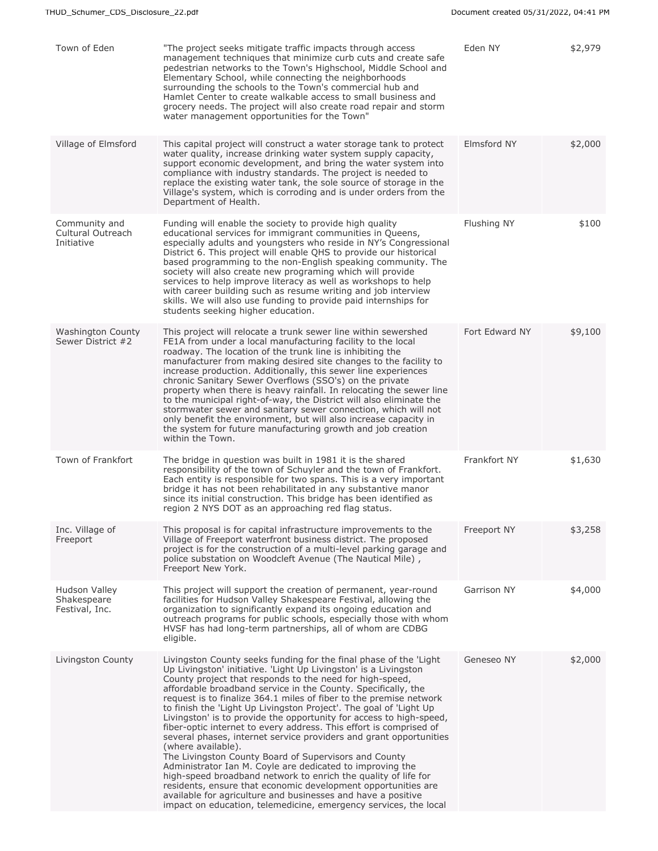| Town of Eden                                     | "The project seeks mitigate traffic impacts through access<br>management techniques that minimize curb cuts and create safe<br>pedestrian networks to the Town's Highschool, Middle School and<br>Elementary School, while connecting the neighborhoods<br>surrounding the schools to the Town's commercial hub and<br>Hamlet Center to create walkable access to small business and<br>grocery needs. The project will also create road repair and storm<br>water management opportunities for the Town"                                                                                                                                                                                                                                                                                                                                                                                                                                                                                                                                            | Eden NY        | \$2,979 |
|--------------------------------------------------|------------------------------------------------------------------------------------------------------------------------------------------------------------------------------------------------------------------------------------------------------------------------------------------------------------------------------------------------------------------------------------------------------------------------------------------------------------------------------------------------------------------------------------------------------------------------------------------------------------------------------------------------------------------------------------------------------------------------------------------------------------------------------------------------------------------------------------------------------------------------------------------------------------------------------------------------------------------------------------------------------------------------------------------------------|----------------|---------|
| Village of Elmsford                              | This capital project will construct a water storage tank to protect<br>water quality, increase drinking water system supply capacity,<br>support economic development, and bring the water system into<br>compliance with industry standards. The project is needed to<br>replace the existing water tank, the sole source of storage in the<br>Village's system, which is corroding and is under orders from the<br>Department of Health.                                                                                                                                                                                                                                                                                                                                                                                                                                                                                                                                                                                                           | Elmsford NY    | \$2,000 |
| Community and<br>Cultural Outreach<br>Initiative | Funding will enable the society to provide high quality<br>educational services for immigrant communities in Queens,<br>especially adults and youngsters who reside in NY's Congressional<br>District 6. This project will enable QHS to provide our historical<br>based programming to the non-English speaking community. The<br>society will also create new programing which will provide<br>services to help improve literacy as well as workshops to help<br>with career building such as resume writing and job interview<br>skills. We will also use funding to provide paid internships for<br>students seeking higher education.                                                                                                                                                                                                                                                                                                                                                                                                           | Flushing NY    | \$100   |
| <b>Washington County</b><br>Sewer District #2    | This project will relocate a trunk sewer line within sewershed<br>FE1A from under a local manufacturing facility to the local<br>roadway. The location of the trunk line is inhibiting the<br>manufacturer from making desired site changes to the facility to<br>increase production. Additionally, this sewer line experiences<br>chronic Sanitary Sewer Overflows (SSO's) on the private<br>property when there is heavy rainfall. In relocating the sewer line<br>to the municipal right-of-way, the District will also eliminate the<br>stormwater sewer and sanitary sewer connection, which will not<br>only benefit the environment, but will also increase capacity in<br>the system for future manufacturing growth and job creation<br>within the Town.                                                                                                                                                                                                                                                                                   | Fort Edward NY | \$9,100 |
| Town of Frankfort                                | The bridge in question was built in 1981 it is the shared<br>responsibility of the town of Schuyler and the town of Frankfort.<br>Each entity is responsible for two spans. This is a very important<br>bridge it has not been rehabilitated in any substantive manor<br>since its initial construction. This bridge has been identified as<br>region 2 NYS DOT as an approaching red flag status.                                                                                                                                                                                                                                                                                                                                                                                                                                                                                                                                                                                                                                                   | Frankfort NY   | \$1,630 |
| Inc. Village of<br>Freeport                      | This proposal is for capital infrastructure improvements to the<br>Village of Freeport waterfront business district. The proposed<br>project is for the construction of a multi-level parking garage and<br>police substation on Woodcleft Avenue (The Nautical Mile),<br>Freeport New York.                                                                                                                                                                                                                                                                                                                                                                                                                                                                                                                                                                                                                                                                                                                                                         | Freeport NY    | \$3,258 |
| Hudson Valley<br>Shakespeare<br>Festival, Inc.   | This project will support the creation of permanent, year-round<br>facilities for Hudson Valley Shakespeare Festival, allowing the<br>organization to significantly expand its ongoing education and<br>outreach programs for public schools, especially those with whom<br>HVSF has had long-term partnerships, all of whom are CDBG<br>eligible.                                                                                                                                                                                                                                                                                                                                                                                                                                                                                                                                                                                                                                                                                                   | Garrison NY    | \$4,000 |
| Livingston County                                | Livingston County seeks funding for the final phase of the 'Light<br>Up Livingston' initiative. 'Light Up Livingston' is a Livingston<br>County project that responds to the need for high-speed,<br>affordable broadband service in the County. Specifically, the<br>request is to finalize 364.1 miles of fiber to the premise network<br>to finish the 'Light Up Livingston Project'. The goal of 'Light Up<br>Livingston' is to provide the opportunity for access to high-speed,<br>fiber-optic internet to every address. This effort is comprised of<br>several phases, internet service providers and grant opportunities<br>(where available).<br>The Livingston County Board of Supervisors and County<br>Administrator Ian M. Coyle are dedicated to improving the<br>high-speed broadband network to enrich the quality of life for<br>residents, ensure that economic development opportunities are<br>available for agriculture and businesses and have a positive<br>impact on education, telemedicine, emergency services, the local | Geneseo NY     | \$2,000 |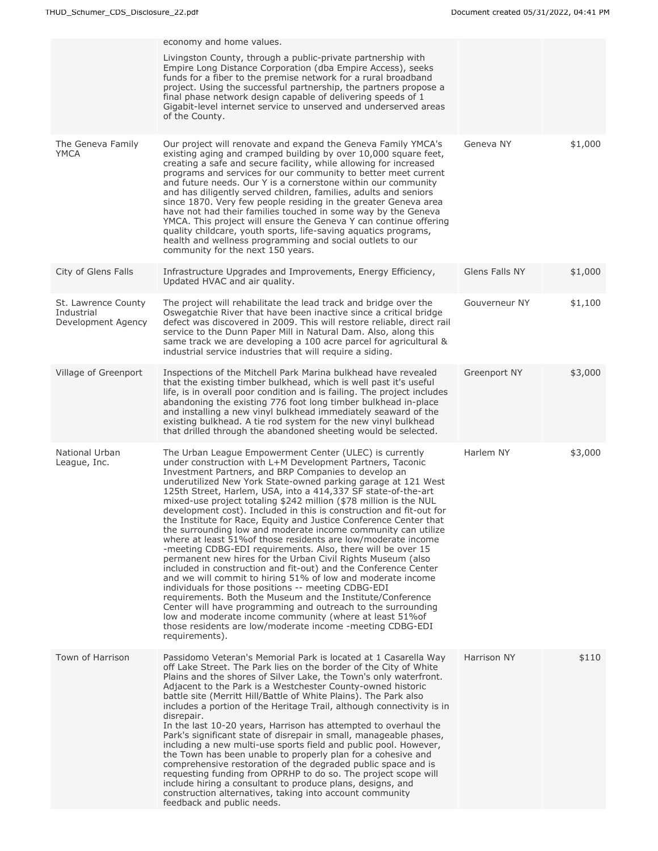| economy and home values.                                                                                                                                                                                                                                                                                                                                                                                                                                                                                                                                                                                                                                                                                                                                                                                                                                                                                                                                                                                                                                                                                                                                                                                                                                         |                |         |
|------------------------------------------------------------------------------------------------------------------------------------------------------------------------------------------------------------------------------------------------------------------------------------------------------------------------------------------------------------------------------------------------------------------------------------------------------------------------------------------------------------------------------------------------------------------------------------------------------------------------------------------------------------------------------------------------------------------------------------------------------------------------------------------------------------------------------------------------------------------------------------------------------------------------------------------------------------------------------------------------------------------------------------------------------------------------------------------------------------------------------------------------------------------------------------------------------------------------------------------------------------------|----------------|---------|
| Livingston County, through a public-private partnership with<br>Empire Long Distance Corporation (dba Empire Access), seeks<br>funds for a fiber to the premise network for a rural broadband<br>project. Using the successful partnership, the partners propose a<br>final phase network design capable of delivering speeds of 1<br>Gigabit-level internet service to unserved and underserved areas<br>of the County.                                                                                                                                                                                                                                                                                                                                                                                                                                                                                                                                                                                                                                                                                                                                                                                                                                         |                |         |
| Our project will renovate and expand the Geneva Family YMCA's<br>existing aging and cramped building by over 10,000 square feet,<br>creating a safe and secure facility, while allowing for increased<br>programs and services for our community to better meet current<br>and future needs. Our Y is a cornerstone within our community<br>and has diligently served children, families, adults and seniors<br>since 1870. Very few people residing in the greater Geneva area<br>have not had their families touched in some way by the Geneva<br>YMCA. This project will ensure the Geneva Y can continue offering<br>quality childcare, youth sports, life-saving aquatics programs,<br>health and wellness programming and social outlets to our<br>community for the next 150 years.                                                                                                                                                                                                                                                                                                                                                                                                                                                                       | Geneva NY      | \$1,000 |
| Infrastructure Upgrades and Improvements, Energy Efficiency,<br>Updated HVAC and air quality.                                                                                                                                                                                                                                                                                                                                                                                                                                                                                                                                                                                                                                                                                                                                                                                                                                                                                                                                                                                                                                                                                                                                                                    | Glens Falls NY | \$1,000 |
| The project will rehabilitate the lead track and bridge over the<br>Oswegatchie River that have been inactive since a critical bridge<br>defect was discovered in 2009. This will restore reliable, direct rail<br>service to the Dunn Paper Mill in Natural Dam. Also, along this<br>same track we are developing a 100 acre parcel for agricultural &<br>industrial service industries that will require a siding.                                                                                                                                                                                                                                                                                                                                                                                                                                                                                                                                                                                                                                                                                                                                                                                                                                             | Gouverneur NY  | \$1,100 |
| Inspections of the Mitchell Park Marina bulkhead have revealed<br>that the existing timber bulkhead, which is well past it's useful<br>life, is in overall poor condition and is failing. The project includes<br>abandoning the existing 776 foot long timber bulkhead in-place<br>and installing a new vinyl bulkhead immediately seaward of the<br>existing bulkhead. A tie rod system for the new vinyl bulkhead<br>that drilled through the abandoned sheeting would be selected.                                                                                                                                                                                                                                                                                                                                                                                                                                                                                                                                                                                                                                                                                                                                                                           | Greenport NY   | \$3,000 |
| The Urban League Empowerment Center (ULEC) is currently<br>under construction with L+M Development Partners, Taconic<br>Investment Partners, and BRP Companies to develop an<br>underutilized New York State-owned parking garage at 121 West<br>125th Street, Harlem, USA, into a 414,337 SF state-of-the-art<br>mixed-use project totaling \$242 million (\$78 million is the NUL<br>development cost). Included in this is construction and fit-out for<br>the Institute for Race, Equity and Justice Conference Center that<br>the surrounding low and moderate income community can utilize<br>where at least 51% of those residents are low/moderate income<br>-meeting CDBG-EDI requirements. Also, there will be over 15<br>permanent new hires for the Urban Civil Rights Museum (also<br>included in construction and fit-out) and the Conference Center<br>and we will commit to hiring 51% of low and moderate income<br>individuals for those positions -- meeting CDBG-EDI<br>requirements. Both the Museum and the Institute/Conference<br>Center will have programming and outreach to the surrounding<br>low and moderate income community (where at least 51%of<br>those residents are low/moderate income -meeting CDBG-EDI<br>requirements). | Harlem NY      | \$3,000 |
| Passidomo Veteran's Memorial Park is located at 1 Casarella Way<br>off Lake Street. The Park lies on the border of the City of White<br>Plains and the shores of Silver Lake, the Town's only waterfront.<br>Adjacent to the Park is a Westchester County-owned historic<br>battle site (Merritt Hill/Battle of White Plains). The Park also<br>includes a portion of the Heritage Trail, although connectivity is in<br>disrepair.<br>In the last 10-20 years, Harrison has attempted to overhaul the<br>Park's significant state of disrepair in small, manageable phases,<br>including a new multi-use sports field and public pool. However,<br>the Town has been unable to properly plan for a cohesive and<br>comprehensive restoration of the degraded public space and is<br>requesting funding from OPRHP to do so. The project scope will<br>include hiring a consultant to produce plans, designs, and<br>construction alternatives, taking into account community<br>feedback and public needs.                                                                                                                                                                                                                                                      | Harrison NY    | \$110   |
|                                                                                                                                                                                                                                                                                                                                                                                                                                                                                                                                                                                                                                                                                                                                                                                                                                                                                                                                                                                                                                                                                                                                                                                                                                                                  |                |         |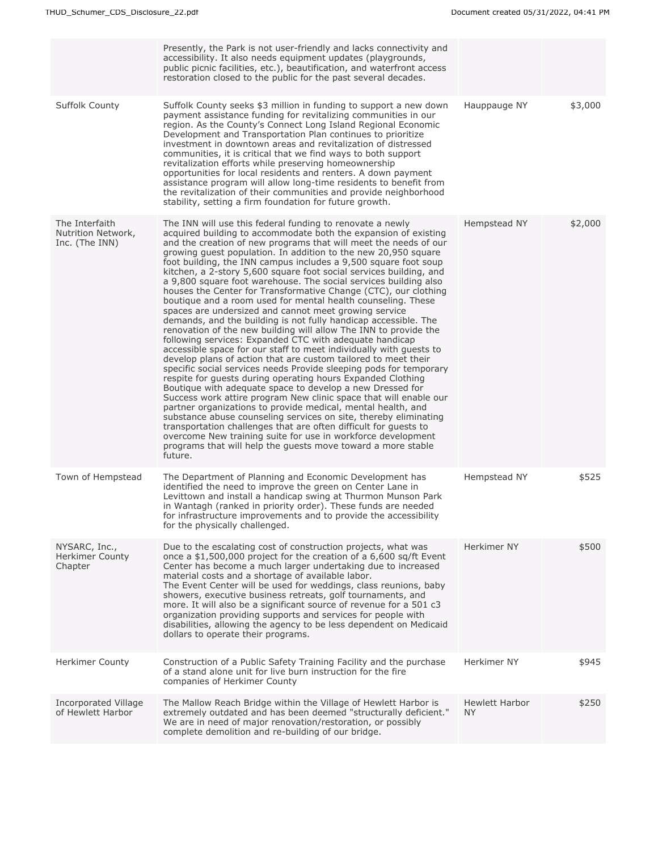|                                                        | Presently, the Park is not user-friendly and lacks connectivity and<br>accessibility. It also needs equipment updates (playgrounds,<br>public picnic facilities, etc.), beautification, and waterfront access<br>restoration closed to the public for the past several decades.                                                                                                                                                                                                                                                                                                                                                                                                                                                                                                                                                                                                                                                                                                                                                                                                                                                                                                                                                                                                                                                                                                                                                                                                                                                                                                                                                                 |                                    |         |
|--------------------------------------------------------|-------------------------------------------------------------------------------------------------------------------------------------------------------------------------------------------------------------------------------------------------------------------------------------------------------------------------------------------------------------------------------------------------------------------------------------------------------------------------------------------------------------------------------------------------------------------------------------------------------------------------------------------------------------------------------------------------------------------------------------------------------------------------------------------------------------------------------------------------------------------------------------------------------------------------------------------------------------------------------------------------------------------------------------------------------------------------------------------------------------------------------------------------------------------------------------------------------------------------------------------------------------------------------------------------------------------------------------------------------------------------------------------------------------------------------------------------------------------------------------------------------------------------------------------------------------------------------------------------------------------------------------------------|------------------------------------|---------|
| <b>Suffolk County</b>                                  | Suffolk County seeks \$3 million in funding to support a new down<br>payment assistance funding for revitalizing communities in our<br>region. As the County's Connect Long Island Regional Economic<br>Development and Transportation Plan continues to prioritize<br>investment in downtown areas and revitalization of distressed<br>communities, it is critical that we find ways to both support<br>revitalization efforts while preserving homeownership<br>opportunities for local residents and renters. A down payment<br>assistance program will allow long-time residents to benefit from<br>the revitalization of their communities and provide neighborhood<br>stability, setting a firm foundation for future growth.                                                                                                                                                                                                                                                                                                                                                                                                                                                                                                                                                                                                                                                                                                                                                                                                                                                                                                             | Hauppauge NY                       | \$3,000 |
| The Interfaith<br>Nutrition Network,<br>Inc. (The INN) | The INN will use this federal funding to renovate a newly<br>acquired building to accommodate both the expansion of existing<br>and the creation of new programs that will meet the needs of our<br>growing quest population. In addition to the new 20,950 square<br>foot building, the INN campus includes a 9,500 square foot soup<br>kitchen, a 2-story 5,600 square foot social services building, and<br>a 9,800 square foot warehouse. The social services building also<br>houses the Center for Transformative Change (CTC), our clothing<br>boutique and a room used for mental health counseling. These<br>spaces are undersized and cannot meet growing service<br>demands, and the building is not fully handicap accessible. The<br>renovation of the new building will allow The INN to provide the<br>following services: Expanded CTC with adequate handicap<br>accessible space for our staff to meet individually with quests to<br>develop plans of action that are custom tailored to meet their<br>specific social services needs Provide sleeping pods for temporary<br>respite for guests during operating hours Expanded Clothing<br>Boutique with adequate space to develop a new Dressed for<br>Success work attire program New clinic space that will enable our<br>partner organizations to provide medical, mental health, and<br>substance abuse counseling services on site, thereby eliminating<br>transportation challenges that are often difficult for guests to<br>overcome New training suite for use in workforce development<br>programs that will help the guests move toward a more stable<br>future. | Hempstead NY                       | \$2,000 |
| Town of Hempstead                                      | The Department of Planning and Economic Development has<br>identified the need to improve the green on Center Lane in<br>Levittown and install a handicap swing at Thurmon Munson Park<br>in Wantagh (ranked in priority order). These funds are needed<br>for infrastructure improvements and to provide the accessibility<br>for the physically challenged.                                                                                                                                                                                                                                                                                                                                                                                                                                                                                                                                                                                                                                                                                                                                                                                                                                                                                                                                                                                                                                                                                                                                                                                                                                                                                   | Hempstead NY                       | \$525   |
| NYSARC, Inc.,<br><b>Herkimer County</b><br>Chapter     | Due to the escalating cost of construction projects, what was<br>once a \$1,500,000 project for the creation of a 6,600 sq/ft Event<br>Center has become a much larger undertaking due to increased<br>material costs and a shortage of available labor.<br>The Event Center will be used for weddings, class reunions, baby<br>showers, executive business retreats, golf tournaments, and<br>more. It will also be a significant source of revenue for a 501 c3<br>organization providing supports and services for people with<br>disabilities, allowing the agency to be less dependent on Medicaid<br>dollars to operate their programs.                                                                                                                                                                                                                                                                                                                                                                                                                                                                                                                                                                                                                                                                                                                                                                                                                                                                                                                                                                                                   | Herkimer NY                        | \$500   |
| <b>Herkimer County</b>                                 | Construction of a Public Safety Training Facility and the purchase<br>of a stand alone unit for live burn instruction for the fire<br>companies of Herkimer County                                                                                                                                                                                                                                                                                                                                                                                                                                                                                                                                                                                                                                                                                                                                                                                                                                                                                                                                                                                                                                                                                                                                                                                                                                                                                                                                                                                                                                                                              | Herkimer NY                        | \$945   |
| Incorporated Village<br>of Hewlett Harbor              | The Mallow Reach Bridge within the Village of Hewlett Harbor is<br>extremely outdated and has been deemed "structurally deficient."<br>We are in need of major renovation/restoration, or possibly<br>complete demolition and re-building of our bridge.                                                                                                                                                                                                                                                                                                                                                                                                                                                                                                                                                                                                                                                                                                                                                                                                                                                                                                                                                                                                                                                                                                                                                                                                                                                                                                                                                                                        | <b>Hewlett Harbor</b><br><b>NY</b> | \$250   |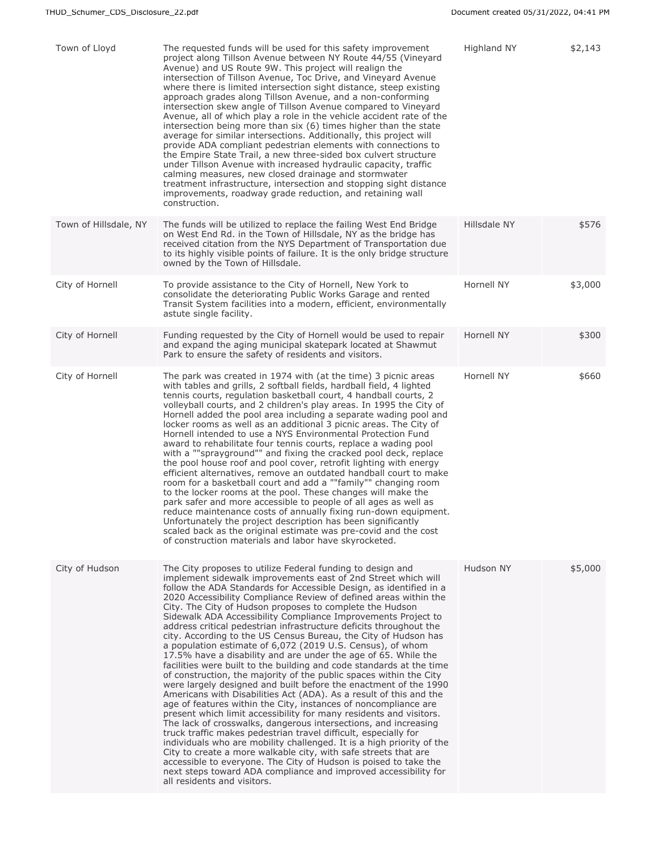| Town of Lloyd         | The requested funds will be used for this safety improvement<br>project along Tillson Avenue between NY Route 44/55 (Vineyard<br>Avenue) and US Route 9W. This project will realign the<br>intersection of Tillson Avenue, Toc Drive, and Vineyard Avenue<br>where there is limited intersection sight distance, steep existing<br>approach grades along Tillson Avenue, and a non-conforming<br>intersection skew angle of Tillson Avenue compared to Vineyard<br>Avenue, all of which play a role in the vehicle accident rate of the<br>intersection being more than six (6) times higher than the state<br>average for similar intersections. Additionally, this project will<br>provide ADA compliant pedestrian elements with connections to<br>the Empire State Trail, a new three-sided box culvert structure<br>under Tillson Avenue with increased hydraulic capacity, traffic<br>calming measures, new closed drainage and stormwater<br>treatment infrastructure, intersection and stopping sight distance<br>improvements, roadway grade reduction, and retaining wall<br>construction.                                                                                                                                                                                                                                                                                                                                                                                                                                                                 | Highland NY  | \$2,143 |
|-----------------------|----------------------------------------------------------------------------------------------------------------------------------------------------------------------------------------------------------------------------------------------------------------------------------------------------------------------------------------------------------------------------------------------------------------------------------------------------------------------------------------------------------------------------------------------------------------------------------------------------------------------------------------------------------------------------------------------------------------------------------------------------------------------------------------------------------------------------------------------------------------------------------------------------------------------------------------------------------------------------------------------------------------------------------------------------------------------------------------------------------------------------------------------------------------------------------------------------------------------------------------------------------------------------------------------------------------------------------------------------------------------------------------------------------------------------------------------------------------------------------------------------------------------------------------------------------------------|--------------|---------|
| Town of Hillsdale, NY | The funds will be utilized to replace the failing West End Bridge<br>on West End Rd. in the Town of Hillsdale, NY as the bridge has<br>received citation from the NYS Department of Transportation due<br>to its highly visible points of failure. It is the only bridge structure<br>owned by the Town of Hillsdale.                                                                                                                                                                                                                                                                                                                                                                                                                                                                                                                                                                                                                                                                                                                                                                                                                                                                                                                                                                                                                                                                                                                                                                                                                                                | Hillsdale NY | \$576   |
| City of Hornell       | To provide assistance to the City of Hornell, New York to<br>consolidate the deteriorating Public Works Garage and rented<br>Transit System facilities into a modern, efficient, environmentally<br>astute single facility.                                                                                                                                                                                                                                                                                                                                                                                                                                                                                                                                                                                                                                                                                                                                                                                                                                                                                                                                                                                                                                                                                                                                                                                                                                                                                                                                          | Hornell NY   | \$3,000 |
| City of Hornell       | Funding requested by the City of Hornell would be used to repair<br>and expand the aging municipal skatepark located at Shawmut<br>Park to ensure the safety of residents and visitors.                                                                                                                                                                                                                                                                                                                                                                                                                                                                                                                                                                                                                                                                                                                                                                                                                                                                                                                                                                                                                                                                                                                                                                                                                                                                                                                                                                              | Hornell NY   | \$300   |
| City of Hornell       | The park was created in 1974 with (at the time) 3 picnic areas<br>with tables and grills, 2 softball fields, hardball field, 4 lighted<br>tennis courts, regulation basketball court, 4 handball courts, 2<br>volleyball courts, and 2 children's play areas. In 1995 the City of<br>Hornell added the pool area including a separate wading pool and<br>locker rooms as well as an additional 3 picnic areas. The City of<br>Hornell intended to use a NYS Environmental Protection Fund<br>award to rehabilitate four tennis courts, replace a wading pool<br>with a ""sprayground"" and fixing the cracked pool deck, replace<br>the pool house roof and pool cover, retrofit lighting with energy<br>efficient alternatives, remove an outdated handball court to make<br>room for a basketball court and add a ""family"" changing room<br>to the locker rooms at the pool. These changes will make the<br>park safer and more accessible to people of all ages as well as<br>reduce maintenance costs of annually fixing run-down equipment.<br>Unfortunately the project description has been significantly<br>scaled back as the original estimate was pre-covid and the cost<br>of construction materials and labor have skyrocketed.                                                                                                                                                                                                                                                                                                                       | Hornell NY   | \$660   |
| City of Hudson        | The City proposes to utilize Federal funding to design and<br>implement sidewalk improvements east of 2nd Street which will<br>follow the ADA Standards for Accessible Design, as identified in a<br>2020 Accessibility Compliance Review of defined areas within the<br>City. The City of Hudson proposes to complete the Hudson<br>Sidewalk ADA Accessibility Compliance Improvements Project to<br>address critical pedestrian infrastructure deficits throughout the<br>city. According to the US Census Bureau, the City of Hudson has<br>a population estimate of 6,072 (2019 U.S. Census), of whom<br>17.5% have a disability and are under the age of 65. While the<br>facilities were built to the building and code standards at the time<br>of construction, the majority of the public spaces within the City<br>were largely designed and built before the enactment of the 1990<br>Americans with Disabilities Act (ADA). As a result of this and the<br>age of features within the City, instances of noncompliance are<br>present which limit accessibility for many residents and visitors.<br>The lack of crosswalks, dangerous intersections, and increasing<br>truck traffic makes pedestrian travel difficult, especially for<br>individuals who are mobility challenged. It is a high priority of the<br>City to create a more walkable city, with safe streets that are<br>accessible to everyone. The City of Hudson is poised to take the<br>next steps toward ADA compliance and improved accessibility for<br>all residents and visitors. | Hudson NY    | \$5,000 |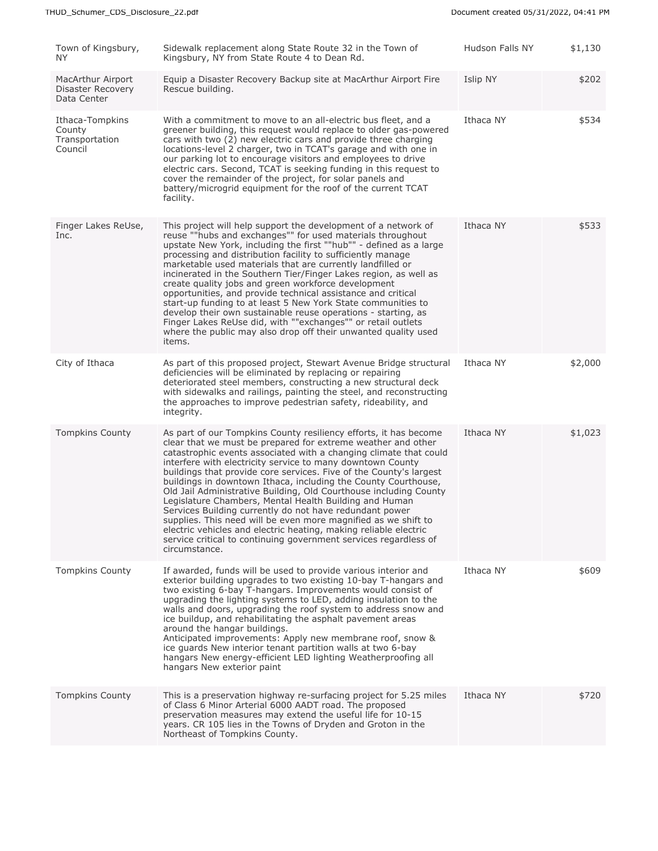| Town of Kingsbury,<br>NY.                                    | Sidewalk replacement along State Route 32 in the Town of<br>Kingsbury, NY from State Route 4 to Dean Rd.                                                                                                                                                                                                                                                                                                                                                                                                                                                                                                                                                                                                                                                                                                                         | Hudson Falls NY | \$1,130 |
|--------------------------------------------------------------|----------------------------------------------------------------------------------------------------------------------------------------------------------------------------------------------------------------------------------------------------------------------------------------------------------------------------------------------------------------------------------------------------------------------------------------------------------------------------------------------------------------------------------------------------------------------------------------------------------------------------------------------------------------------------------------------------------------------------------------------------------------------------------------------------------------------------------|-----------------|---------|
| MacArthur Airport<br><b>Disaster Recovery</b><br>Data Center | Equip a Disaster Recovery Backup site at MacArthur Airport Fire<br>Rescue building.                                                                                                                                                                                                                                                                                                                                                                                                                                                                                                                                                                                                                                                                                                                                              | Islip NY        | \$202   |
| Ithaca-Tompkins<br>County<br>Transportation<br>Council       | With a commitment to move to an all-electric bus fleet, and a<br>greener building, this request would replace to older gas-powered<br>cars with two (2) new electric cars and provide three charging<br>locations-level 2 charger, two in TCAT's garage and with one in<br>our parking lot to encourage visitors and employees to drive<br>electric cars. Second, TCAT is seeking funding in this request to<br>cover the remainder of the project, for solar panels and<br>battery/microgrid equipment for the roof of the current TCAT<br>facility.                                                                                                                                                                                                                                                                            | Ithaca NY       | \$534   |
| Finger Lakes ReUse,<br>Inc.                                  | This project will help support the development of a network of<br>reuse ""hubs and exchanges"" for used materials throughout<br>upstate New York, including the first ""hub"" - defined as a large<br>processing and distribution facility to sufficiently manage<br>marketable used materials that are currently landfilled or<br>incinerated in the Southern Tier/Finger Lakes region, as well as<br>create quality jobs and green workforce development<br>opportunities, and provide technical assistance and critical<br>start-up funding to at least 5 New York State communities to<br>develop their own sustainable reuse operations - starting, as<br>Finger Lakes ReUse did, with ""exchanges"" or retail outlets<br>where the public may also drop off their unwanted quality used<br>items.                          | Ithaca NY       | \$533   |
| City of Ithaca                                               | As part of this proposed project, Stewart Avenue Bridge structural<br>deficiencies will be eliminated by replacing or repairing<br>deteriorated steel members, constructing a new structural deck<br>with sidewalks and railings, painting the steel, and reconstructing<br>the approaches to improve pedestrian safety, rideability, and<br>integrity.                                                                                                                                                                                                                                                                                                                                                                                                                                                                          | Ithaca NY       | \$2,000 |
| <b>Tompkins County</b>                                       | As part of our Tompkins County resiliency efforts, it has become<br>clear that we must be prepared for extreme weather and other<br>catastrophic events associated with a changing climate that could<br>interfere with electricity service to many downtown County<br>buildings that provide core services. Five of the County's largest<br>buildings in downtown Ithaca, including the County Courthouse,<br>Old Jail Administrative Building, Old Courthouse including County<br>Legislature Chambers, Mental Health Building and Human<br>Services Building currently do not have redundant power<br>supplies. This need will be even more magnified as we shift to<br>electric vehicles and electric heating, making reliable electric<br>service critical to continuing government services regardless of<br>circumstance. | Ithaca NY       | \$1,023 |
| <b>Tompkins County</b>                                       | If awarded, funds will be used to provide various interior and<br>exterior building upgrades to two existing 10-bay T-hangars and<br>two existing 6-bay T-hangars. Improvements would consist of<br>upgrading the lighting systems to LED, adding insulation to the<br>walls and doors, upgrading the roof system to address snow and<br>ice buildup, and rehabilitating the asphalt pavement areas<br>around the hangar buildings.<br>Anticipated improvements: Apply new membrane roof, snow &<br>ice guards New interior tenant partition walls at two 6-bay<br>hangars New energy-efficient LED lighting Weatherproofing all<br>hangars New exterior paint                                                                                                                                                                   | Ithaca NY       | \$609   |
| <b>Tompkins County</b>                                       | This is a preservation highway re-surfacing project for 5.25 miles<br>of Class 6 Minor Arterial 6000 AADT road. The proposed<br>preservation measures may extend the useful life for 10-15<br>years. CR 105 lies in the Towns of Dryden and Groton in the<br>Northeast of Tompkins County.                                                                                                                                                                                                                                                                                                                                                                                                                                                                                                                                       | Ithaca NY       | \$720   |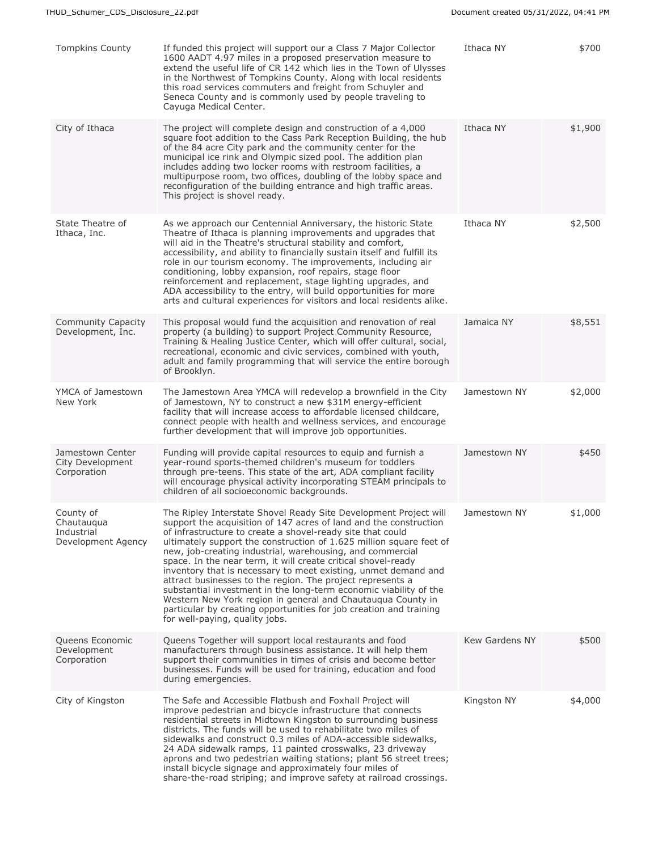| <b>Tompkins County</b>                                      | If funded this project will support our a Class 7 Major Collector<br>1600 AADT 4.97 miles in a proposed preservation measure to<br>extend the useful life of CR 142 which lies in the Town of Ulysses<br>in the Northwest of Tompkins County. Along with local residents<br>this road services commuters and freight from Schuyler and<br>Seneca County and is commonly used by people traveling to<br>Cayuga Medical Center.                                                                                                                                                                                                                                                                                                                                                        | Ithaca NY             | \$700   |
|-------------------------------------------------------------|--------------------------------------------------------------------------------------------------------------------------------------------------------------------------------------------------------------------------------------------------------------------------------------------------------------------------------------------------------------------------------------------------------------------------------------------------------------------------------------------------------------------------------------------------------------------------------------------------------------------------------------------------------------------------------------------------------------------------------------------------------------------------------------|-----------------------|---------|
| City of Ithaca                                              | The project will complete design and construction of a 4,000<br>square foot addition to the Cass Park Reception Building, the hub<br>of the 84 acre City park and the community center for the<br>municipal ice rink and Olympic sized pool. The addition plan<br>includes adding two locker rooms with restroom facilities, a<br>multipurpose room, two offices, doubling of the lobby space and<br>reconfiguration of the building entrance and high traffic areas.<br>This project is shovel ready.                                                                                                                                                                                                                                                                               | Ithaca NY             | \$1,900 |
| State Theatre of<br>Ithaca, Inc.                            | As we approach our Centennial Anniversary, the historic State<br>Theatre of Ithaca is planning improvements and upgrades that<br>will aid in the Theatre's structural stability and comfort,<br>accessibility, and ability to financially sustain itself and fulfill its<br>role in our tourism economy. The improvements, including air<br>conditioning, lobby expansion, roof repairs, stage floor<br>reinforcement and replacement, stage lighting upgrades, and<br>ADA accessibility to the entry, will build opportunities for more<br>arts and cultural experiences for visitors and local residents alike.                                                                                                                                                                    | Ithaca NY             | \$2,500 |
| Community Capacity<br>Development, Inc.                     | This proposal would fund the acquisition and renovation of real<br>property (a building) to support Project Community Resource,<br>Training & Healing Justice Center, which will offer cultural, social,<br>recreational, economic and civic services, combined with youth,<br>adult and family programming that will service the entire borough<br>of Brooklyn.                                                                                                                                                                                                                                                                                                                                                                                                                     | Jamaica NY            | \$8,551 |
| YMCA of Jamestown<br>New York                               | The Jamestown Area YMCA will redevelop a brownfield in the City<br>of Jamestown, NY to construct a new \$31M energy-efficient<br>facility that will increase access to affordable licensed childcare,<br>connect people with health and wellness services, and encourage<br>further development that will improve job opportunities.                                                                                                                                                                                                                                                                                                                                                                                                                                                 | Jamestown NY          | \$2,000 |
| Jamestown Center<br>City Development<br>Corporation         | Funding will provide capital resources to equip and furnish a<br>year-round sports-themed children's museum for toddlers<br>through pre-teens. This state of the art, ADA compliant facility<br>will encourage physical activity incorporating STEAM principals to<br>children of all socioeconomic backgrounds.                                                                                                                                                                                                                                                                                                                                                                                                                                                                     | Jamestown NY          | \$450   |
| County of<br>Chautauqua<br>Industrial<br>Development Agency | The Ripley Interstate Shovel Ready Site Development Project will<br>support the acquisition of 147 acres of land and the construction<br>of infrastructure to create a shovel-ready site that could<br>ultimately support the construction of 1.625 million square feet of<br>new, job-creating industrial, warehousing, and commercial<br>space. In the near term, it will create critical shovel-ready<br>inventory that is necessary to meet existing, unmet demand and<br>attract businesses to the region. The project represents a<br>substantial investment in the long-term economic viability of the<br>Western New York region in general and Chautauqua County in<br>particular by creating opportunities for job creation and training<br>for well-paying, quality jobs. | Jamestown NY          | \$1,000 |
| Queens Economic<br>Development<br>Corporation               | Queens Together will support local restaurants and food<br>manufacturers through business assistance. It will help them<br>support their communities in times of crisis and become better<br>businesses. Funds will be used for training, education and food<br>during emergencies.                                                                                                                                                                                                                                                                                                                                                                                                                                                                                                  | <b>Kew Gardens NY</b> | \$500   |
| City of Kingston                                            | The Safe and Accessible Flatbush and Foxhall Project will<br>improve pedestrian and bicycle infrastructure that connects<br>residential streets in Midtown Kingston to surrounding business<br>districts. The funds will be used to rehabilitate two miles of<br>sidewalks and construct 0.3 miles of ADA-accessible sidewalks,<br>24 ADA sidewalk ramps, 11 painted crosswalks, 23 driveway<br>aprons and two pedestrian waiting stations; plant 56 street trees;<br>install bicycle signage and approximately four miles of<br>share-the-road striping; and improve safety at railroad crossings.                                                                                                                                                                                  | Kingston NY           | \$4,000 |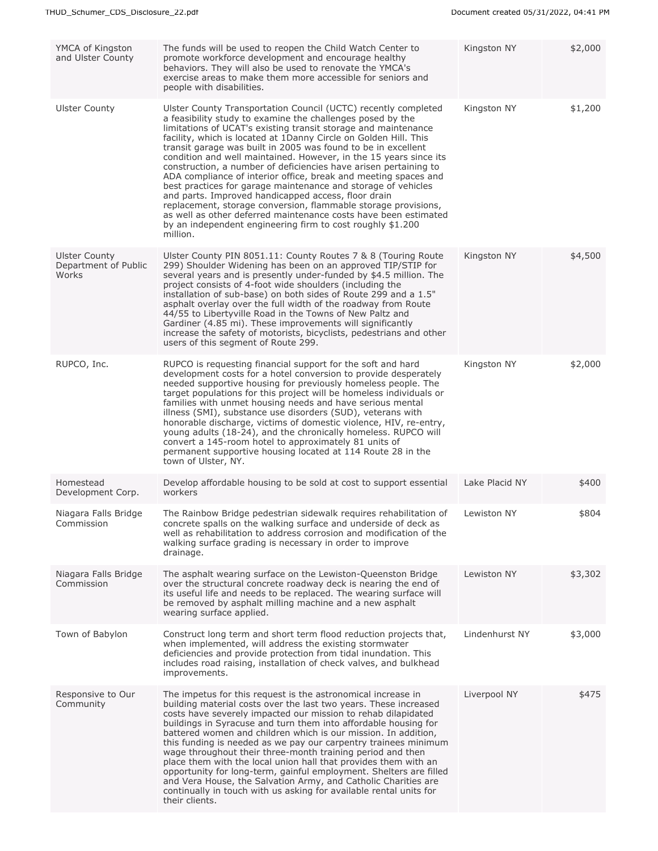| YMCA of Kingston<br>and Ulster County                 | The funds will be used to reopen the Child Watch Center to<br>promote workforce development and encourage healthy<br>behaviors. They will also be used to renovate the YMCA's<br>exercise areas to make them more accessible for seniors and<br>people with disabilities.                                                                                                                                                                                                                                                                                                                                                                                                                                                                                                                                                                                                              | Kingston NY    | \$2,000 |
|-------------------------------------------------------|----------------------------------------------------------------------------------------------------------------------------------------------------------------------------------------------------------------------------------------------------------------------------------------------------------------------------------------------------------------------------------------------------------------------------------------------------------------------------------------------------------------------------------------------------------------------------------------------------------------------------------------------------------------------------------------------------------------------------------------------------------------------------------------------------------------------------------------------------------------------------------------|----------------|---------|
| <b>Ulster County</b>                                  | Ulster County Transportation Council (UCTC) recently completed<br>a feasibility study to examine the challenges posed by the<br>limitations of UCAT's existing transit storage and maintenance<br>facility, which is located at 1Danny Circle on Golden Hill. This<br>transit garage was built in 2005 was found to be in excellent<br>condition and well maintained. However, in the 15 years since its<br>construction, a number of deficiencies have arisen pertaining to<br>ADA compliance of interior office, break and meeting spaces and<br>best practices for garage maintenance and storage of vehicles<br>and parts. Improved handicapped access, floor drain<br>replacement, storage conversion, flammable storage provisions,<br>as well as other deferred maintenance costs have been estimated<br>by an independent engineering firm to cost roughly \$1.200<br>million. | Kingston NY    | \$1,200 |
| <b>Ulster County</b><br>Department of Public<br>Works | Ulster County PIN 8051.11: County Routes 7 & 8 (Touring Route<br>299) Shoulder Widening has been on an approved TIP/STIP for<br>several years and is presently under-funded by \$4.5 million. The<br>project consists of 4-foot wide shoulders (including the<br>installation of sub-base) on both sides of Route 299 and a 1.5"<br>asphalt overlay over the full width of the roadway from Route<br>44/55 to Libertyville Road in the Towns of New Paltz and<br>Gardiner (4.85 mi). These improvements will significantly<br>increase the safety of motorists, bicyclists, pedestrians and other<br>users of this segment of Route 299.                                                                                                                                                                                                                                               | Kingston NY    | \$4,500 |
| RUPCO, Inc.                                           | RUPCO is requesting financial support for the soft and hard<br>development costs for a hotel conversion to provide desperately<br>needed supportive housing for previously homeless people. The<br>target populations for this project will be homeless individuals or<br>families with unmet housing needs and have serious mental<br>illness (SMI), substance use disorders (SUD), veterans with<br>honorable discharge, victims of domestic violence, HIV, re-entry,<br>young adults (18-24), and the chronically homeless. RUPCO will<br>convert a 145-room hotel to approximately 81 units of<br>permanent supportive housing located at 114 Route 28 in the<br>town of Ulster, NY.                                                                                                                                                                                               | Kingston NY    | \$2,000 |
| Homestead<br>Development Corp.                        | Develop affordable housing to be sold at cost to support essential<br>workers                                                                                                                                                                                                                                                                                                                                                                                                                                                                                                                                                                                                                                                                                                                                                                                                          | Lake Placid NY | \$400   |
| Niagara Falls Bridge<br>Commission                    | The Rainbow Bridge pedestrian sidewalk requires rehabilitation of<br>concrete spalls on the walking surface and underside of deck as<br>well as rehabilitation to address corrosion and modification of the<br>walking surface grading is necessary in order to improve<br>drainage.                                                                                                                                                                                                                                                                                                                                                                                                                                                                                                                                                                                                   | Lewiston NY    | \$804   |
| Niagara Falls Bridge<br>Commission                    | The asphalt wearing surface on the Lewiston-Queenston Bridge<br>over the structural concrete roadway deck is nearing the end of<br>its useful life and needs to be replaced. The wearing surface will<br>be removed by asphalt milling machine and a new asphalt<br>wearing surface applied.                                                                                                                                                                                                                                                                                                                                                                                                                                                                                                                                                                                           | Lewiston NY    | \$3,302 |
| Town of Babylon                                       | Construct long term and short term flood reduction projects that,<br>when implemented, will address the existing stormwater<br>deficiencies and provide protection from tidal inundation. This<br>includes road raising, installation of check valves, and bulkhead<br>improvements.                                                                                                                                                                                                                                                                                                                                                                                                                                                                                                                                                                                                   | Lindenhurst NY | \$3,000 |
| Responsive to Our<br>Community                        | The impetus for this request is the astronomical increase in<br>building material costs over the last two years. These increased<br>costs have severely impacted our mission to rehab dilapidated<br>buildings in Syracuse and turn them into affordable housing for<br>battered women and children which is our mission. In addition,<br>this funding is needed as we pay our carpentry trainees minimum<br>wage throughout their three-month training period and then<br>place them with the local union hall that provides them with an<br>opportunity for long-term, gainful employment. Shelters are filled<br>and Vera House, the Salvation Army, and Catholic Charities are<br>continually in touch with us asking for available rental units for<br>their clients.                                                                                                             | Liverpool NY   | \$475   |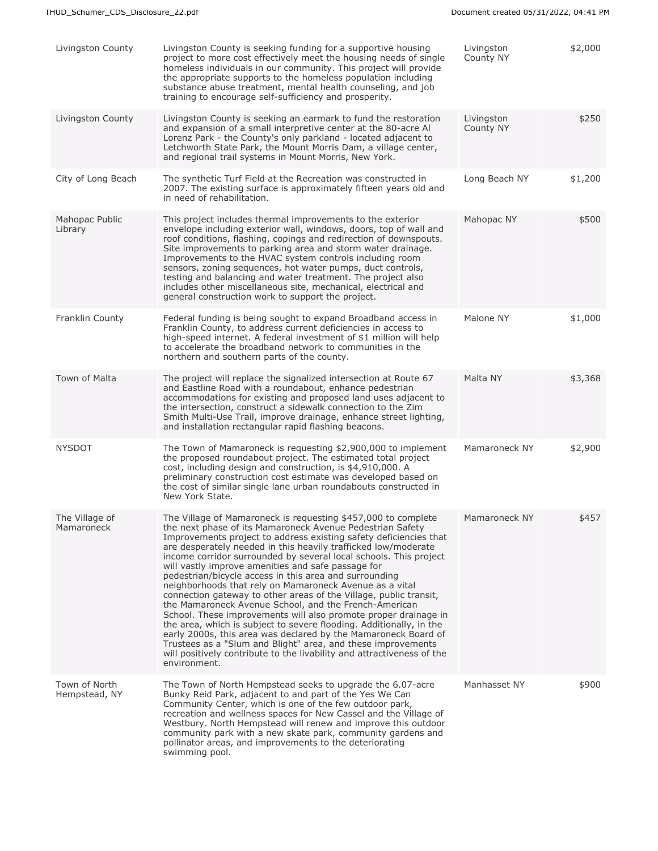| Livingston County              | Livingston County is seeking funding for a supportive housing<br>project to more cost effectively meet the housing needs of single<br>homeless individuals in our community. This project will provide<br>the appropriate supports to the homeless population including<br>substance abuse treatment, mental health counseling, and job<br>training to encourage self-sufficiency and prosperity.                                                                                                                                                                                                                                                                                                                                                                                                                                                                                                                                                                                                                     | Livingston<br>County NY | \$2,000 |
|--------------------------------|-----------------------------------------------------------------------------------------------------------------------------------------------------------------------------------------------------------------------------------------------------------------------------------------------------------------------------------------------------------------------------------------------------------------------------------------------------------------------------------------------------------------------------------------------------------------------------------------------------------------------------------------------------------------------------------------------------------------------------------------------------------------------------------------------------------------------------------------------------------------------------------------------------------------------------------------------------------------------------------------------------------------------|-------------------------|---------|
| Livingston County              | Livingston County is seeking an earmark to fund the restoration<br>and expansion of a small interpretive center at the 80-acre Al<br>Lorenz Park - the County's only parkland - located adjacent to<br>Letchworth State Park, the Mount Morris Dam, a village center,<br>and regional trail systems in Mount Morris, New York.                                                                                                                                                                                                                                                                                                                                                                                                                                                                                                                                                                                                                                                                                        | Livingston<br>County NY | \$250   |
| City of Long Beach             | The synthetic Turf Field at the Recreation was constructed in<br>2007. The existing surface is approximately fifteen years old and<br>in need of rehabilitation.                                                                                                                                                                                                                                                                                                                                                                                                                                                                                                                                                                                                                                                                                                                                                                                                                                                      | Long Beach NY           | \$1,200 |
| Mahopac Public<br>Library      | This project includes thermal improvements to the exterior<br>envelope including exterior wall, windows, doors, top of wall and<br>roof conditions, flashing, copings and redirection of downspouts.<br>Site improvements to parking area and storm water drainage.<br>Improvements to the HVAC system controls including room<br>sensors, zoning sequences, hot water pumps, duct controls,<br>testing and balancing and water treatment. The project also<br>includes other miscellaneous site, mechanical, electrical and<br>general construction work to support the project.                                                                                                                                                                                                                                                                                                                                                                                                                                     | Mahopac NY              | \$500   |
| Franklin County                | Federal funding is being sought to expand Broadband access in<br>Franklin County, to address current deficiencies in access to<br>high-speed internet. A federal investment of \$1 million will help<br>to accelerate the broadband network to communities in the<br>northern and southern parts of the county.                                                                                                                                                                                                                                                                                                                                                                                                                                                                                                                                                                                                                                                                                                       | Malone NY               | \$1,000 |
| Town of Malta                  | The project will replace the signalized intersection at Route 67<br>and Eastline Road with a roundabout, enhance pedestrian<br>accommodations for existing and proposed land uses adjacent to<br>the intersection, construct a sidewalk connection to the Zim<br>Smith Multi-Use Trail, improve drainage, enhance street lighting,<br>and installation rectangular rapid flashing beacons.                                                                                                                                                                                                                                                                                                                                                                                                                                                                                                                                                                                                                            | Malta NY                | \$3,368 |
| <b>NYSDOT</b>                  | The Town of Mamaroneck is requesting \$2,900,000 to implement<br>the proposed roundabout project. The estimated total project<br>cost, including design and construction, is \$4,910,000. A<br>preliminary construction cost estimate was developed based on<br>the cost of similar single lane urban roundabouts constructed in<br>New York State.                                                                                                                                                                                                                                                                                                                                                                                                                                                                                                                                                                                                                                                                   | Mamaroneck NY           | \$2,900 |
| The Village of<br>Mamaroneck   | The Village of Mamaroneck is requesting \$457,000 to complete<br>the next phase of its Mamaroneck Avenue Pedestrian Safety<br>Improvements project to address existing safety deficiencies that<br>are desperately needed in this heavily trafficked low/moderate<br>income corridor surrounded by several local schools. This project<br>will vastly improve amenities and safe passage for<br>pedestrian/bicycle access in this area and surrounding<br>neighborhoods that rely on Mamaroneck Avenue as a vital<br>connection gateway to other areas of the Village, public transit,<br>the Mamaroneck Avenue School, and the French-American<br>School. These improvements will also promote proper drainage in<br>the area, which is subject to severe flooding. Additionally, in the<br>early 2000s, this area was declared by the Mamaroneck Board of<br>Trustees as a "Slum and Blight" area, and these improvements<br>will positively contribute to the livability and attractiveness of the<br>environment. | Mamaroneck NY           | \$457   |
| Town of North<br>Hempstead, NY | The Town of North Hempstead seeks to upgrade the 6.07-acre<br>Bunky Reid Park, adjacent to and part of the Yes We Can<br>Community Center, which is one of the few outdoor park,<br>recreation and wellness spaces for New Cassel and the Village of<br>Westbury. North Hempstead will renew and improve this outdoor<br>community park with a new skate park, community gardens and<br>pollinator areas, and improvements to the deteriorating<br>swimming pool.                                                                                                                                                                                                                                                                                                                                                                                                                                                                                                                                                     | Manhasset NY            | \$900   |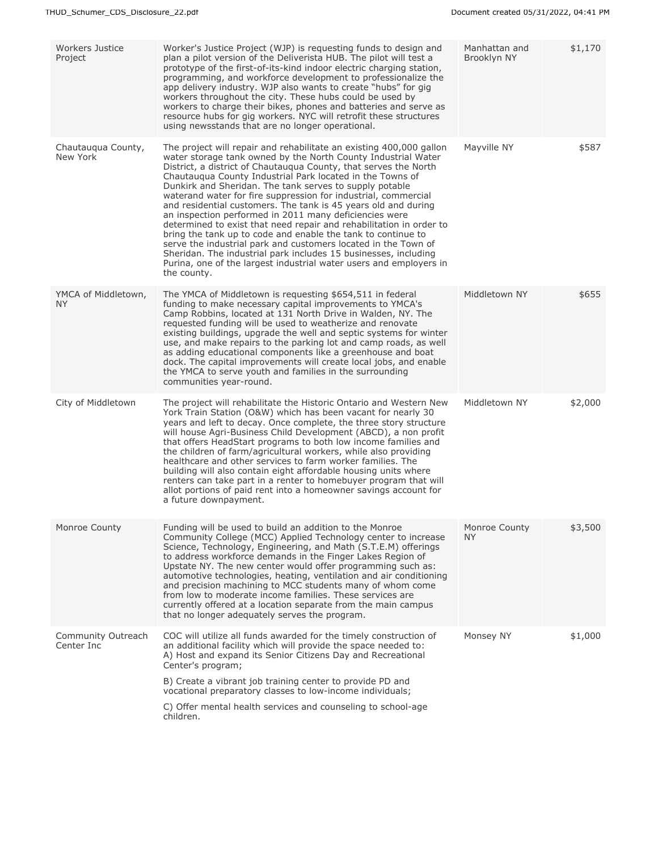| <b>Workers Justice</b><br>Project | Worker's Justice Project (WJP) is requesting funds to design and<br>plan a pilot version of the Deliverista HUB. The pilot will test a<br>prototype of the first-of-its-kind indoor electric charging station,<br>programming, and workforce development to professionalize the<br>app delivery industry. WJP also wants to create "hubs" for gig<br>workers throughout the city. These hubs could be used by<br>workers to charge their bikes, phones and batteries and serve as<br>resource hubs for gig workers. NYC will retrofit these structures<br>using newsstands that are no longer operational.                                                                                                                                                                                                                                                                                      | Manhattan and<br>Brooklyn NY | \$1,170 |
|-----------------------------------|-------------------------------------------------------------------------------------------------------------------------------------------------------------------------------------------------------------------------------------------------------------------------------------------------------------------------------------------------------------------------------------------------------------------------------------------------------------------------------------------------------------------------------------------------------------------------------------------------------------------------------------------------------------------------------------------------------------------------------------------------------------------------------------------------------------------------------------------------------------------------------------------------|------------------------------|---------|
| Chautauqua County,<br>New York    | The project will repair and rehabilitate an existing 400,000 gallon<br>water storage tank owned by the North County Industrial Water<br>District, a district of Chautauqua County, that serves the North<br>Chautaugua County Industrial Park located in the Towns of<br>Dunkirk and Sheridan. The tank serves to supply potable<br>waterand water for fire suppression for industrial, commercial<br>and residential customers. The tank is 45 years old and during<br>an inspection performed in 2011 many deficiencies were<br>determined to exist that need repair and rehabilitation in order to<br>bring the tank up to code and enable the tank to continue to<br>serve the industrial park and customers located in the Town of<br>Sheridan. The industrial park includes 15 businesses, including<br>Purina, one of the largest industrial water users and employers in<br>the county. | Mayville NY                  | \$587   |
| YMCA of Middletown,<br><b>NY</b>  | The YMCA of Middletown is requesting \$654,511 in federal<br>funding to make necessary capital improvements to YMCA's<br>Camp Robbins, located at 131 North Drive in Walden, NY. The<br>requested funding will be used to weatherize and renovate<br>existing buildings, upgrade the well and septic systems for winter<br>use, and make repairs to the parking lot and camp roads, as well<br>as adding educational components like a greenhouse and boat<br>dock. The capital improvements will create local jobs, and enable<br>the YMCA to serve youth and families in the surrounding<br>communities year-round.                                                                                                                                                                                                                                                                           | Middletown NY                | \$655   |
| City of Middletown                | The project will rehabilitate the Historic Ontario and Western New<br>York Train Station (O&W) which has been vacant for nearly 30<br>years and left to decay. Once complete, the three story structure<br>will house Agri-Business Child Development (ABCD), a non profit<br>that offers HeadStart programs to both low income families and<br>the children of farm/agricultural workers, while also providing<br>healthcare and other services to farm worker families. The<br>building will also contain eight affordable housing units where<br>renters can take part in a renter to homebuyer program that will<br>allot portions of paid rent into a homeowner savings account for<br>a future downpayment.                                                                                                                                                                               | Middletown NY                | \$2,000 |
| Monroe County                     | Funding will be used to build an addition to the Monroe<br>Community College (MCC) Applied Technology center to increase<br>Science, Technology, Engineering, and Math (S.T.E.M) offerings<br>to address workforce demands in the Finger Lakes Region of<br>Upstate NY. The new center would offer programming such as:<br>automotive technologies, heating, ventilation and air conditioning<br>and precision machining to MCC students many of whom come<br>from low to moderate income families. These services are<br>currently offered at a location separate from the main campus<br>that no longer adequately serves the program.                                                                                                                                                                                                                                                        | Monroe County<br><b>NY</b>   | \$3,500 |
| Community Outreach<br>Center Inc  | COC will utilize all funds awarded for the timely construction of<br>an additional facility which will provide the space needed to:<br>A) Host and expand its Senior Citizens Day and Recreational<br>Center's program;<br>B) Create a vibrant job training center to provide PD and<br>vocational preparatory classes to low-income individuals;<br>C) Offer mental health services and counseling to school-age<br>children.                                                                                                                                                                                                                                                                                                                                                                                                                                                                  | Monsey NY                    | \$1,000 |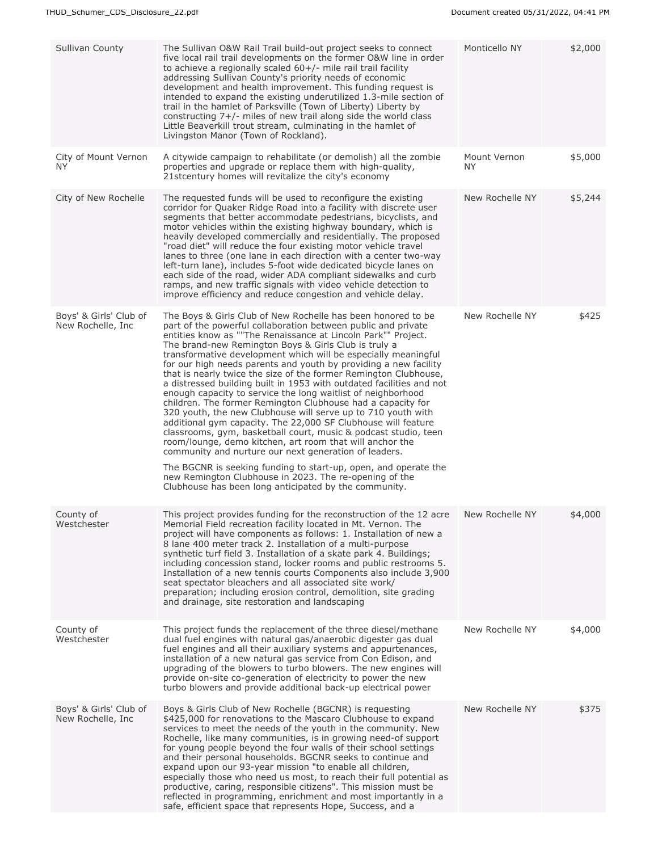| Sullivan County                              | The Sullivan O&W Rail Trail build-out project seeks to connect<br>five local rail trail developments on the former O&W line in order<br>to achieve a regionally scaled $60+/-$ mile rail trail facility<br>addressing Sullivan County's priority needs of economic<br>development and health improvement. This funding request is<br>intended to expand the existing underutilized 1.3-mile section of<br>trail in the hamlet of Parksville (Town of Liberty) Liberty by<br>constructing $7+/-$ miles of new trail along side the world class<br>Little Beaverkill trout stream, culminating in the hamlet of<br>Livingston Manor (Town of Rockland).                                                                                                                                                                                                                                                                                                                                                                                                                                                                                                                                  | Monticello NY             | \$2,000 |
|----------------------------------------------|----------------------------------------------------------------------------------------------------------------------------------------------------------------------------------------------------------------------------------------------------------------------------------------------------------------------------------------------------------------------------------------------------------------------------------------------------------------------------------------------------------------------------------------------------------------------------------------------------------------------------------------------------------------------------------------------------------------------------------------------------------------------------------------------------------------------------------------------------------------------------------------------------------------------------------------------------------------------------------------------------------------------------------------------------------------------------------------------------------------------------------------------------------------------------------------|---------------------------|---------|
| City of Mount Vernon<br>NY.                  | A citywide campaign to rehabilitate (or demolish) all the zombie<br>properties and upgrade or replace them with high-quality,<br>21stcentury homes will revitalize the city's economy                                                                                                                                                                                                                                                                                                                                                                                                                                                                                                                                                                                                                                                                                                                                                                                                                                                                                                                                                                                                  | Mount Vernon<br><b>NY</b> | \$5,000 |
| City of New Rochelle                         | The requested funds will be used to reconfigure the existing<br>corridor for Quaker Ridge Road into a facility with discrete user<br>segments that better accommodate pedestrians, bicyclists, and<br>motor vehicles within the existing highway boundary, which is<br>heavily developed commercially and residentially. The proposed<br>"road diet" will reduce the four existing motor vehicle travel<br>lanes to three (one lane in each direction with a center two-way<br>left-turn lane), includes 5-foot wide dedicated bicycle lanes on<br>each side of the road, wider ADA compliant sidewalks and curb<br>ramps, and new traffic signals with video vehicle detection to<br>improve efficiency and reduce congestion and vehicle delay.                                                                                                                                                                                                                                                                                                                                                                                                                                      | New Rochelle NY           | \$5,244 |
| Boys' & Girls' Club of<br>New Rochelle, Inc. | The Boys & Girls Club of New Rochelle has been honored to be<br>part of the powerful collaboration between public and private<br>entities know as ""The Renaissance at Lincoln Park"" Project.<br>The brand-new Remington Boys & Girls Club is truly a<br>transformative development which will be especially meaningful<br>for our high needs parents and youth by providing a new facility<br>that is nearly twice the size of the former Remington Clubhouse,<br>a distressed building built in 1953 with outdated facilities and not<br>enough capacity to service the long waitlist of neighborhood<br>children. The former Remington Clubhouse had a capacity for<br>320 youth, the new Clubhouse will serve up to 710 youth with<br>additional gym capacity. The 22,000 SF Clubhouse will feature<br>classrooms, gym, basketball court, music & podcast studio, teen<br>room/lounge, demo kitchen, art room that will anchor the<br>community and nurture our next generation of leaders.<br>The BGCNR is seeking funding to start-up, open, and operate the<br>new Remington Clubhouse in 2023. The re-opening of the<br>Clubhouse has been long anticipated by the community. | New Rochelle NY           | \$425   |
| County of<br>Westchester                     | This project provides funding for the reconstruction of the 12 acre<br>Memorial Field recreation facility located in Mt. Vernon. The<br>project will have components as follows: 1. Installation of new a<br>8 lane 400 meter track 2. Installation of a multi-purpose<br>synthetic turf field 3. Installation of a skate park 4. Buildings;<br>including concession stand, locker rooms and public restrooms 5.<br>Installation of a new tennis courts Components also include 3,900<br>seat spectator bleachers and all associated site work/<br>preparation; including erosion control, demolition, site grading<br>and drainage, site restoration and landscaping                                                                                                                                                                                                                                                                                                                                                                                                                                                                                                                  | New Rochelle NY           | \$4,000 |
| County of<br>Westchester                     | This project funds the replacement of the three diesel/methane<br>dual fuel engines with natural gas/anaerobic digester gas dual<br>fuel engines and all their auxiliary systems and appurtenances,<br>installation of a new natural gas service from Con Edison, and<br>upgrading of the blowers to turbo blowers. The new engines will<br>provide on-site co-generation of electricity to power the new<br>turbo blowers and provide additional back-up electrical power                                                                                                                                                                                                                                                                                                                                                                                                                                                                                                                                                                                                                                                                                                             | New Rochelle NY           | \$4,000 |
| Boys' & Girls' Club of<br>New Rochelle, Inc. | Boys & Girls Club of New Rochelle (BGCNR) is requesting<br>\$425,000 for renovations to the Mascaro Clubhouse to expand<br>services to meet the needs of the youth in the community. New<br>Rochelle, like many communities, is in growing need-of support<br>for young people beyond the four walls of their school settings<br>and their personal households. BGCNR seeks to continue and<br>expand upon our 93-year mission "to enable all children,<br>especially those who need us most, to reach their full potential as<br>productive, caring, responsible citizens". This mission must be<br>reflected in programming, enrichment and most importantly in a<br>safe, efficient space that represents Hope, Success, and a                                                                                                                                                                                                                                                                                                                                                                                                                                                      | New Rochelle NY           | \$375   |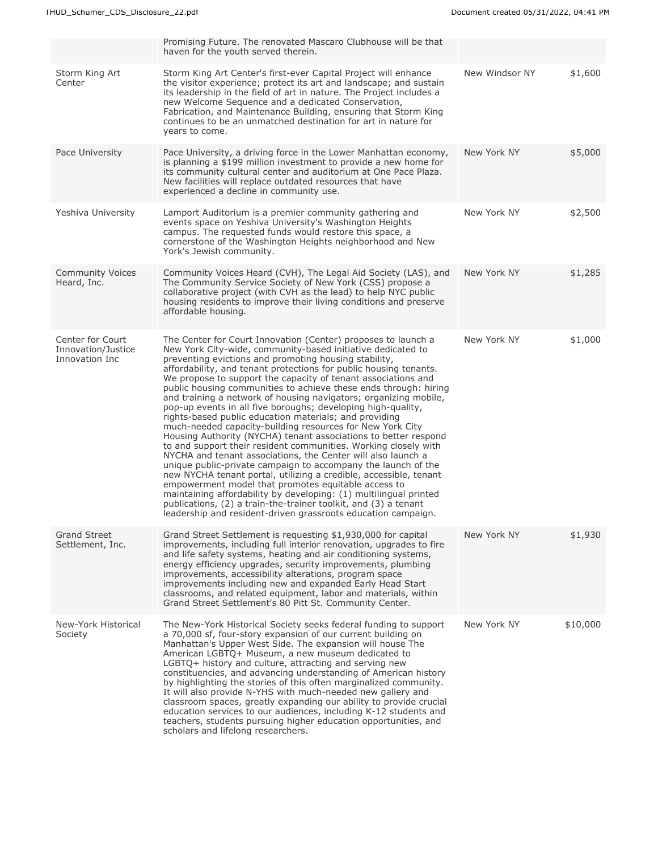|                                                          | Promising Future. The renovated Mascaro Clubhouse will be that<br>haven for the youth served therein.                                                                                                                                                                                                                                                                                                                                                                                                                                                                                                                                                                                                                                                                                                                                                                                                                                                                                                                                                                                                                                                                                                                                                                  |                |          |
|----------------------------------------------------------|------------------------------------------------------------------------------------------------------------------------------------------------------------------------------------------------------------------------------------------------------------------------------------------------------------------------------------------------------------------------------------------------------------------------------------------------------------------------------------------------------------------------------------------------------------------------------------------------------------------------------------------------------------------------------------------------------------------------------------------------------------------------------------------------------------------------------------------------------------------------------------------------------------------------------------------------------------------------------------------------------------------------------------------------------------------------------------------------------------------------------------------------------------------------------------------------------------------------------------------------------------------------|----------------|----------|
| Storm King Art<br>Center                                 | Storm King Art Center's first-ever Capital Project will enhance<br>the visitor experience; protect its art and landscape; and sustain<br>its leadership in the field of art in nature. The Project includes a<br>new Welcome Sequence and a dedicated Conservation,<br>Fabrication, and Maintenance Building, ensuring that Storm King<br>continues to be an unmatched destination for art in nature for<br>years to come.                                                                                                                                                                                                                                                                                                                                                                                                                                                                                                                                                                                                                                                                                                                                                                                                                                             | New Windsor NY | \$1,600  |
| Pace University                                          | Pace University, a driving force in the Lower Manhattan economy,<br>is planning a \$199 million investment to provide a new home for<br>its community cultural center and auditorium at One Pace Plaza.<br>New facilities will replace outdated resources that have<br>experienced a decline in community use.                                                                                                                                                                                                                                                                                                                                                                                                                                                                                                                                                                                                                                                                                                                                                                                                                                                                                                                                                         | New York NY    | \$5,000  |
| Yeshiva University                                       | Lamport Auditorium is a premier community gathering and<br>events space on Yeshiva University's Washington Heights<br>campus. The requested funds would restore this space, a<br>cornerstone of the Washington Heights neighborhood and New<br>York's Jewish community.                                                                                                                                                                                                                                                                                                                                                                                                                                                                                                                                                                                                                                                                                                                                                                                                                                                                                                                                                                                                | New York NY    | \$2,500  |
| <b>Community Voices</b><br>Heard, Inc.                   | Community Voices Heard (CVH), The Legal Aid Society (LAS), and<br>The Community Service Society of New York (CSS) propose a<br>collaborative project (with CVH as the lead) to help NYC public<br>housing residents to improve their living conditions and preserve<br>affordable housing.                                                                                                                                                                                                                                                                                                                                                                                                                                                                                                                                                                                                                                                                                                                                                                                                                                                                                                                                                                             | New York NY    | \$1,285  |
| Center for Court<br>Innovation/Justice<br>Innovation Inc | The Center for Court Innovation (Center) proposes to launch a<br>New York City-wide, community-based initiative dedicated to<br>preventing evictions and promoting housing stability,<br>affordability, and tenant protections for public housing tenants.<br>We propose to support the capacity of tenant associations and<br>public housing communities to achieve these ends through: hiring<br>and training a network of housing navigators; organizing mobile,<br>pop-up events in all five boroughs; developing high-quality,<br>rights-based public education materials; and providing<br>much-needed capacity-building resources for New York City<br>Housing Authority (NYCHA) tenant associations to better respond<br>to and support their resident communities. Working closely with<br>NYCHA and tenant associations, the Center will also launch a<br>unique public-private campaign to accompany the launch of the<br>new NYCHA tenant portal, utilizing a credible, accessible, tenant<br>empowerment model that promotes equitable access to<br>maintaining affordability by developing: (1) multilingual printed<br>publications, (2) a train-the-trainer toolkit, and (3) a tenant<br>leadership and resident-driven grassroots education campaign. | New York NY    | \$1,000  |
| <b>Grand Street</b><br>Settlement, Inc.                  | Grand Street Settlement is requesting \$1,930,000 for capital<br>improvements, including full interior renovation, upgrades to fire<br>and life safety systems, heating and air conditioning systems,<br>energy efficiency upgrades, security improvements, plumbing<br>improvements, accessibility alterations, program space<br>improvements including new and expanded Early Head Start<br>classrooms, and related equipment, labor and materials, within<br>Grand Street Settlement's 80 Pitt St. Community Center.                                                                                                                                                                                                                                                                                                                                                                                                                                                                                                                                                                                                                                                                                                                                                | New York NY    | \$1,930  |
| New-York Historical<br>Society                           | The New-York Historical Society seeks federal funding to support<br>a 70,000 sf, four-story expansion of our current building on<br>Manhattan's Upper West Side. The expansion will house The<br>American LGBTQ+ Museum, a new museum dedicated to<br>LGBTQ+ history and culture, attracting and serving new<br>constituencies, and advancing understanding of American history<br>by highlighting the stories of this often marginalized community.<br>It will also provide N-YHS with much-needed new gallery and<br>classroom spaces, greatly expanding our ability to provide crucial<br>education services to our audiences, including K-12 students and<br>teachers, students pursuing higher education opportunities, and<br>scholars and lifelong researchers.                                                                                                                                                                                                                                                                                                                                                                                                                                                                                                 | New York NY    | \$10,000 |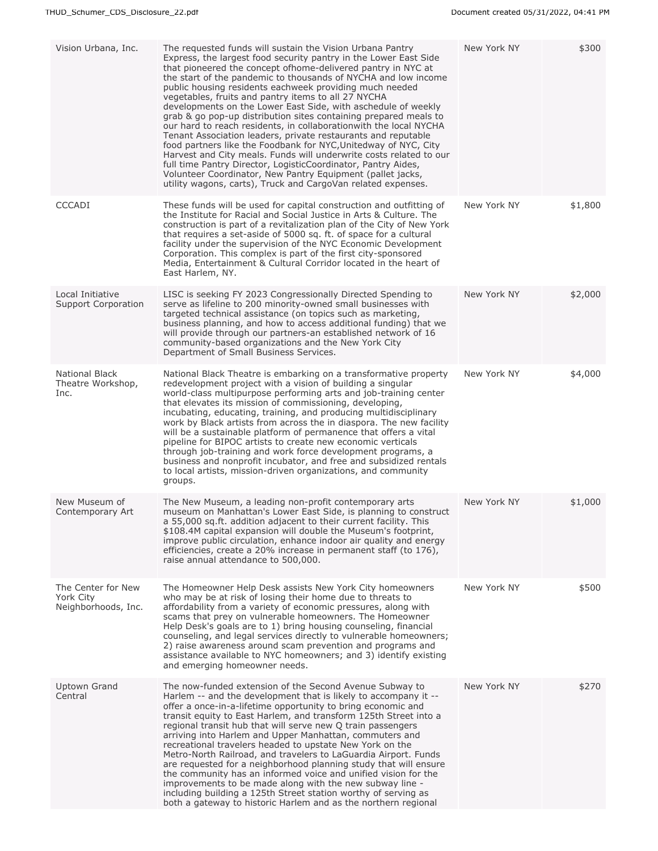| Vision Urbana, Inc.                                    | The requested funds will sustain the Vision Urbana Pantry<br>Express, the largest food security pantry in the Lower East Side<br>that pioneered the concept ofhome-delivered pantry in NYC at<br>the start of the pandemic to thousands of NYCHA and low income<br>public housing residents eachweek providing much needed<br>vegetables, fruits and pantry items to all 27 NYCHA<br>developments on the Lower East Side, with aschedule of weekly<br>grab & go pop-up distribution sites containing prepared meals to<br>our hard to reach residents, in collaboration with the local NYCHA<br>Tenant Association leaders, private restaurants and reputable<br>food partners like the Foodbank for NYC, Unitedway of NYC, City<br>Harvest and City meals. Funds will underwrite costs related to our<br>full time Pantry Director, LogisticCoordinator, Pantry Aides,<br>Volunteer Coordinator, New Pantry Equipment (pallet jacks,<br>utility wagons, carts), Truck and CargoVan related expenses. | New York NY | \$300   |
|--------------------------------------------------------|-------------------------------------------------------------------------------------------------------------------------------------------------------------------------------------------------------------------------------------------------------------------------------------------------------------------------------------------------------------------------------------------------------------------------------------------------------------------------------------------------------------------------------------------------------------------------------------------------------------------------------------------------------------------------------------------------------------------------------------------------------------------------------------------------------------------------------------------------------------------------------------------------------------------------------------------------------------------------------------------------------|-------------|---------|
| <b>CCCADI</b>                                          | These funds will be used for capital construction and outfitting of<br>the Institute for Racial and Social Justice in Arts & Culture. The<br>construction is part of a revitalization plan of the City of New York<br>that requires a set-aside of 5000 sq. ft. of space for a cultural<br>facility under the supervision of the NYC Economic Development<br>Corporation. This complex is part of the first city-sponsored<br>Media, Entertainment & Cultural Corridor located in the heart of<br>East Harlem, NY.                                                                                                                                                                                                                                                                                                                                                                                                                                                                                    | New York NY | \$1,800 |
| Local Initiative<br>Support Corporation                | LISC is seeking FY 2023 Congressionally Directed Spending to<br>serve as lifeline to 200 minority-owned small businesses with<br>targeted technical assistance (on topics such as marketing,<br>business planning, and how to access additional funding) that we<br>will provide through our partners-an established network of 16<br>community-based organizations and the New York City<br>Department of Small Business Services.                                                                                                                                                                                                                                                                                                                                                                                                                                                                                                                                                                   | New York NY | \$2,000 |
| National Black<br>Theatre Workshop,<br>Inc.            | National Black Theatre is embarking on a transformative property<br>redevelopment project with a vision of building a singular<br>world-class multipurpose performing arts and job-training center<br>that elevates its mission of commissioning, developing,<br>incubating, educating, training, and producing multidisciplinary<br>work by Black artists from across the in diaspora. The new facility<br>will be a sustainable platform of permanence that offers a vital<br>pipeline for BIPOC artists to create new economic verticals<br>through job-training and work force development programs, a<br>business and nonprofit incubator, and free and subsidized rentals<br>to local artists, mission-driven organizations, and community<br>groups.                                                                                                                                                                                                                                           | New York NY | \$4,000 |
| New Museum of<br>Contemporary Art                      | The New Museum, a leading non-profit contemporary arts<br>museum on Manhattan's Lower East Side, is planning to construct<br>a 55,000 sq.ft. addition adjacent to their current facility. This<br>\$108.4M capital expansion will double the Museum's footprint,<br>improve public circulation, enhance indoor air quality and energy<br>efficiencies, create a 20% increase in permanent staff (to 176),<br>raise annual attendance to 500,000.                                                                                                                                                                                                                                                                                                                                                                                                                                                                                                                                                      | New York NY | \$1,000 |
| The Center for New<br>York City<br>Neighborhoods, Inc. | The Homeowner Help Desk assists New York City homeowners<br>who may be at risk of losing their home due to threats to<br>affordability from a variety of economic pressures, along with<br>scams that prey on vulnerable homeowners. The Homeowner<br>Help Desk's goals are to 1) bring housing counseling, financial<br>counseling, and legal services directly to vulnerable homeowners;<br>2) raise awareness around scam prevention and programs and<br>assistance available to NYC homeowners; and 3) identify existing<br>and emerging homeowner needs.                                                                                                                                                                                                                                                                                                                                                                                                                                         | New York NY | \$500   |
| <b>Uptown Grand</b><br>Central                         | The now-funded extension of the Second Avenue Subway to<br>Harlem -- and the development that is likely to accompany it --<br>offer a once-in-a-lifetime opportunity to bring economic and<br>transit equity to East Harlem, and transform 125th Street into a<br>regional transit hub that will serve new Q train passengers<br>arriving into Harlem and Upper Manhattan, commuters and<br>recreational travelers headed to upstate New York on the<br>Metro-North Railroad, and travelers to LaGuardia Airport. Funds<br>are requested for a neighborhood planning study that will ensure<br>the community has an informed voice and unified vision for the<br>improvements to be made along with the new subway line -<br>including building a 125th Street station worthy of serving as<br>both a gateway to historic Harlem and as the northern regional                                                                                                                                         | New York NY | \$270   |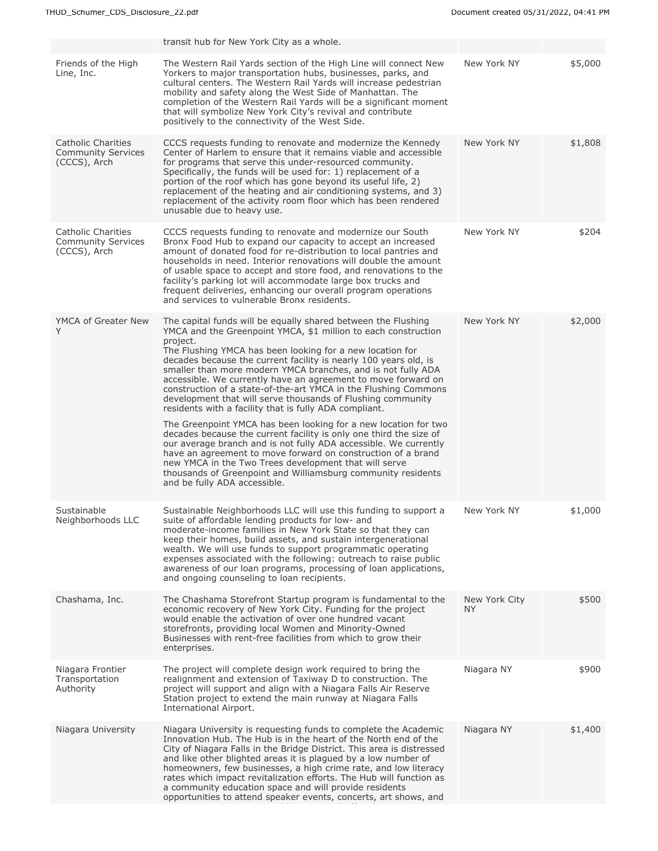|                                                                 | transit hub for New York City as a whole.                                                                                                                                                                                                                                                                                                                                                                                                                                                                                                                                                                                                                                                                                                                                                                                                                                                                                                                                                                                                       |                      |         |
|-----------------------------------------------------------------|-------------------------------------------------------------------------------------------------------------------------------------------------------------------------------------------------------------------------------------------------------------------------------------------------------------------------------------------------------------------------------------------------------------------------------------------------------------------------------------------------------------------------------------------------------------------------------------------------------------------------------------------------------------------------------------------------------------------------------------------------------------------------------------------------------------------------------------------------------------------------------------------------------------------------------------------------------------------------------------------------------------------------------------------------|----------------------|---------|
| Friends of the High<br>Line, Inc.                               | The Western Rail Yards section of the High Line will connect New<br>Yorkers to major transportation hubs, businesses, parks, and<br>cultural centers. The Western Rail Yards will increase pedestrian<br>mobility and safety along the West Side of Manhattan. The<br>completion of the Western Rail Yards will be a significant moment<br>that will symbolize New York City's revival and contribute<br>positively to the connectivity of the West Side.                                                                                                                                                                                                                                                                                                                                                                                                                                                                                                                                                                                       | New York NY          | \$5,000 |
| Catholic Charities<br><b>Community Services</b><br>(CCCS), Arch | CCCS requests funding to renovate and modernize the Kennedy<br>Center of Harlem to ensure that it remains viable and accessible<br>for programs that serve this under-resourced community.<br>Specifically, the funds will be used for: 1) replacement of a<br>portion of the roof which has gone beyond its useful life, 2)<br>replacement of the heating and air conditioning systems, and 3)<br>replacement of the activity room floor which has been rendered<br>unusable due to heavy use.                                                                                                                                                                                                                                                                                                                                                                                                                                                                                                                                                 | New York NY          | \$1,808 |
| Catholic Charities<br><b>Community Services</b><br>(CCCS), Arch | CCCS requests funding to renovate and modernize our South<br>Bronx Food Hub to expand our capacity to accept an increased<br>amount of donated food for re-distribution to local pantries and<br>households in need. Interior renovations will double the amount<br>of usable space to accept and store food, and renovations to the<br>facility's parking lot will accommodate large box trucks and<br>frequent deliveries, enhancing our overall program operations<br>and services to vulnerable Bronx residents.                                                                                                                                                                                                                                                                                                                                                                                                                                                                                                                            | New York NY          | \$204   |
| YMCA of Greater New<br>Y                                        | The capital funds will be equally shared between the Flushing<br>YMCA and the Greenpoint YMCA, \$1 million to each construction<br>project.<br>The Flushing YMCA has been looking for a new location for<br>decades because the current facility is nearly 100 years old, is<br>smaller than more modern YMCA branches, and is not fully ADA<br>accessible. We currently have an agreement to move forward on<br>construction of a state-of-the-art YMCA in the Flushing Commons<br>development that will serve thousands of Flushing community<br>residents with a facility that is fully ADA compliant.<br>The Greenpoint YMCA has been looking for a new location for two<br>decades because the current facility is only one third the size of<br>our average branch and is not fully ADA accessible. We currently<br>have an agreement to move forward on construction of a brand<br>new YMCA in the Two Trees development that will serve<br>thousands of Greenpoint and Williamsburg community residents<br>and be fully ADA accessible. | New York NY          | \$2,000 |
| Sustainable<br>Neighborhoods LLC                                | Sustainable Neighborhoods LLC will use this funding to support a<br>suite of affordable lending products for low- and<br>moderate-income families in New York State so that they can<br>keep their homes, build assets, and sustain intergenerational<br>wealth. We will use funds to support programmatic operating<br>expenses associated with the following: outreach to raise public<br>awareness of our loan programs, processing of loan applications,<br>and ongoing counseling to loan recipients.                                                                                                                                                                                                                                                                                                                                                                                                                                                                                                                                      | New York NY          | \$1,000 |
| Chashama, Inc.                                                  | The Chashama Storefront Startup program is fundamental to the<br>economic recovery of New York City. Funding for the project<br>would enable the activation of over one hundred vacant<br>storefronts, providing local Women and Minority-Owned<br>Businesses with rent-free facilities from which to grow their<br>enterprises.                                                                                                                                                                                                                                                                                                                                                                                                                                                                                                                                                                                                                                                                                                                | New York City<br>NY. | \$500   |
| Niagara Frontier<br>Transportation<br>Authority                 | The project will complete design work required to bring the<br>realignment and extension of Taxiway D to construction. The<br>project will support and align with a Niagara Falls Air Reserve<br>Station project to extend the main runway at Niagara Falls<br>International Airport.                                                                                                                                                                                                                                                                                                                                                                                                                                                                                                                                                                                                                                                                                                                                                           | Niagara NY           | \$900   |
| Niagara University                                              | Niagara University is requesting funds to complete the Academic<br>Innovation Hub. The Hub is in the heart of the North end of the<br>City of Niagara Falls in the Bridge District. This area is distressed<br>and like other blighted areas it is plagued by a low number of<br>homeowners, few businesses, a high crime rate, and low literacy<br>rates which impact revitalization efforts. The Hub will function as<br>a community education space and will provide residents<br>opportunities to attend speaker events, concerts, art shows, and                                                                                                                                                                                                                                                                                                                                                                                                                                                                                           | Niagara NY           | \$1,400 |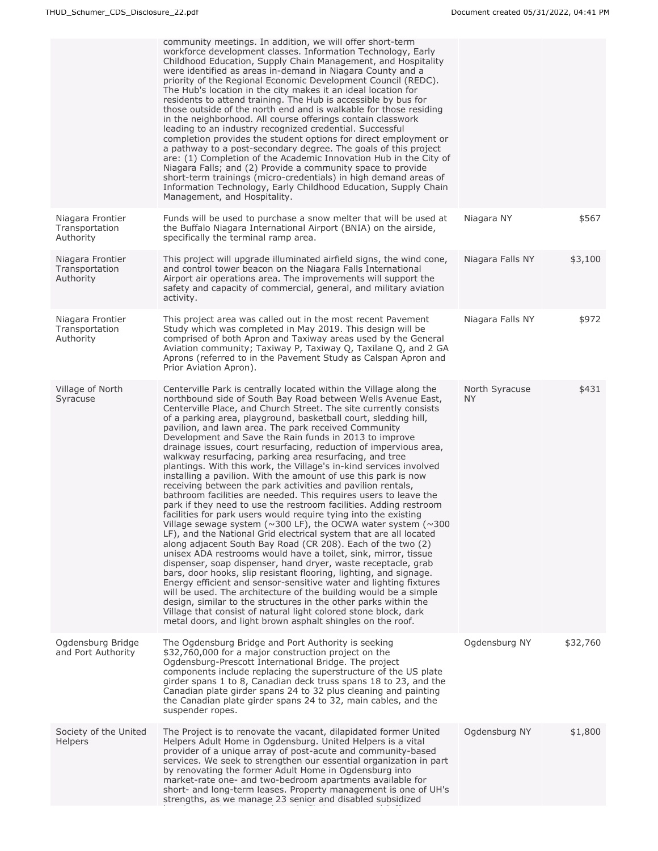|                                                 | community meetings. In addition, we will offer short-term<br>workforce development classes. Information Technology, Early<br>Childhood Education, Supply Chain Management, and Hospitality<br>were identified as areas in-demand in Niagara County and a<br>priority of the Regional Economic Development Council (REDC).<br>The Hub's location in the city makes it an ideal location for<br>residents to attend training. The Hub is accessible by bus for<br>those outside of the north end and is walkable for those residing<br>in the neighborhood. All course offerings contain classwork<br>leading to an industry recognized credential. Successful<br>completion provides the student options for direct employment or<br>a pathway to a post-secondary degree. The goals of this project<br>are: (1) Completion of the Academic Innovation Hub in the City of<br>Niagara Falls; and (2) Provide a community space to provide<br>short-term trainings (micro-credentials) in high demand areas of<br>Information Technology, Early Childhood Education, Supply Chain<br>Management, and Hospitality.                                                                                                                                                                                                                                                                                                                                                                                                                                                                                                                                                                                                         |                       |          |
|-------------------------------------------------|------------------------------------------------------------------------------------------------------------------------------------------------------------------------------------------------------------------------------------------------------------------------------------------------------------------------------------------------------------------------------------------------------------------------------------------------------------------------------------------------------------------------------------------------------------------------------------------------------------------------------------------------------------------------------------------------------------------------------------------------------------------------------------------------------------------------------------------------------------------------------------------------------------------------------------------------------------------------------------------------------------------------------------------------------------------------------------------------------------------------------------------------------------------------------------------------------------------------------------------------------------------------------------------------------------------------------------------------------------------------------------------------------------------------------------------------------------------------------------------------------------------------------------------------------------------------------------------------------------------------------------------------------------------------------------------------------------------------|-----------------------|----------|
| Niagara Frontier<br>Transportation<br>Authority | Funds will be used to purchase a snow melter that will be used at<br>the Buffalo Niagara International Airport (BNIA) on the airside,<br>specifically the terminal ramp area.                                                                                                                                                                                                                                                                                                                                                                                                                                                                                                                                                                                                                                                                                                                                                                                                                                                                                                                                                                                                                                                                                                                                                                                                                                                                                                                                                                                                                                                                                                                                          | Niagara NY            | \$567    |
| Niagara Frontier<br>Transportation<br>Authority | This project will upgrade illuminated airfield signs, the wind cone,<br>and control tower beacon on the Niagara Falls International<br>Airport air operations area. The improvements will support the<br>safety and capacity of commercial, general, and military aviation<br>activity.                                                                                                                                                                                                                                                                                                                                                                                                                                                                                                                                                                                                                                                                                                                                                                                                                                                                                                                                                                                                                                                                                                                                                                                                                                                                                                                                                                                                                                | Niagara Falls NY      | \$3,100  |
| Niagara Frontier<br>Transportation<br>Authority | This project area was called out in the most recent Pavement<br>Study which was completed in May 2019. This design will be<br>comprised of both Apron and Taxiway areas used by the General<br>Aviation community; Taxiway P, Taxiway Q, Taxilane Q, and 2 GA<br>Aprons (referred to in the Pavement Study as Calspan Apron and<br>Prior Aviation Apron).                                                                                                                                                                                                                                                                                                                                                                                                                                                                                                                                                                                                                                                                                                                                                                                                                                                                                                                                                                                                                                                                                                                                                                                                                                                                                                                                                              | Niagara Falls NY      | \$972    |
| Village of North<br>Syracuse                    | Centerville Park is centrally located within the Village along the<br>northbound side of South Bay Road between Wells Avenue East,<br>Centerville Place, and Church Street. The site currently consists<br>of a parking area, playground, basketball court, sledding hill,<br>pavilion, and lawn area. The park received Community<br>Development and Save the Rain funds in 2013 to improve<br>drainage issues, court resurfacing, reduction of impervious area,<br>walkway resurfacing, parking area resurfacing, and tree<br>plantings. With this work, the Village's in-kind services involved<br>installing a pavilion. With the amount of use this park is now<br>receiving between the park activities and pavilion rentals,<br>bathroom facilities are needed. This requires users to leave the<br>park if they need to use the restroom facilities. Adding restroom<br>facilities for park users would require tying into the existing<br>Village sewage system ( $\sim$ 300 LF), the OCWA water system ( $\sim$ 300<br>LF), and the National Grid electrical system that are all located<br>along adjacent South Bay Road (CR 208). Each of the two (2)<br>unisex ADA restrooms would have a toilet, sink, mirror, tissue<br>dispenser, soap dispenser, hand dryer, waste receptacle, grab<br>bars, door hooks, slip resistant flooring, lighting, and signage.<br>Energy efficient and sensor-sensitive water and lighting fixtures<br>will be used. The architecture of the building would be a simple<br>design, similar to the structures in the other parks within the<br>Village that consist of natural light colored stone block, dark<br>metal doors, and light brown asphalt shingles on the roof. | North Syracuse<br>NY. | \$431    |
| Ogdensburg Bridge<br>and Port Authority         | The Ogdensburg Bridge and Port Authority is seeking<br>\$32,760,000 for a major construction project on the<br>Ogdensburg-Prescott International Bridge. The project<br>components include replacing the superstructure of the US plate<br>girder spans 1 to 8, Canadian deck truss spans 18 to 23, and the<br>Canadian plate girder spans 24 to 32 plus cleaning and painting<br>the Canadian plate girder spans 24 to 32, main cables, and the<br>suspender ropes.                                                                                                                                                                                                                                                                                                                                                                                                                                                                                                                                                                                                                                                                                                                                                                                                                                                                                                                                                                                                                                                                                                                                                                                                                                                   | Ogdensburg NY         | \$32,760 |
| Society of the United<br>Helpers                | The Project is to renovate the vacant, dilapidated former United<br>Helpers Adult Home in Ogdensburg. United Helpers is a vital<br>provider of a unique array of post-acute and community-based<br>services. We seek to strengthen our essential organization in part<br>by renovating the former Adult Home in Ogdensburg into<br>market-rate one- and two-bedroom apartments available for<br>short- and long-term leases. Property management is one of UH's<br>strengths, as we manage 23 senior and disabled subsidized                                                                                                                                                                                                                                                                                                                                                                                                                                                                                                                                                                                                                                                                                                                                                                                                                                                                                                                                                                                                                                                                                                                                                                                           | Ogdensburg NY         | \$1,800  |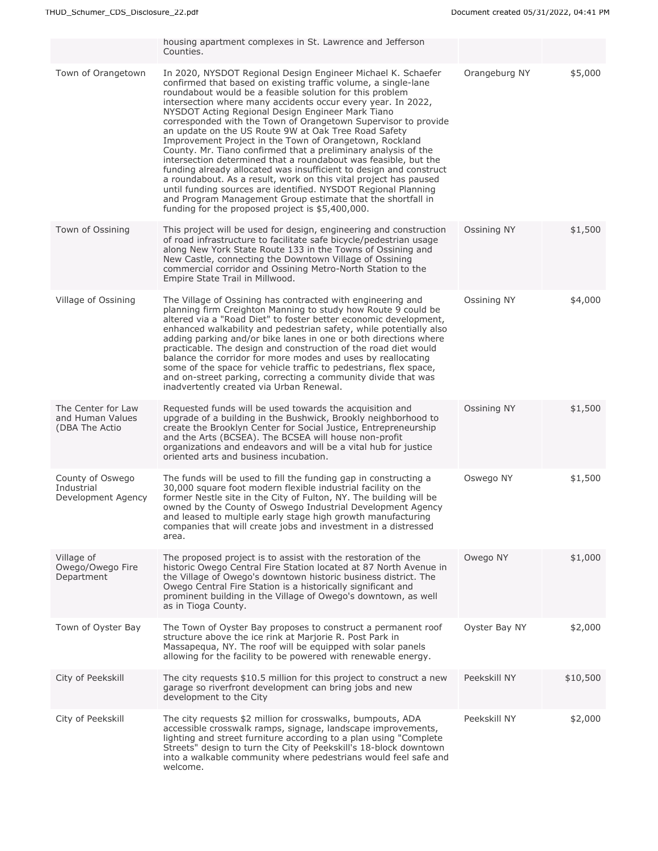|                                                          | housing apartment complexes in St. Lawrence and Jefferson<br>Counties.                                                                                                                                                                                                                                                                                                                                                                                                                                                                                                                                                                                                                                                                                                                                                                                                                                                                                                   |               |          |
|----------------------------------------------------------|--------------------------------------------------------------------------------------------------------------------------------------------------------------------------------------------------------------------------------------------------------------------------------------------------------------------------------------------------------------------------------------------------------------------------------------------------------------------------------------------------------------------------------------------------------------------------------------------------------------------------------------------------------------------------------------------------------------------------------------------------------------------------------------------------------------------------------------------------------------------------------------------------------------------------------------------------------------------------|---------------|----------|
| Town of Orangetown                                       | In 2020, NYSDOT Regional Design Engineer Michael K. Schaefer<br>confirmed that based on existing traffic volume, a single-lane<br>roundabout would be a feasible solution for this problem<br>intersection where many accidents occur every year. In 2022,<br>NYSDOT Acting Regional Design Engineer Mark Tiano<br>corresponded with the Town of Orangetown Supervisor to provide<br>an update on the US Route 9W at Oak Tree Road Safety<br>Improvement Project in the Town of Orangetown, Rockland<br>County. Mr. Tiano confirmed that a preliminary analysis of the<br>intersection determined that a roundabout was feasible, but the<br>funding already allocated was insufficient to design and construct<br>a roundabout. As a result, work on this vital project has paused<br>until funding sources are identified. NYSDOT Regional Planning<br>and Program Management Group estimate that the shortfall in<br>funding for the proposed project is \$5,400,000. | Orangeburg NY | \$5,000  |
| Town of Ossining                                         | This project will be used for design, engineering and construction<br>of road infrastructure to facilitate safe bicycle/pedestrian usage<br>along New York State Route 133 in the Towns of Ossining and<br>New Castle, connecting the Downtown Village of Ossining<br>commercial corridor and Ossining Metro-North Station to the<br>Empire State Trail in Millwood.                                                                                                                                                                                                                                                                                                                                                                                                                                                                                                                                                                                                     | Ossining NY   | \$1,500  |
| Village of Ossining                                      | The Village of Ossining has contracted with engineering and<br>planning firm Creighton Manning to study how Route 9 could be<br>altered via a "Road Diet" to foster better economic development,<br>enhanced walkability and pedestrian safety, while potentially also<br>adding parking and/or bike lanes in one or both directions where<br>practicable. The design and construction of the road diet would<br>balance the corridor for more modes and uses by reallocating<br>some of the space for vehicle traffic to pedestrians, flex space,<br>and on-street parking, correcting a community divide that was<br>inadvertently created via Urban Renewal.                                                                                                                                                                                                                                                                                                          | Ossining NY   | \$4,000  |
| The Center for Law<br>and Human Values<br>(DBA The Actio | Requested funds will be used towards the acquisition and<br>upgrade of a building in the Bushwick, Brookly neighborhood to<br>create the Brooklyn Center for Social Justice, Entrepreneurship<br>and the Arts (BCSEA). The BCSEA will house non-profit<br>organizations and endeavors and will be a vital hub for justice<br>oriented arts and business incubation.                                                                                                                                                                                                                                                                                                                                                                                                                                                                                                                                                                                                      | Ossining NY   | \$1,500  |
| County of Oswego<br>Industrial<br>Development Agency     | The funds will be used to fill the funding gap in constructing a<br>30,000 square foot modern flexible industrial facility on the<br>former Nestle site in the City of Fulton, NY. The building will be<br>owned by the County of Oswego Industrial Development Agency<br>and leased to multiple early stage high growth manufacturing<br>companies that will create jobs and investment in a distressed<br>area.                                                                                                                                                                                                                                                                                                                                                                                                                                                                                                                                                        | Oswego NY     | \$1,500  |
| Village of<br>Owego/Owego Fire<br>Department             | The proposed project is to assist with the restoration of the<br>historic Owego Central Fire Station located at 87 North Avenue in<br>the Village of Owego's downtown historic business district. The<br>Owego Central Fire Station is a historically significant and<br>prominent building in the Village of Owego's downtown, as well<br>as in Tioga County.                                                                                                                                                                                                                                                                                                                                                                                                                                                                                                                                                                                                           | Owego NY      | \$1,000  |
| Town of Oyster Bay                                       | The Town of Oyster Bay proposes to construct a permanent roof<br>structure above the ice rink at Marjorie R. Post Park in<br>Massapequa, NY. The roof will be equipped with solar panels<br>allowing for the facility to be powered with renewable energy.                                                                                                                                                                                                                                                                                                                                                                                                                                                                                                                                                                                                                                                                                                               | Oyster Bay NY | \$2,000  |
| City of Peekskill                                        | The city requests \$10.5 million for this project to construct a new<br>garage so riverfront development can bring jobs and new<br>development to the City                                                                                                                                                                                                                                                                                                                                                                                                                                                                                                                                                                                                                                                                                                                                                                                                               | Peekskill NY  | \$10,500 |
| City of Peekskill                                        | The city requests \$2 million for crosswalks, bumpouts, ADA<br>accessible crosswalk ramps, signage, landscape improvements,<br>lighting and street furniture according to a plan using "Complete"<br>Streets" design to turn the City of Peekskill's 18-block downtown<br>into a walkable community where pedestrians would feel safe and<br>welcome.                                                                                                                                                                                                                                                                                                                                                                                                                                                                                                                                                                                                                    | Peekskill NY  | \$2,000  |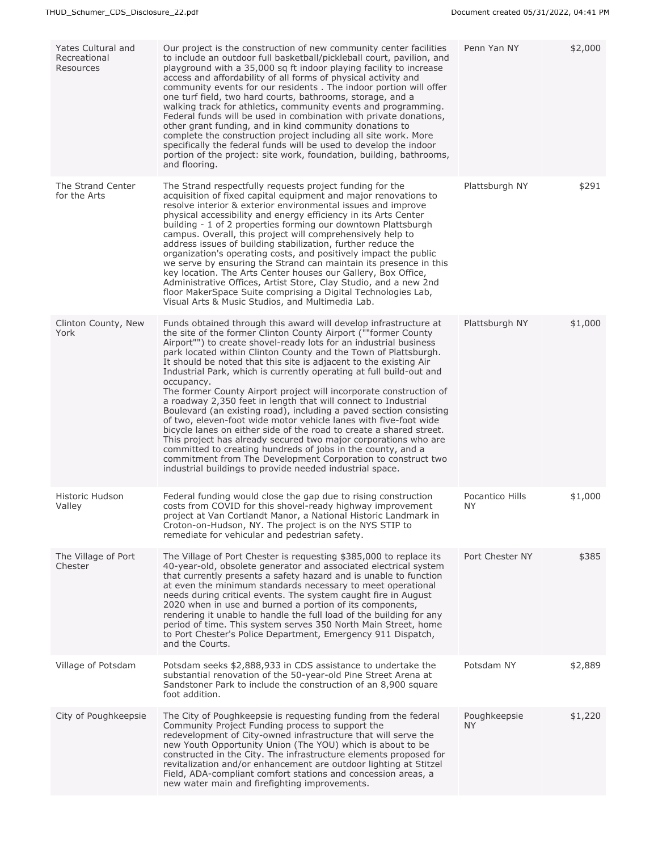| Yates Cultural and<br>Recreational<br>Resources | Our project is the construction of new community center facilities<br>to include an outdoor full basketball/pickleball court, pavilion, and<br>playground with a 35,000 sq ft indoor playing facility to increase<br>access and affordability of all forms of physical activity and<br>community events for our residents. The indoor portion will offer<br>one turf field, two hard courts, bathrooms, storage, and a<br>walking track for athletics, community events and programming.<br>Federal funds will be used in combination with private donations,<br>other grant funding, and in kind community donations to<br>complete the construction project including all site work. More<br>specifically the federal funds will be used to develop the indoor<br>portion of the project: site work, foundation, building, bathrooms,<br>and flooring.                                                                                                                                                                                                    | Penn Yan NY            | \$2,000 |
|-------------------------------------------------|-------------------------------------------------------------------------------------------------------------------------------------------------------------------------------------------------------------------------------------------------------------------------------------------------------------------------------------------------------------------------------------------------------------------------------------------------------------------------------------------------------------------------------------------------------------------------------------------------------------------------------------------------------------------------------------------------------------------------------------------------------------------------------------------------------------------------------------------------------------------------------------------------------------------------------------------------------------------------------------------------------------------------------------------------------------|------------------------|---------|
| The Strand Center<br>for the Arts               | The Strand respectfully requests project funding for the<br>acquisition of fixed capital equipment and major renovations to<br>resolve interior & exterior environmental issues and improve<br>physical accessibility and energy efficiency in its Arts Center<br>building - 1 of 2 properties forming our downtown Plattsburgh<br>campus. Overall, this project will comprehensively help to<br>address issues of building stabilization, further reduce the<br>organization's operating costs, and positively impact the public<br>we serve by ensuring the Strand can maintain its presence in this<br>key location. The Arts Center houses our Gallery, Box Office,<br>Administrative Offices, Artist Store, Clay Studio, and a new 2nd<br>floor MakerSpace Suite comprising a Digital Technologies Lab,<br>Visual Arts & Music Studios, and Multimedia Lab.                                                                                                                                                                                            | Plattsburgh NY         | \$291   |
| Clinton County, New<br>York                     | Funds obtained through this award will develop infrastructure at<br>the site of the former Clinton County Airport (""former County<br>Airport"") to create shovel-ready lots for an industrial business<br>park located within Clinton County and the Town of Plattsburgh.<br>It should be noted that this site is adjacent to the existing Air<br>Industrial Park, which is currently operating at full build-out and<br>occupancy.<br>The former County Airport project will incorporate construction of<br>a roadway 2,350 feet in length that will connect to Industrial<br>Boulevard (an existing road), including a paved section consisting<br>of two, eleven-foot wide motor vehicle lanes with five-foot wide<br>bicycle lanes on either side of the road to create a shared street.<br>This project has already secured two major corporations who are<br>committed to creating hundreds of jobs in the county, and a<br>commitment from The Development Corporation to construct two<br>industrial buildings to provide needed industrial space. | Plattsburgh NY         | \$1,000 |
| Historic Hudson<br>Valley                       | Federal funding would close the gap due to rising construction<br>costs from COVID for this shovel-ready highway improvement<br>project at Van Cortlandt Manor, a National Historic Landmark in<br>Croton-on-Hudson, NY. The project is on the NYS STIP to<br>remediate for vehicular and pedestrian safety.                                                                                                                                                                                                                                                                                                                                                                                                                                                                                                                                                                                                                                                                                                                                                | Pocantico Hills<br>NY. | \$1,000 |
| The Village of Port<br>Chester                  | The Village of Port Chester is requesting \$385,000 to replace its<br>40-year-old, obsolete generator and associated electrical system<br>that currently presents a safety hazard and is unable to function<br>at even the minimum standards necessary to meet operational<br>needs during critical events. The system caught fire in August<br>2020 when in use and burned a portion of its components,<br>rendering it unable to handle the full load of the building for any<br>period of time. This system serves 350 North Main Street, home<br>to Port Chester's Police Department, Emergency 911 Dispatch,<br>and the Courts.                                                                                                                                                                                                                                                                                                                                                                                                                        | Port Chester NY        | \$385   |
| Village of Potsdam                              | Potsdam seeks \$2,888,933 in CDS assistance to undertake the<br>substantial renovation of the 50-year-old Pine Street Arena at<br>Sandstoner Park to include the construction of an 8,900 square<br>foot addition.                                                                                                                                                                                                                                                                                                                                                                                                                                                                                                                                                                                                                                                                                                                                                                                                                                          | Potsdam NY             | \$2,889 |
| City of Poughkeepsie                            | The City of Poughkeepsie is requesting funding from the federal<br>Community Project Funding process to support the<br>redevelopment of City-owned infrastructure that will serve the<br>new Youth Opportunity Union (The YOU) which is about to be<br>constructed in the City. The infrastructure elements proposed for<br>revitalization and/or enhancement are outdoor lighting at Stitzel<br>Field, ADA-compliant comfort stations and concession areas, a<br>new water main and firefighting improvements.                                                                                                                                                                                                                                                                                                                                                                                                                                                                                                                                             | Poughkeepsie<br>NY.    | \$1,220 |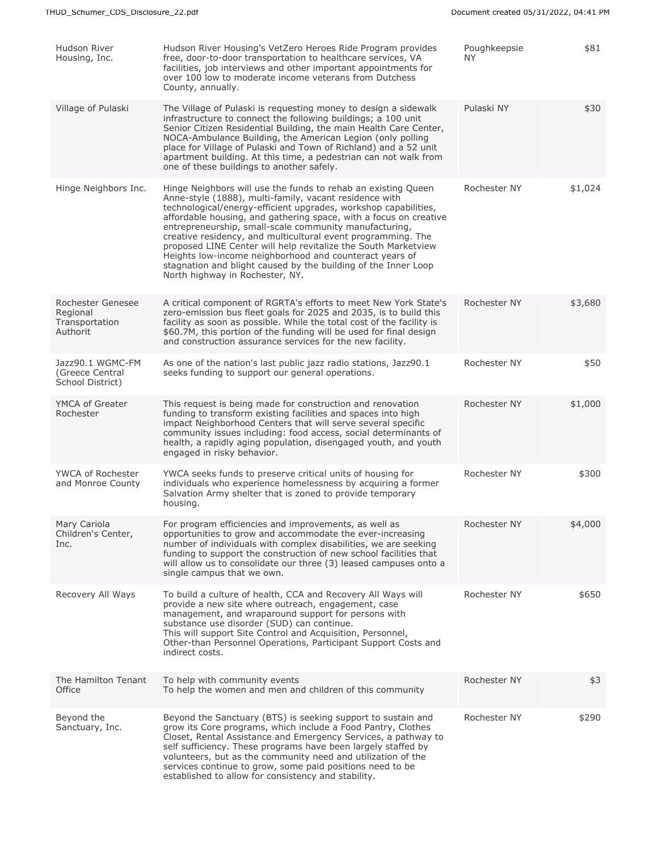| Hudson River<br>Housing, Inc.                               | Hudson River Housing's VetZero Heroes Ride Program provides<br>free, door-to-door transportation to healthcare services, VA<br>facilities, job interviews and other important appointments for<br>over 100 low to moderate income veterans from Dutchess<br>County, annually.                                                                                                                                                                                                                                                                                                                                               | Poughkeepsie<br>NY. | \$81    |
|-------------------------------------------------------------|-----------------------------------------------------------------------------------------------------------------------------------------------------------------------------------------------------------------------------------------------------------------------------------------------------------------------------------------------------------------------------------------------------------------------------------------------------------------------------------------------------------------------------------------------------------------------------------------------------------------------------|---------------------|---------|
| Village of Pulaski                                          | The Village of Pulaski is reguesting money to design a sidewalk<br>infrastructure to connect the following buildings; a 100 unit<br>Senior Citizen Residential Building, the main Health Care Center,<br>NOCA-Ambulance Building, the American Legion (only polling<br>place for Village of Pulaski and Town of Richland) and a 52 unit<br>apartment building. At this time, a pedestrian can not walk from<br>one of these buildings to another safely.                                                                                                                                                                    | Pulaski NY          | \$30    |
| Hinge Neighbors Inc.                                        | Hinge Neighbors will use the funds to rehab an existing Queen<br>Anne-style (1888), multi-family, vacant residence with<br>technological/energy-efficient upgrades, workshop capabilities,<br>affordable housing, and gathering space, with a focus on creative<br>entrepreneurship, small-scale community manufacturing,<br>creative residency, and multicultural event programming. The<br>proposed LINE Center will help revitalize the South Marketview<br>Heights low-income neighborhood and counteract years of<br>stagnation and blight caused by the building of the Inner Loop<br>North highway in Rochester, NY. | Rochester NY        | \$1,024 |
| Rochester Genesee<br>Regional<br>Transportation<br>Authorit | A critical component of RGRTA's efforts to meet New York State's<br>zero-emission bus fleet goals for 2025 and 2035, is to build this<br>facility as soon as possible. While the total cost of the facility is<br>\$60.7M, this portion of the funding will be used for final design<br>and construction assurance services for the new facility.                                                                                                                                                                                                                                                                           | Rochester NY        | \$3,680 |
| Jazz90.1 WGMC-FM<br>(Greece Central<br>School District)     | As one of the nation's last public jazz radio stations, Jazz90.1<br>seeks funding to support our general operations.                                                                                                                                                                                                                                                                                                                                                                                                                                                                                                        | Rochester NY        | \$50    |
| YMCA of Greater<br>Rochester                                | This request is being made for construction and renovation<br>funding to transform existing facilities and spaces into high<br>impact Neighborhood Centers that will serve several specific<br>community issues including: food access, social determinants of<br>health, a rapidly aging population, disengaged youth, and youth<br>engaged in risky behavior.                                                                                                                                                                                                                                                             | Rochester NY        | \$1,000 |
| <b>YWCA of Rochester</b><br>and Monroe County               | YWCA seeks funds to preserve critical units of housing for<br>individuals who experience homelessness by acquiring a former<br>Salvation Army shelter that is zoned to provide temporary<br>housing.                                                                                                                                                                                                                                                                                                                                                                                                                        | Rochester NY        | \$300   |
| Mary Cariola<br>Children's Center,<br>Inc.                  | For program efficiencies and improvements, as well as<br>opportunities to grow and accommodate the ever-increasing<br>number of individuals with complex disabilities, we are seeking<br>funding to support the construction of new school facilities that<br>will allow us to consolidate our three (3) leased campuses onto a<br>single campus that we own.                                                                                                                                                                                                                                                               | Rochester NY        | \$4,000 |
| Recovery All Ways                                           | To build a culture of health, CCA and Recovery All Ways will<br>provide a new site where outreach, engagement, case<br>management, and wraparound support for persons with<br>substance use disorder (SUD) can continue.<br>This will support Site Control and Acquisition, Personnel,<br>Other-than Personnel Operations, Participant Support Costs and<br>indirect costs.                                                                                                                                                                                                                                                 | Rochester NY        | \$650   |
| The Hamilton Tenant<br>Office                               | To help with community events<br>To help the women and men and children of this community                                                                                                                                                                                                                                                                                                                                                                                                                                                                                                                                   | Rochester NY        | \$3     |
| Beyond the<br>Sanctuary, Inc.                               | Beyond the Sanctuary (BTS) is seeking support to sustain and<br>grow its Core programs, which include a Food Pantry, Clothes<br>Closet, Rental Assistance and Emergency Services, a pathway to<br>self sufficiency. These programs have been largely staffed by<br>volunteers, but as the community need and utilization of the<br>services continue to grow, some paid positions need to be<br>established to allow for consistency and stability.                                                                                                                                                                         | Rochester NY        | \$290   |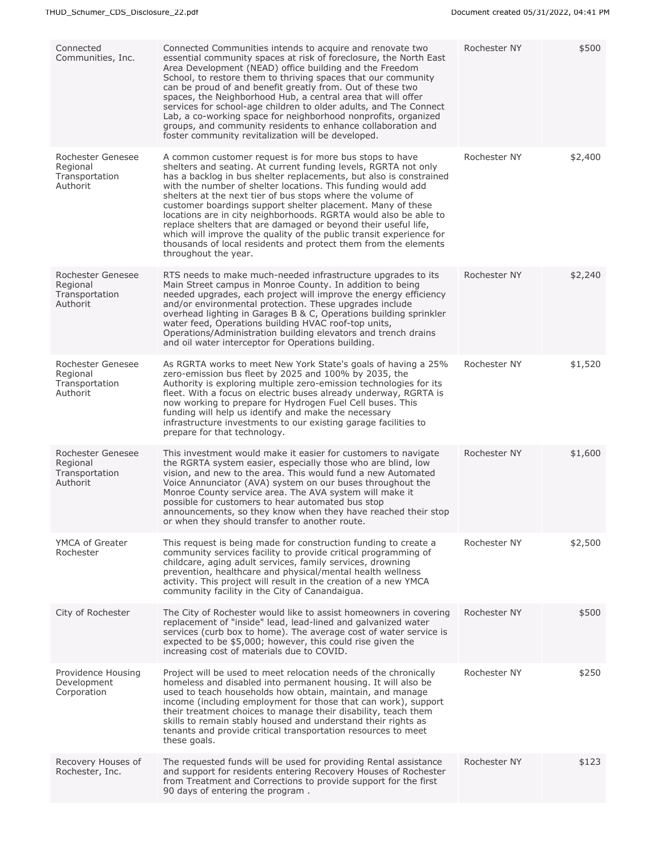| Connected<br>Communities, Inc.                              | Connected Communities intends to acquire and renovate two<br>essential community spaces at risk of foreclosure, the North East<br>Area Development (NEAD) office building and the Freedom<br>School, to restore them to thriving spaces that our community<br>can be proud of and benefit greatly from. Out of these two<br>spaces, the Neighborhood Hub, a central area that will offer<br>services for school-age children to older adults, and The Connect<br>Lab, a co-working space for neighborhood nonprofits, organized<br>groups, and community residents to enhance collaboration and<br>foster community revitalization will be developed.                                                 | Rochester NY | \$500   |
|-------------------------------------------------------------|-------------------------------------------------------------------------------------------------------------------------------------------------------------------------------------------------------------------------------------------------------------------------------------------------------------------------------------------------------------------------------------------------------------------------------------------------------------------------------------------------------------------------------------------------------------------------------------------------------------------------------------------------------------------------------------------------------|--------------|---------|
| Rochester Genesee<br>Regional<br>Transportation<br>Authorit | A common customer request is for more bus stops to have<br>shelters and seating. At current funding levels, RGRTA not only<br>has a backlog in bus shelter replacements, but also is constrained<br>with the number of shelter locations. This funding would add<br>shelters at the next tier of bus stops where the volume of<br>customer boardings support shelter placement. Many of these<br>locations are in city neighborhoods. RGRTA would also be able to<br>replace shelters that are damaged or beyond their useful life,<br>which will improve the quality of the public transit experience for<br>thousands of local residents and protect them from the elements<br>throughout the year. | Rochester NY | \$2,400 |
| Rochester Genesee<br>Regional<br>Transportation<br>Authorit | RTS needs to make much-needed infrastructure upgrades to its<br>Main Street campus in Monroe County. In addition to being<br>needed upgrades, each project will improve the energy efficiency<br>and/or environmental protection. These upgrades include<br>overhead lighting in Garages B & C, Operations building sprinkler<br>water feed, Operations building HVAC roof-top units,<br>Operations/Administration building elevators and trench drains<br>and oil water interceptor for Operations building.                                                                                                                                                                                         | Rochester NY | \$2,240 |
| Rochester Genesee<br>Regional<br>Transportation<br>Authorit | As RGRTA works to meet New York State's goals of having a 25%<br>zero-emission bus fleet by 2025 and 100% by 2035, the<br>Authority is exploring multiple zero-emission technologies for its<br>fleet. With a focus on electric buses already underway, RGRTA is<br>now working to prepare for Hydrogen Fuel Cell buses. This<br>funding will help us identify and make the necessary<br>infrastructure investments to our existing garage facilities to<br>prepare for that technology.                                                                                                                                                                                                              | Rochester NY | \$1,520 |
| Rochester Genesee<br>Regional<br>Transportation<br>Authorit | This investment would make it easier for customers to navigate<br>the RGRTA system easier, especially those who are blind, low<br>vision, and new to the area. This would fund a new Automated<br>Voice Annunciator (AVA) system on our buses throughout the<br>Monroe County service area. The AVA system will make it<br>possible for customers to hear automated bus stop<br>announcements, so they know when they have reached their stop<br>or when they should transfer to another route.                                                                                                                                                                                                       | Rochester NY | \$1,600 |
| YMCA of Greater<br>Rochester                                | This request is being made for construction funding to create a<br>community services facility to provide critical programming of<br>childcare, aging adult services, family services, drowning<br>prevention, healthcare and physical/mental health wellness<br>activity. This project will result in the creation of a new YMCA<br>community facility in the City of Canandaigua.                                                                                                                                                                                                                                                                                                                   | Rochester NY | \$2,500 |
| City of Rochester                                           | The City of Rochester would like to assist homeowners in covering<br>replacement of "inside" lead, lead-lined and galvanized water<br>services (curb box to home). The average cost of water service is<br>expected to be \$5,000; however, this could rise given the<br>increasing cost of materials due to COVID.                                                                                                                                                                                                                                                                                                                                                                                   | Rochester NY | \$500   |
| Providence Housing<br>Development<br>Corporation            | Project will be used to meet relocation needs of the chronically<br>homeless and disabled into permanent housing. It will also be<br>used to teach households how obtain, maintain, and manage<br>income (including employment for those that can work), support<br>their treatment choices to manage their disability, teach them<br>skills to remain stably housed and understand their rights as<br>tenants and provide critical transportation resources to meet<br>these goals.                                                                                                                                                                                                                  | Rochester NY | \$250   |
| Recovery Houses of<br>Rochester, Inc.                       | The requested funds will be used for providing Rental assistance<br>and support for residents entering Recovery Houses of Rochester<br>from Treatment and Corrections to provide support for the first<br>90 days of entering the program.                                                                                                                                                                                                                                                                                                                                                                                                                                                            | Rochester NY | \$123   |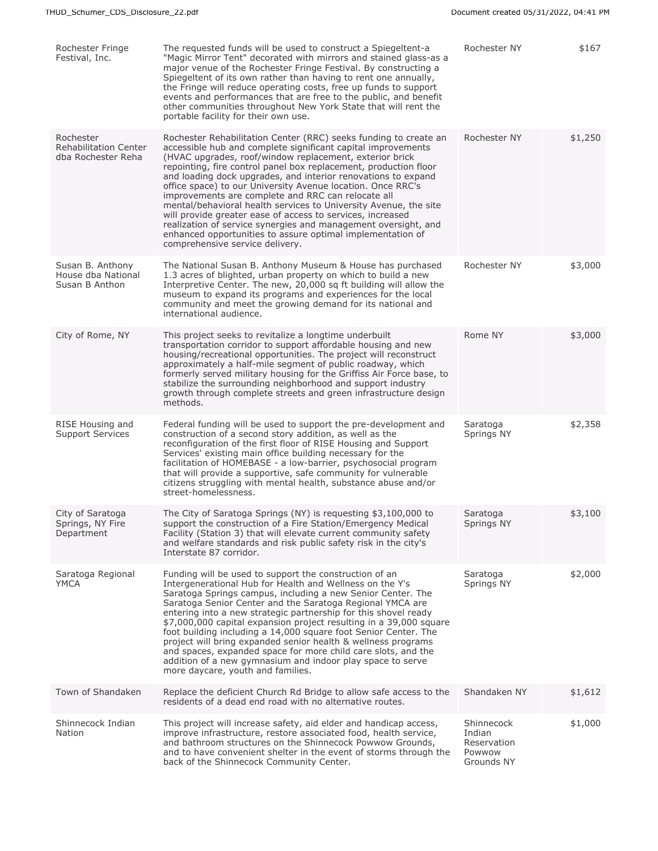| Rochester Fringe<br>Festival, Inc.                              | The requested funds will be used to construct a Spiegeltent-a<br>"Magic Mirror Tent" decorated with mirrors and stained glass-as a<br>major venue of the Rochester Fringe Festival. By constructing a<br>Spiegeltent of its own rather than having to rent one annually,<br>the Fringe will reduce operating costs, free up funds to support<br>events and performances that are free to the public, and benefit<br>other communities throughout New York State that will rent the<br>portable facility for their own use.                                                                                                                                                                                                                                 | Rochester NY                                                | \$167   |
|-----------------------------------------------------------------|------------------------------------------------------------------------------------------------------------------------------------------------------------------------------------------------------------------------------------------------------------------------------------------------------------------------------------------------------------------------------------------------------------------------------------------------------------------------------------------------------------------------------------------------------------------------------------------------------------------------------------------------------------------------------------------------------------------------------------------------------------|-------------------------------------------------------------|---------|
| Rochester<br><b>Rehabilitation Center</b><br>dba Rochester Reha | Rochester Rehabilitation Center (RRC) seeks funding to create an<br>accessible hub and complete significant capital improvements<br>(HVAC upgrades, roof/window replacement, exterior brick<br>repointing, fire control panel box replacement, production floor<br>and loading dock upgrades, and interior renovations to expand<br>office space) to our University Avenue location. Once RRC's<br>improvements are complete and RRC can relocate all<br>mental/behavioral health services to University Avenue, the site<br>will provide greater ease of access to services, increased<br>realization of service synergies and management oversight, and<br>enhanced opportunities to assure optimal implementation of<br>comprehensive service delivery. | Rochester NY                                                | \$1,250 |
| Susan B. Anthony<br>House dba National<br>Susan B Anthon        | The National Susan B. Anthony Museum & House has purchased<br>1.3 acres of blighted, urban property on which to build a new<br>Interpretive Center. The new, 20,000 sq ft building will allow the<br>museum to expand its programs and experiences for the local<br>community and meet the growing demand for its national and<br>international audience.                                                                                                                                                                                                                                                                                                                                                                                                  | Rochester NY                                                | \$3,000 |
| City of Rome, NY                                                | This project seeks to revitalize a longtime underbuilt<br>transportation corridor to support affordable housing and new<br>housing/recreational opportunities. The project will reconstruct<br>approximately a half-mile segment of public roadway, which<br>formerly served military housing for the Griffiss Air Force base, to<br>stabilize the surrounding neighborhood and support industry<br>growth through complete streets and green infrastructure design<br>methods.                                                                                                                                                                                                                                                                            | Rome NY                                                     | \$3,000 |
| RISE Housing and<br>Support Services                            | Federal funding will be used to support the pre-development and<br>construction of a second story addition, as well as the<br>reconfiguration of the first floor of RISE Housing and Support<br>Services' existing main office building necessary for the<br>facilitation of HOMEBASE - a low-barrier, psychosocial program<br>that will provide a supportive, safe community for vulnerable<br>citizens struggling with mental health, substance abuse and/or<br>street-homelessness.                                                                                                                                                                                                                                                                     | Saratoga<br>Springs NY                                      | \$2,358 |
| City of Saratoga<br>Springs, NY Fire<br>Department              | The City of Saratoga Springs (NY) is requesting \$3,100,000 to<br>support the construction of a Fire Station/Emergency Medical<br>Facility (Station 3) that will elevate current community safety<br>and welfare standards and risk public safety risk in the city's<br>Interstate 87 corridor.                                                                                                                                                                                                                                                                                                                                                                                                                                                            | Saratoga<br>Springs NY                                      | \$3,100 |
| Saratoga Regional<br><b>YMCA</b>                                | Funding will be used to support the construction of an<br>Intergenerational Hub for Health and Wellness on the Y's<br>Saratoga Springs campus, including a new Senior Center. The<br>Saratoga Senior Center and the Saratoga Regional YMCA are<br>entering into a new strategic partnership for this shovel ready<br>\$7,000,000 capital expansion project resulting in a 39,000 square<br>foot building including a 14,000 square foot Senior Center. The<br>project will bring expanded senior health & wellness programs<br>and spaces, expanded space for more child care slots, and the<br>addition of a new gymnasium and indoor play space to serve<br>more daycare, youth and families.                                                            | Saratoga<br>Springs NY                                      | \$2,000 |
| Town of Shandaken                                               | Replace the deficient Church Rd Bridge to allow safe access to the<br>residents of a dead end road with no alternative routes.                                                                                                                                                                                                                                                                                                                                                                                                                                                                                                                                                                                                                             | Shandaken NY                                                | \$1,612 |
| Shinnecock Indian<br>Nation                                     | This project will increase safety, aid elder and handicap access,<br>improve infrastructure, restore associated food, health service,<br>and bathroom structures on the Shinnecock Powwow Grounds,<br>and to have convenient shelter in the event of storms through the<br>back of the Shinnecock Community Center.                                                                                                                                                                                                                                                                                                                                                                                                                                        | Shinnecock<br>Indian<br>Reservation<br>Powwow<br>Grounds NY | \$1,000 |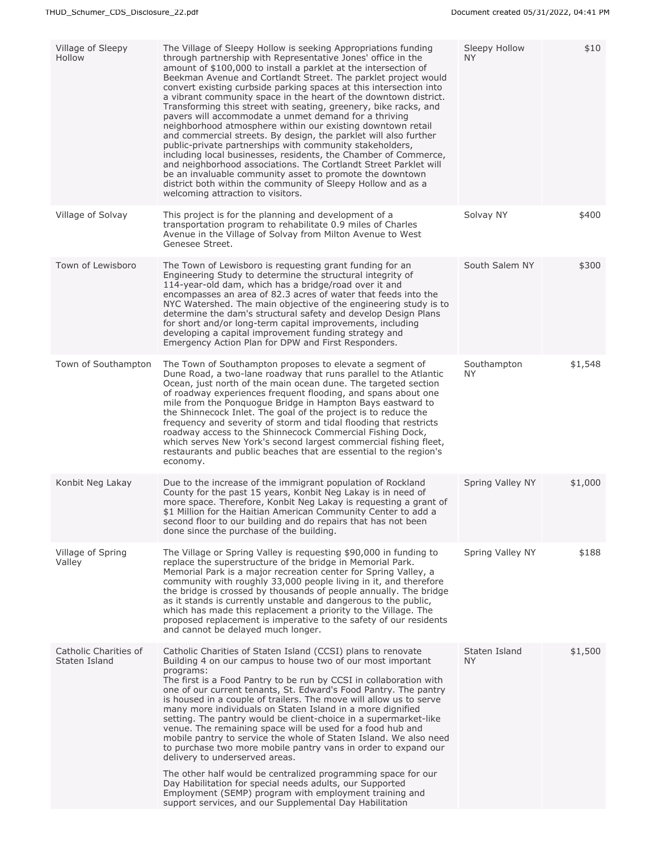| Village of Sleepy<br>Hollow            | The Village of Sleepy Hollow is seeking Appropriations funding<br>through partnership with Representative Jones' office in the<br>amount of \$100,000 to install a parklet at the intersection of<br>Beekman Avenue and Cortlandt Street. The parklet project would<br>convert existing curbside parking spaces at this intersection into<br>a vibrant community space in the heart of the downtown district.<br>Transforming this street with seating, greenery, bike racks, and<br>pavers will accommodate a unmet demand for a thriving<br>neighborhood atmosphere within our existing downtown retail<br>and commercial streets. By design, the parklet will also further<br>public-private partnerships with community stakeholders,<br>including local businesses, residents, the Chamber of Commerce,<br>and neighborhood associations. The Cortlandt Street Parklet will<br>be an invaluable community asset to promote the downtown<br>district both within the community of Sleepy Hollow and as a<br>welcoming attraction to visitors. | Sleepy Hollow<br>NY. | \$10    |
|----------------------------------------|---------------------------------------------------------------------------------------------------------------------------------------------------------------------------------------------------------------------------------------------------------------------------------------------------------------------------------------------------------------------------------------------------------------------------------------------------------------------------------------------------------------------------------------------------------------------------------------------------------------------------------------------------------------------------------------------------------------------------------------------------------------------------------------------------------------------------------------------------------------------------------------------------------------------------------------------------------------------------------------------------------------------------------------------------|----------------------|---------|
| Village of Solvay                      | This project is for the planning and development of a<br>transportation program to rehabilitate 0.9 miles of Charles<br>Avenue in the Village of Solvay from Milton Avenue to West<br>Genesee Street.                                                                                                                                                                                                                                                                                                                                                                                                                                                                                                                                                                                                                                                                                                                                                                                                                                             | Solvay NY            | \$400   |
| Town of Lewisboro                      | The Town of Lewisboro is requesting grant funding for an<br>Engineering Study to determine the structural integrity of<br>114-year-old dam, which has a bridge/road over it and<br>encompasses an area of 82.3 acres of water that feeds into the<br>NYC Watershed. The main objective of the engineering study is to<br>determine the dam's structural safety and develop Design Plans<br>for short and/or long-term capital improvements, including<br>developing a capital improvement funding strategy and<br>Emergency Action Plan for DPW and First Responders.                                                                                                                                                                                                                                                                                                                                                                                                                                                                             | South Salem NY       | \$300   |
| Town of Southampton                    | The Town of Southampton proposes to elevate a segment of<br>Dune Road, a two-lane roadway that runs parallel to the Atlantic<br>Ocean, just north of the main ocean dune. The targeted section<br>of roadway experiences frequent flooding, and spans about one<br>mile from the Ponquogue Bridge in Hampton Bays eastward to<br>the Shinnecock Inlet. The goal of the project is to reduce the<br>frequency and severity of storm and tidal flooding that restricts<br>roadway access to the Shinnecock Commercial Fishing Dock,<br>which serves New York's second largest commercial fishing fleet,<br>restaurants and public beaches that are essential to the region's<br>economy.                                                                                                                                                                                                                                                                                                                                                            | Southampton<br>NY.   | \$1,548 |
| Konbit Neg Lakay                       | Due to the increase of the immigrant population of Rockland<br>County for the past 15 years, Konbit Neg Lakay is in need of<br>more space. Therefore, Konbit Neg Lakay is requesting a grant of<br>\$1 Million for the Haitian American Community Center to add a<br>second floor to our building and do repairs that has not been<br>done since the purchase of the building.                                                                                                                                                                                                                                                                                                                                                                                                                                                                                                                                                                                                                                                                    | Spring Valley NY     | \$1,000 |
| Village of Spring<br>Valley            | The Village or Spring Valley is requesting \$90,000 in funding to<br>replace the superstructure of the bridge in Memorial Park.<br>Memorial Park is a major recreation center for Spring Valley, a<br>community with roughly 33,000 people living in it, and therefore<br>the bridge is crossed by thousands of people annually. The bridge<br>as it stands is currently unstable and dangerous to the public,<br>which has made this replacement a priority to the Village. The<br>proposed replacement is imperative to the safety of our residents<br>and cannot be delayed much longer.                                                                                                                                                                                                                                                                                                                                                                                                                                                       | Spring Valley NY     | \$188   |
| Catholic Charities of<br>Staten Island | Catholic Charities of Staten Island (CCSI) plans to renovate<br>Building 4 on our campus to house two of our most important<br>programs:<br>The first is a Food Pantry to be run by CCSI in collaboration with<br>one of our current tenants, St. Edward's Food Pantry. The pantry<br>is housed in a couple of trailers. The move will allow us to serve<br>many more individuals on Staten Island in a more dignified<br>setting. The pantry would be client-choice in a supermarket-like<br>venue. The remaining space will be used for a food hub and<br>mobile pantry to service the whole of Staten Island. We also need<br>to purchase two more mobile pantry vans in order to expand our<br>delivery to underserved areas.<br>The other half would be centralized programming space for our<br>Day Habilitation for special needs adults, our Supported<br>Employment (SEMP) program with employment training and<br>support services, and our Supplemental Day Habilitation                                                               | Staten Island<br>NY. | \$1,500 |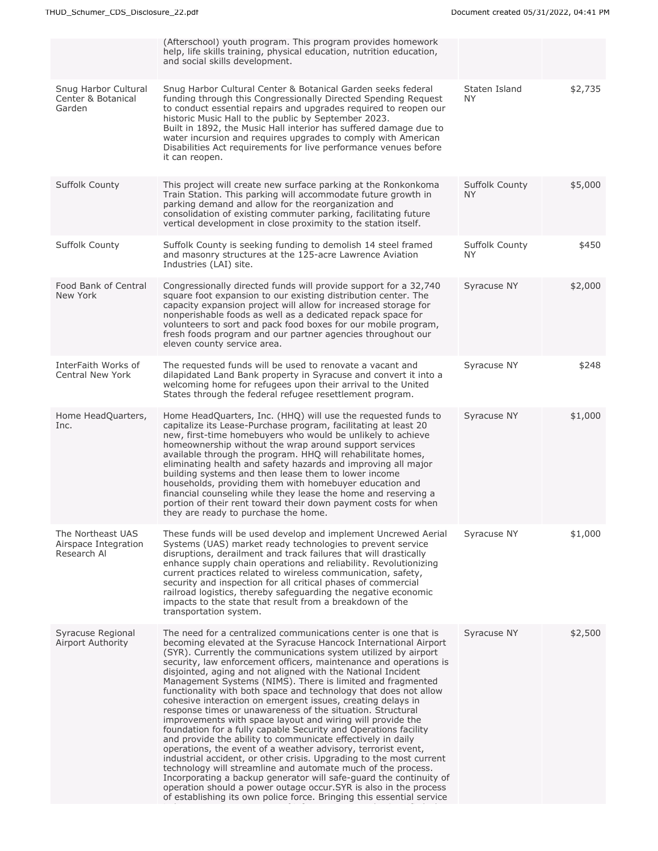|                                                          | (Afterschool) youth program. This program provides homework                                                                                                                                                                                                                                                                                                                                                                                                                                                                                                                                                                                                                                                                                                                                                                                                                                                                                                                                                                                                                                                                                                                                                                          |                              |         |
|----------------------------------------------------------|--------------------------------------------------------------------------------------------------------------------------------------------------------------------------------------------------------------------------------------------------------------------------------------------------------------------------------------------------------------------------------------------------------------------------------------------------------------------------------------------------------------------------------------------------------------------------------------------------------------------------------------------------------------------------------------------------------------------------------------------------------------------------------------------------------------------------------------------------------------------------------------------------------------------------------------------------------------------------------------------------------------------------------------------------------------------------------------------------------------------------------------------------------------------------------------------------------------------------------------|------------------------------|---------|
|                                                          | help, life skills training, physical education, nutrition education,<br>and social skills development.                                                                                                                                                                                                                                                                                                                                                                                                                                                                                                                                                                                                                                                                                                                                                                                                                                                                                                                                                                                                                                                                                                                               |                              |         |
| Snug Harbor Cultural<br>Center & Botanical<br>Garden     | Snug Harbor Cultural Center & Botanical Garden seeks federal<br>funding through this Congressionally Directed Spending Request<br>to conduct essential repairs and upgrades required to reopen our<br>historic Music Hall to the public by September 2023.<br>Built in 1892, the Music Hall interior has suffered damage due to<br>water incursion and requires upgrades to comply with American<br>Disabilities Act requirements for live performance venues before<br>it can reopen.                                                                                                                                                                                                                                                                                                                                                                                                                                                                                                                                                                                                                                                                                                                                               | Staten Island<br><b>NY</b>   | \$2,735 |
| <b>Suffolk County</b>                                    | This project will create new surface parking at the Ronkonkoma<br>Train Station. This parking will accommodate future growth in<br>parking demand and allow for the reorganization and<br>consolidation of existing commuter parking, facilitating future<br>vertical development in close proximity to the station itself.                                                                                                                                                                                                                                                                                                                                                                                                                                                                                                                                                                                                                                                                                                                                                                                                                                                                                                          | <b>Suffolk County</b><br>NY. | \$5,000 |
| Suffolk County                                           | Suffolk County is seeking funding to demolish 14 steel framed<br>and masonry structures at the 125-acre Lawrence Aviation<br>Industries (LAI) site.                                                                                                                                                                                                                                                                                                                                                                                                                                                                                                                                                                                                                                                                                                                                                                                                                                                                                                                                                                                                                                                                                  | Suffolk County<br>NY.        | \$450   |
| Food Bank of Central<br>New York                         | Congressionally directed funds will provide support for a 32,740<br>square foot expansion to our existing distribution center. The<br>capacity expansion project will allow for increased storage for<br>nonperishable foods as well as a dedicated repack space for<br>volunteers to sort and pack food boxes for our mobile program,<br>fresh foods program and our partner agencies throughout our<br>eleven county service area.                                                                                                                                                                                                                                                                                                                                                                                                                                                                                                                                                                                                                                                                                                                                                                                                 | Syracuse NY                  | \$2,000 |
| InterFaith Works of<br>Central New York                  | The requested funds will be used to renovate a vacant and<br>dilapidated Land Bank property in Syracuse and convert it into a<br>welcoming home for refugees upon their arrival to the United<br>States through the federal refugee resettlement program.                                                                                                                                                                                                                                                                                                                                                                                                                                                                                                                                                                                                                                                                                                                                                                                                                                                                                                                                                                            | Syracuse NY                  | \$248   |
| Home HeadQuarters,<br>Inc.                               | Home HeadQuarters, Inc. (HHQ) will use the requested funds to<br>capitalize its Lease-Purchase program, facilitating at least 20<br>new, first-time homebuyers who would be unlikely to achieve<br>homeownership without the wrap around support services<br>available through the program. HHQ will rehabilitate homes,<br>eliminating health and safety hazards and improving all major<br>building systems and then lease them to lower income<br>households, providing them with homebuyer education and<br>financial counseling while they lease the home and reserving a<br>portion of their rent toward their down payment costs for when<br>they are ready to purchase the home.                                                                                                                                                                                                                                                                                                                                                                                                                                                                                                                                             | Syracuse NY                  | \$1,000 |
| The Northeast UAS<br>Airspace Integration<br>Research Al | These funds will be used develop and implement Uncrewed Aerial<br>Systems (UAS) market ready technologies to prevent service<br>disruptions, derailment and track failures that will drastically<br>enhance supply chain operations and reliability. Revolutionizing<br>current practices related to wireless communication, safety,<br>security and inspection for all critical phases of commercial<br>railroad logistics, thereby safeguarding the negative economic<br>impacts to the state that result from a breakdown of the<br>transportation system.                                                                                                                                                                                                                                                                                                                                                                                                                                                                                                                                                                                                                                                                        | Syracuse NY                  | \$1,000 |
| Syracuse Regional<br>Airport Authority                   | The need for a centralized communications center is one that is<br>becoming elevated at the Syracuse Hancock International Airport<br>(SYR). Currently the communications system utilized by airport<br>security, law enforcement officers, maintenance and operations is<br>disjointed, aging and not aligned with the National Incident<br>Management Systems (NIMS). There is limited and fragmented<br>functionality with both space and technology that does not allow<br>cohesive interaction on emergent issues, creating delays in<br>response times or unawareness of the situation. Structural<br>improvements with space layout and wiring will provide the<br>foundation for a fully capable Security and Operations facility<br>and provide the ability to communicate effectively in daily<br>operations, the event of a weather advisory, terrorist event,<br>industrial accident, or other crisis. Upgrading to the most current<br>technology will streamline and automate much of the process.<br>Incorporating a backup generator will safe-guard the continuity of<br>operation should a power outage occur. SYR is also in the process<br>of establishing its own police force. Bringing this essential service | Syracuse NY                  | \$2,500 |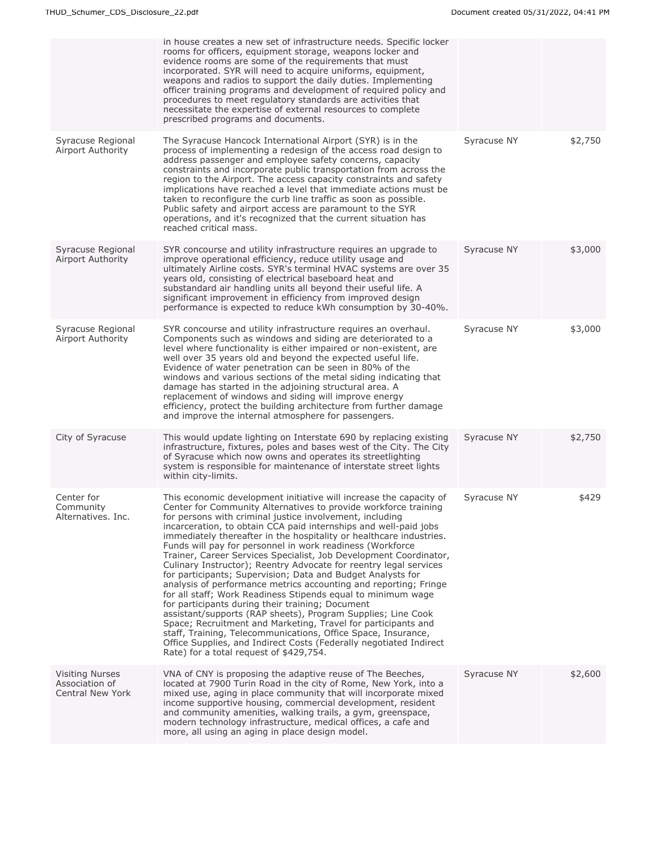|                                                              | in house creates a new set of infrastructure needs. Specific locker<br>rooms for officers, equipment storage, weapons locker and<br>evidence rooms are some of the requirements that must<br>incorporated. SYR will need to acquire uniforms, equipment,<br>weapons and radios to support the daily duties. Implementing<br>officer training programs and development of required policy and<br>procedures to meet regulatory standards are activities that<br>necessitate the expertise of external resources to complete<br>prescribed programs and documents.                                                                                                                                                                                                                                                                                                                                                                                                                                                                                                                                                              |             |         |
|--------------------------------------------------------------|-------------------------------------------------------------------------------------------------------------------------------------------------------------------------------------------------------------------------------------------------------------------------------------------------------------------------------------------------------------------------------------------------------------------------------------------------------------------------------------------------------------------------------------------------------------------------------------------------------------------------------------------------------------------------------------------------------------------------------------------------------------------------------------------------------------------------------------------------------------------------------------------------------------------------------------------------------------------------------------------------------------------------------------------------------------------------------------------------------------------------------|-------------|---------|
| Syracuse Regional<br>Airport Authority                       | The Syracuse Hancock International Airport (SYR) is in the<br>process of implementing a redesign of the access road design to<br>address passenger and employee safety concerns, capacity<br>constraints and incorporate public transportation from across the<br>region to the Airport. The access capacity constraints and safety<br>implications have reached a level that immediate actions must be<br>taken to reconfigure the curb line traffic as soon as possible.<br>Public safety and airport access are paramount to the SYR<br>operations, and it's recognized that the current situation has<br>reached critical mass.                                                                                                                                                                                                                                                                                                                                                                                                                                                                                           | Syracuse NY | \$2,750 |
| Syracuse Regional<br>Airport Authority                       | SYR concourse and utility infrastructure requires an upgrade to<br>improve operational efficiency, reduce utility usage and<br>ultimately Airline costs. SYR's terminal HVAC systems are over 35<br>years old, consisting of electrical baseboard heat and<br>substandard air handling units all beyond their useful life. A<br>significant improvement in efficiency from improved design<br>performance is expected to reduce kWh consumption by 30-40%.                                                                                                                                                                                                                                                                                                                                                                                                                                                                                                                                                                                                                                                                    | Syracuse NY | \$3,000 |
| Syracuse Regional<br>Airport Authority                       | SYR concourse and utility infrastructure requires an overhaul.<br>Components such as windows and siding are deteriorated to a<br>level where functionality is either impaired or non-existent, are<br>well over 35 years old and beyond the expected useful life.<br>Evidence of water penetration can be seen in 80% of the<br>windows and various sections of the metal siding indicating that<br>damage has started in the adjoining structural area. A<br>replacement of windows and siding will improve energy<br>efficiency, protect the building architecture from further damage<br>and improve the internal atmosphere for passengers.                                                                                                                                                                                                                                                                                                                                                                                                                                                                               | Syracuse NY | \$3,000 |
| City of Syracuse                                             | This would update lighting on Interstate 690 by replacing existing<br>infrastructure, fixtures, poles and bases west of the City. The City<br>of Syracuse which now owns and operates its streetlighting<br>system is responsible for maintenance of interstate street lights<br>within city-limits.                                                                                                                                                                                                                                                                                                                                                                                                                                                                                                                                                                                                                                                                                                                                                                                                                          | Syracuse NY | \$2,750 |
| Center for<br>Community<br>Alternatives. Inc.                | This economic development initiative will increase the capacity of<br>Center for Community Alternatives to provide workforce training<br>for persons with criminal justice involvement, including<br>incarceration, to obtain CCA paid internships and well-paid jobs<br>immediately thereafter in the hospitality or healthcare industries.<br>Funds will pay for personnel in work readiness (Workforce<br>Trainer, Career Services Specialist, Job Development Coordinator,<br>Culinary Instructor); Reentry Advocate for reentry legal services<br>for participants; Supervision; Data and Budget Analysts for<br>analysis of performance metrics accounting and reporting; Fringe<br>for all staff; Work Readiness Stipends equal to minimum wage<br>for participants during their training; Document<br>assistant/supports (RAP sheets), Program Supplies; Line Cook<br>Space; Recruitment and Marketing, Travel for participants and<br>staff, Training, Telecommunications, Office Space, Insurance,<br>Office Supplies, and Indirect Costs (Federally negotiated Indirect<br>Rate) for a total request of \$429,754. | Syracuse NY | \$429   |
| <b>Visiting Nurses</b><br>Association of<br>Central New York | VNA of CNY is proposing the adaptive reuse of The Beeches,<br>located at 7900 Turin Road in the city of Rome, New York, into a<br>mixed use, aging in place community that will incorporate mixed<br>income supportive housing, commercial development, resident<br>and community amenities, walking trails, a gym, greenspace,<br>modern technology infrastructure, medical offices, a cafe and<br>more, all using an aging in place design model.                                                                                                                                                                                                                                                                                                                                                                                                                                                                                                                                                                                                                                                                           | Syracuse NY | \$2,600 |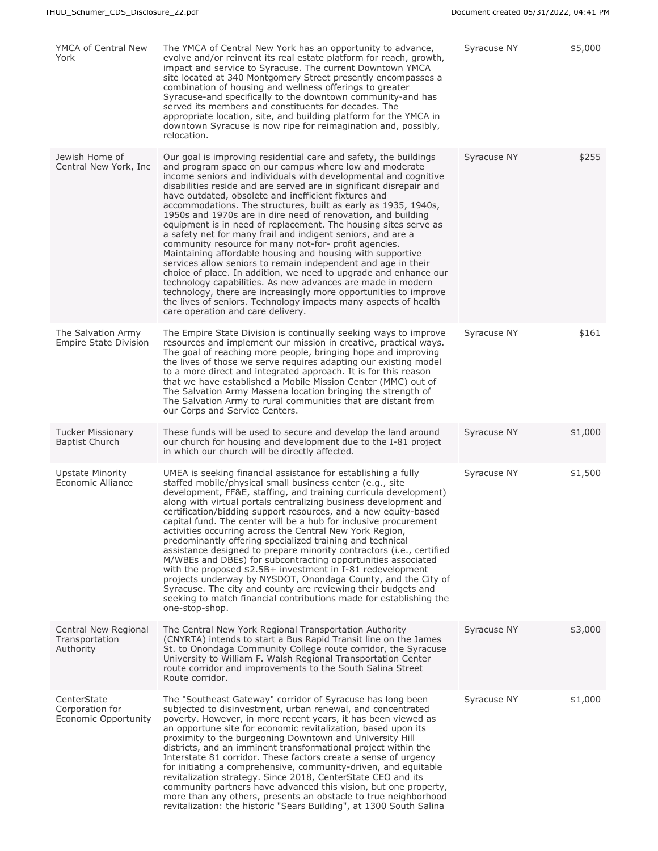| YMCA of Central New<br>York                            | The YMCA of Central New York has an opportunity to advance,<br>evolve and/or reinvent its real estate platform for reach, growth,<br>impact and service to Syracuse. The current Downtown YMCA<br>site located at 340 Montgomery Street presently encompasses a<br>combination of housing and wellness offerings to greater<br>Syracuse-and specifically to the downtown community-and has<br>served its members and constituents for decades. The<br>appropriate location, site, and building platform for the YMCA in<br>downtown Syracuse is now ripe for reimagination and, possibly,<br>relocation.                                                                                                                                                                                                                                                                                                                                                                                                                                                                                                | Syracuse NY | \$5,000 |
|--------------------------------------------------------|---------------------------------------------------------------------------------------------------------------------------------------------------------------------------------------------------------------------------------------------------------------------------------------------------------------------------------------------------------------------------------------------------------------------------------------------------------------------------------------------------------------------------------------------------------------------------------------------------------------------------------------------------------------------------------------------------------------------------------------------------------------------------------------------------------------------------------------------------------------------------------------------------------------------------------------------------------------------------------------------------------------------------------------------------------------------------------------------------------|-------------|---------|
| Jewish Home of<br>Central New York, Inc.               | Our goal is improving residential care and safety, the buildings<br>and program space on our campus where low and moderate<br>income seniors and individuals with developmental and cognitive<br>disabilities reside and are served are in significant disrepair and<br>have outdated, obsolete and inefficient fixtures and<br>accommodations. The structures, built as early as 1935, 1940s,<br>1950s and 1970s are in dire need of renovation, and building<br>equipment is in need of replacement. The housing sites serve as<br>a safety net for many frail and indigent seniors, and are a<br>community resource for many not-for- profit agencies.<br>Maintaining affordable housing and housing with supportive<br>services allow seniors to remain independent and age in their<br>choice of place. In addition, we need to upgrade and enhance our<br>technology capabilities. As new advances are made in modern<br>technology, there are increasingly more opportunities to improve<br>the lives of seniors. Technology impacts many aspects of health<br>care operation and care delivery. | Syracuse NY | \$255   |
| The Salvation Army<br><b>Empire State Division</b>     | The Empire State Division is continually seeking ways to improve<br>resources and implement our mission in creative, practical ways.<br>The goal of reaching more people, bringing hope and improving<br>the lives of those we serve requires adapting our existing model<br>to a more direct and integrated approach. It is for this reason<br>that we have established a Mobile Mission Center (MMC) out of<br>The Salvation Army Massena location bringing the strength of<br>The Salvation Army to rural communities that are distant from<br>our Corps and Service Centers.                                                                                                                                                                                                                                                                                                                                                                                                                                                                                                                        | Syracuse NY | \$161   |
| <b>Tucker Missionary</b><br><b>Baptist Church</b>      | These funds will be used to secure and develop the land around<br>our church for housing and development due to the I-81 project<br>in which our church will be directly affected.                                                                                                                                                                                                                                                                                                                                                                                                                                                                                                                                                                                                                                                                                                                                                                                                                                                                                                                      | Syracuse NY | \$1,000 |
| <b>Upstate Minority</b><br>Economic Alliance           | UMEA is seeking financial assistance for establishing a fully<br>staffed mobile/physical small business center (e.g., site<br>development, FF&E, staffing, and training curricula development)<br>along with virtual portals centralizing business development and<br>certification/bidding support resources, and a new equity-based<br>capital fund. The center will be a hub for inclusive procurement<br>activities occurring across the Central New York Region,<br>predominantly offering specialized training and technical<br>assistance designed to prepare minority contractors (i.e., certified<br>M/WBEs and DBEs) for subcontracting opportunities associated<br>with the proposed \$2.5B+ investment in I-81 redevelopment<br>projects underway by NYSDOT, Onondaga County, and the City of<br>Syracuse. The city and county are reviewing their budgets and<br>seeking to match financial contributions made for establishing the<br>one-stop-shop.                                                                                                                                      | Syracuse NY | \$1,500 |
| Central New Regional<br>Transportation<br>Authority    | The Central New York Regional Transportation Authority<br>(CNYRTA) intends to start a Bus Rapid Transit line on the James<br>St. to Onondaga Community College route corridor, the Syracuse<br>University to William F. Walsh Regional Transportation Center<br>route corridor and improvements to the South Salina Street<br>Route corridor.                                                                                                                                                                                                                                                                                                                                                                                                                                                                                                                                                                                                                                                                                                                                                           | Syracuse NY | \$3,000 |
| CenterState<br>Corporation for<br>Economic Opportunity | The "Southeast Gateway" corridor of Syracuse has long been<br>subjected to disinvestment, urban renewal, and concentrated<br>poverty. However, in more recent years, it has been viewed as<br>an opportune site for economic revitalization, based upon its<br>proximity to the burgeoning Downtown and University Hill<br>districts, and an imminent transformational project within the<br>Interstate 81 corridor. These factors create a sense of urgency<br>for initiating a comprehensive, community-driven, and equitable<br>revitalization strategy. Since 2018, CenterState CEO and its<br>community partners have advanced this vision, but one property,<br>more than any others, presents an obstacle to true neighborhood<br>revitalization: the historic "Sears Building", at 1300 South Salina                                                                                                                                                                                                                                                                                            | Syracuse NY | \$1,000 |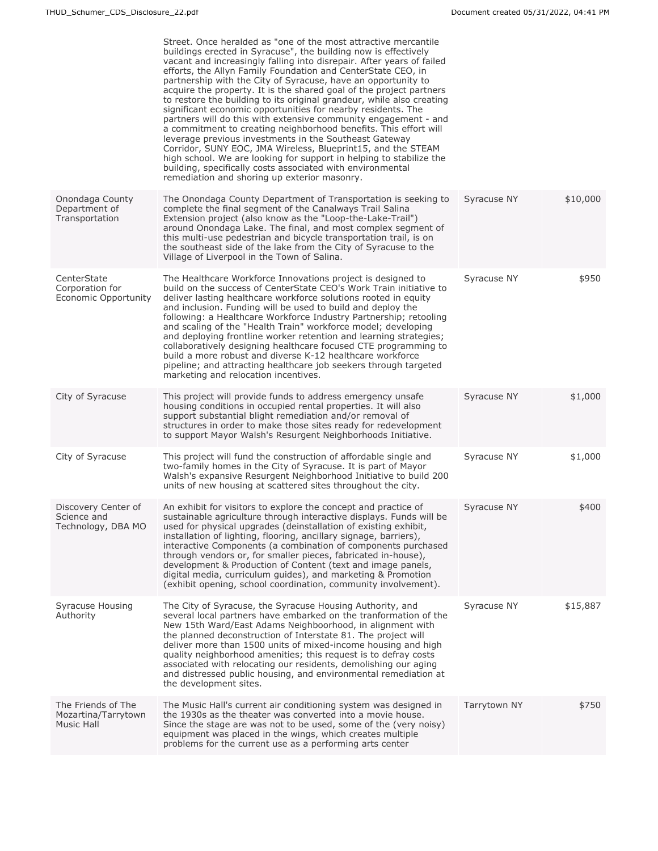|                                                          | Street. Once heralded as "one of the most attractive mercantile<br>buildings erected in Syracuse", the building now is effectively<br>vacant and increasingly falling into disrepair. After years of failed<br>efforts, the Allyn Family Foundation and CenterState CEO, in<br>partnership with the City of Syracuse, have an opportunity to<br>acquire the property. It is the shared goal of the project partners<br>to restore the building to its original grandeur, while also creating<br>significant economic opportunities for nearby residents. The<br>partners will do this with extensive community engagement - and<br>a commitment to creating neighborhood benefits. This effort will<br>leverage previous investments in the Southeast Gateway<br>Corridor, SUNY EOC, JMA Wireless, Blueprint15, and the STEAM<br>high school. We are looking for support in helping to stabilize the<br>building, specifically costs associated with environmental<br>remediation and shoring up exterior masonry. |              |          |
|----------------------------------------------------------|--------------------------------------------------------------------------------------------------------------------------------------------------------------------------------------------------------------------------------------------------------------------------------------------------------------------------------------------------------------------------------------------------------------------------------------------------------------------------------------------------------------------------------------------------------------------------------------------------------------------------------------------------------------------------------------------------------------------------------------------------------------------------------------------------------------------------------------------------------------------------------------------------------------------------------------------------------------------------------------------------------------------|--------------|----------|
| Onondaga County<br>Department of<br>Transportation       | The Onondaga County Department of Transportation is seeking to<br>complete the final segment of the Canalways Trail Salina<br>Extension project (also know as the "Loop-the-Lake-Trail")<br>around Onondaga Lake. The final, and most complex segment of<br>this multi-use pedestrian and bicycle transportation trail, is on<br>the southeast side of the lake from the City of Syracuse to the<br>Village of Liverpool in the Town of Salina.                                                                                                                                                                                                                                                                                                                                                                                                                                                                                                                                                                    | Syracuse NY  | \$10,000 |
| CenterState<br>Corporation for<br>Economic Opportunity   | The Healthcare Workforce Innovations project is designed to<br>build on the success of CenterState CEO's Work Train initiative to<br>deliver lasting healthcare workforce solutions rooted in equity<br>and inclusion. Funding will be used to build and deploy the<br>following: a Healthcare Workforce Industry Partnership; retooling<br>and scaling of the "Health Train" workforce model; developing<br>and deploying frontline worker retention and learning strategies;<br>collaboratively designing healthcare focused CTE programming to<br>build a more robust and diverse K-12 healthcare workforce<br>pipeline; and attracting healthcare job seekers through targeted<br>marketing and relocation incentives.                                                                                                                                                                                                                                                                                         | Syracuse NY  | \$950    |
| City of Syracuse                                         | This project will provide funds to address emergency unsafe<br>housing conditions in occupied rental properties. It will also<br>support substantial blight remediation and/or removal of<br>structures in order to make those sites ready for redevelopment<br>to support Mayor Walsh's Resurgent Neighborhoods Initiative.                                                                                                                                                                                                                                                                                                                                                                                                                                                                                                                                                                                                                                                                                       | Syracuse NY  | \$1,000  |
| City of Syracuse                                         | This project will fund the construction of affordable single and<br>two-family homes in the City of Syracuse. It is part of Mayor<br>Walsh's expansive Resurgent Neighborhood Initiative to build 200<br>units of new housing at scattered sites throughout the city.                                                                                                                                                                                                                                                                                                                                                                                                                                                                                                                                                                                                                                                                                                                                              | Syracuse NY  | \$1,000  |
| Discovery Center of<br>Science and<br>Technology, DBA MO | An exhibit for visitors to explore the concept and practice of<br>sustainable agriculture through interactive displays. Funds will be<br>used for physical upgrades (deinstallation of existing exhibit,<br>installation of lighting, flooring, ancillary signage, barriers),<br>interactive Components (a combination of components purchased<br>through vendors or, for smaller pieces, fabricated in-house),<br>development & Production of Content (text and image panels,<br>digital media, curriculum guides), and marketing & Promotion<br>(exhibit opening, school coordination, community involvement).                                                                                                                                                                                                                                                                                                                                                                                                   | Syracuse NY  | \$400    |
| Syracuse Housing<br>Authority                            | The City of Syracuse, the Syracuse Housing Authority, and<br>several local partners have embarked on the tranformation of the<br>New 15th Ward/East Adams Neighboorhood, in alignment with<br>the planned deconstruction of Interstate 81. The project will<br>deliver more than 1500 units of mixed-income housing and high<br>quality neighborhood amenities; this request is to defray costs<br>associated with relocating our residents, demolishing our aging<br>and distressed public housing, and environmental remediation at<br>the development sites.                                                                                                                                                                                                                                                                                                                                                                                                                                                    | Syracuse NY  | \$15,887 |
| The Friends of The<br>Mozartina/Tarrytown<br>Music Hall  | The Music Hall's current air conditioning system was designed in<br>the 1930s as the theater was converted into a movie house.<br>Since the stage are was not to be used, some of the (very noisy)<br>equipment was placed in the wings, which creates multiple<br>problems for the current use as a performing arts center                                                                                                                                                                                                                                                                                                                                                                                                                                                                                                                                                                                                                                                                                        | Tarrytown NY | \$750    |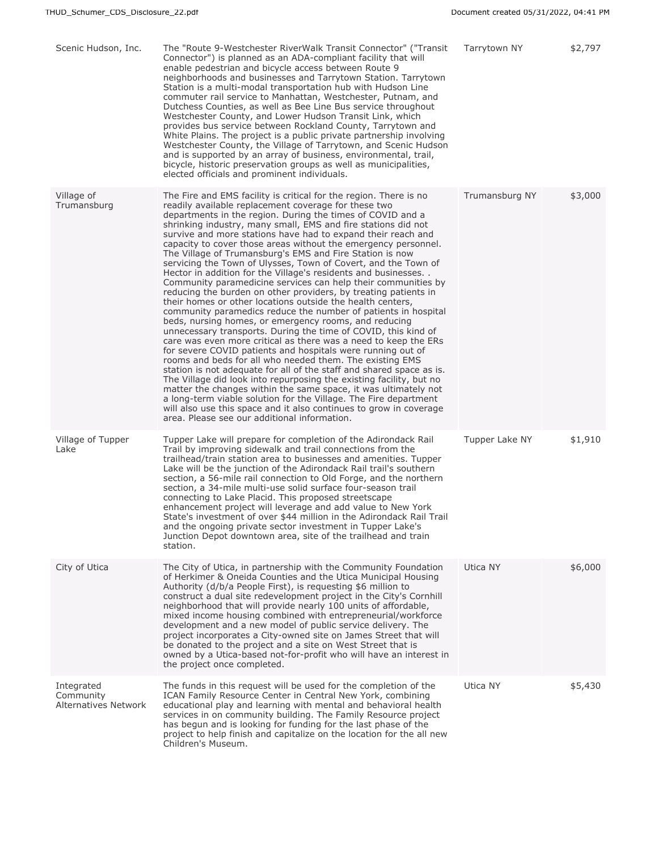| Scenic Hudson, Inc.                             | The "Route 9-Westchester RiverWalk Transit Connector" ("Transit<br>Connector") is planned as an ADA-compliant facility that will<br>enable pedestrian and bicycle access between Route 9<br>neighborhoods and businesses and Tarrytown Station. Tarrytown<br>Station is a multi-modal transportation hub with Hudson Line<br>commuter rail service to Manhattan, Westchester, Putnam, and<br>Dutchess Counties, as well as Bee Line Bus service throughout<br>Westchester County, and Lower Hudson Transit Link, which<br>provides bus service between Rockland County, Tarrytown and<br>White Plains. The project is a public private partnership involving<br>Westchester County, the Village of Tarrytown, and Scenic Hudson<br>and is supported by an array of business, environmental, trail,<br>bicycle, historic preservation groups as well as municipalities,<br>elected officials and prominent individuals.                                                                                                                                                                                                                                                                                                                                                                                                                                                                                                                                                                                                                                                                             | Tarrytown NY   | \$2,797 |
|-------------------------------------------------|----------------------------------------------------------------------------------------------------------------------------------------------------------------------------------------------------------------------------------------------------------------------------------------------------------------------------------------------------------------------------------------------------------------------------------------------------------------------------------------------------------------------------------------------------------------------------------------------------------------------------------------------------------------------------------------------------------------------------------------------------------------------------------------------------------------------------------------------------------------------------------------------------------------------------------------------------------------------------------------------------------------------------------------------------------------------------------------------------------------------------------------------------------------------------------------------------------------------------------------------------------------------------------------------------------------------------------------------------------------------------------------------------------------------------------------------------------------------------------------------------------------------------------------------------------------------------------------------------|----------------|---------|
| Village of<br>Trumansburg                       | The Fire and EMS facility is critical for the region. There is no<br>readily available replacement coverage for these two<br>departments in the region. During the times of COVID and a<br>shrinking industry, many small, EMS and fire stations did not<br>survive and more stations have had to expand their reach and<br>capacity to cover those areas without the emergency personnel.<br>The Village of Trumansburg's EMS and Fire Station is now<br>servicing the Town of Ulysses, Town of Covert, and the Town of<br>Hector in addition for the Village's residents and businesses<br>Community paramedicine services can help their communities by<br>reducing the burden on other providers, by treating patients in<br>their homes or other locations outside the health centers,<br>community paramedics reduce the number of patients in hospital<br>beds, nursing homes, or emergency rooms, and reducing<br>unnecessary transports. During the time of COVID, this kind of<br>care was even more critical as there was a need to keep the ERs<br>for severe COVID patients and hospitals were running out of<br>rooms and beds for all who needed them. The existing EMS<br>station is not adequate for all of the staff and shared space as is.<br>The Village did look into repurposing the existing facility, but no<br>matter the changes within the same space, it was ultimately not<br>a long-term viable solution for the Village. The Fire department<br>will also use this space and it also continues to grow in coverage<br>area. Please see our additional information. | Trumansburg NY | \$3,000 |
| Village of Tupper<br>Lake                       | Tupper Lake will prepare for completion of the Adirondack Rail<br>Trail by improving sidewalk and trail connections from the<br>trailhead/train station area to businesses and amenities. Tupper<br>Lake will be the junction of the Adirondack Rail trail's southern<br>section, a 56-mile rail connection to Old Forge, and the northern<br>section, a 34-mile multi-use solid surface four-season trail<br>connecting to Lake Placid. This proposed streetscape<br>enhancement project will leverage and add value to New York<br>State's investment of over \$44 million in the Adirondack Rail Trail<br>and the ongoing private sector investment in Tupper Lake's<br>Junction Depot downtown area, site of the trailhead and train<br>station.                                                                                                                                                                                                                                                                                                                                                                                                                                                                                                                                                                                                                                                                                                                                                                                                                                               | Tupper Lake NY | \$1,910 |
| City of Utica                                   | The City of Utica, in partnership with the Community Foundation<br>of Herkimer & Oneida Counties and the Utica Municipal Housing<br>Authority (d/b/a People First), is requesting \$6 million to<br>construct a dual site redevelopment project in the City's Cornhill<br>neighborhood that will provide nearly 100 units of affordable,<br>mixed income housing combined with entrepreneurial/workforce<br>development and a new model of public service delivery. The<br>project incorporates a City-owned site on James Street that will<br>be donated to the project and a site on West Street that is<br>owned by a Utica-based not-for-profit who will have an interest in<br>the project once completed.                                                                                                                                                                                                                                                                                                                                                                                                                                                                                                                                                                                                                                                                                                                                                                                                                                                                                    | Utica NY       | \$6,000 |
| Integrated<br>Community<br>Alternatives Network | The funds in this request will be used for the completion of the<br>ICAN Family Resource Center in Central New York, combining<br>educational play and learning with mental and behavioral health<br>services in on community building. The Family Resource project<br>has begun and is looking for funding for the last phase of the<br>project to help finish and capitalize on the location for the all new<br>Children's Museum.                                                                                                                                                                                                                                                                                                                                                                                                                                                                                                                                                                                                                                                                                                                                                                                                                                                                                                                                                                                                                                                                                                                                                               | Utica NY       | \$5,430 |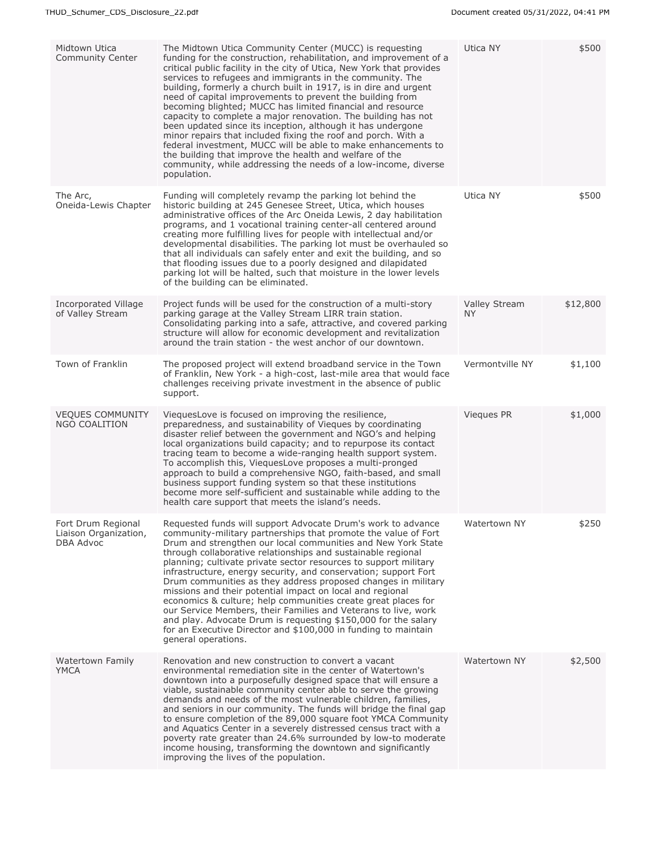| Midtown Utica<br><b>Community Center</b>                        | The Midtown Utica Community Center (MUCC) is requesting<br>funding for the construction, rehabilitation, and improvement of a<br>critical public facility in the city of Utica, New York that provides<br>services to refugees and immigrants in the community. The<br>building, formerly a church built in 1917, is in dire and urgent<br>need of capital improvements to prevent the building from<br>becoming blighted; MUCC has limited financial and resource<br>capacity to complete a major renovation. The building has not<br>been updated since its inception, although it has undergone<br>minor repairs that included fixing the roof and porch. With a<br>federal investment, MUCC will be able to make enhancements to<br>the building that improve the health and welfare of the<br>community, while addressing the needs of a low-income, diverse<br>population. | Utica NY                          | \$500    |
|-----------------------------------------------------------------|----------------------------------------------------------------------------------------------------------------------------------------------------------------------------------------------------------------------------------------------------------------------------------------------------------------------------------------------------------------------------------------------------------------------------------------------------------------------------------------------------------------------------------------------------------------------------------------------------------------------------------------------------------------------------------------------------------------------------------------------------------------------------------------------------------------------------------------------------------------------------------|-----------------------------------|----------|
| The Arc,<br>Oneida-Lewis Chapter                                | Funding will completely revamp the parking lot behind the<br>historic building at 245 Genesee Street, Utica, which houses<br>administrative offices of the Arc Oneida Lewis, 2 day habilitation<br>programs, and 1 vocational training center-all centered around<br>creating more fulfilling lives for people with intellectual and/or<br>developmental disabilities. The parking lot must be overhauled so<br>that all individuals can safely enter and exit the building, and so<br>that flooding issues due to a poorly designed and dilapidated<br>parking lot will be halted, such that moisture in the lower levels<br>of the building can be eliminated.                                                                                                                                                                                                                 | Utica NY                          | \$500    |
| Incorporated Village<br>of Valley Stream                        | Project funds will be used for the construction of a multi-story<br>parking garage at the Valley Stream LIRR train station.<br>Consolidating parking into a safe, attractive, and covered parking<br>structure will allow for economic development and revitalization<br>around the train station - the west anchor of our downtown.                                                                                                                                                                                                                                                                                                                                                                                                                                                                                                                                             | <b>Valley Stream</b><br><b>NY</b> | \$12,800 |
| Town of Franklin                                                | The proposed project will extend broadband service in the Town<br>of Franklin, New York - a high-cost, last-mile area that would face<br>challenges receiving private investment in the absence of public<br>support.                                                                                                                                                                                                                                                                                                                                                                                                                                                                                                                                                                                                                                                            | Vermontville NY                   | \$1,100  |
| <b>VEQUES COMMUNITY</b><br>NGO COALITION                        | ViequesLove is focused on improving the resilience,<br>preparedness, and sustainability of Vieques by coordinating<br>disaster relief between the government and NGO's and helping<br>local organizations build capacity; and to repurpose its contact<br>tracing team to become a wide-ranging health support system.<br>To accomplish this, ViequesLove proposes a multi-pronged<br>approach to build a comprehensive NGO, faith-based, and small<br>business support funding system so that these institutions<br>become more self-sufficient and sustainable while adding to the<br>health care support that meets the island's needs.                                                                                                                                                                                                                                       | Vieques PR                        | \$1,000  |
| Fort Drum Regional<br>Liaison Organization,<br><b>DBA Advoc</b> | Requested funds will support Advocate Drum's work to advance<br>community-military partnerships that promote the value of Fort<br>Drum and strengthen our local communities and New York State<br>through collaborative relationships and sustainable regional<br>planning; cultivate private sector resources to support military<br>infrastructure, energy security, and conservation; support Fort<br>Drum communities as they address proposed changes in military<br>missions and their potential impact on local and regional<br>economics & culture; help communities create great places for<br>our Service Members, their Families and Veterans to live, work<br>and play. Advocate Drum is requesting \$150,000 for the salary<br>for an Executive Director and \$100,000 in funding to maintain<br>general operations.                                                | Watertown NY                      | \$250    |
| Watertown Family<br>YMCA                                        | Renovation and new construction to convert a vacant<br>environmental remediation site in the center of Watertown's<br>downtown into a purposefully designed space that will ensure a<br>viable, sustainable community center able to serve the growing<br>demands and needs of the most vulnerable children, families,<br>and seniors in our community. The funds will bridge the final gap<br>to ensure completion of the 89,000 square foot YMCA Community<br>and Aquatics Center in a severely distressed census tract with a<br>poverty rate greater than 24.6% surrounded by low-to moderate<br>income housing, transforming the downtown and significantly<br>improving the lives of the population.                                                                                                                                                                       | Watertown NY                      | \$2,500  |